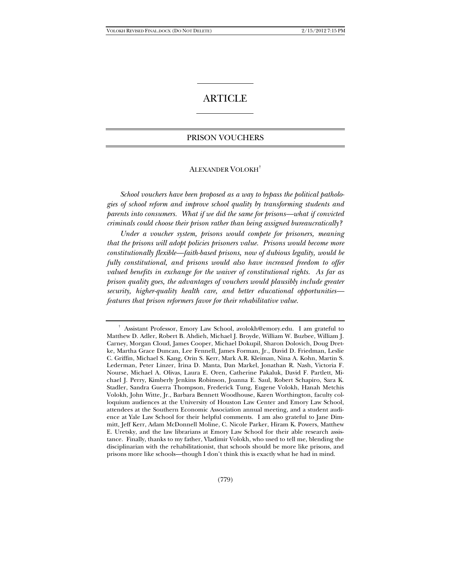# **ARTICLE**

## PRISON VOUCHERS

## ALEXANDER VOLOKH†

*School vouchers have been proposed as a way to bypass the political pathologies of school reform and improve school quality by transforming students and parents into consumers. What if we did the same for prisons—what if convicted criminals could choose their prison rather than being assigned bureaucratically?*

*Under a voucher system, prisons would compete for prisoners, meaning that the prisons will adopt policies prisoners value. Prisons would become more constitutionally flexible—faith-based prisons, now of dubious legality, would be fully constitutional, and prisons would also have increased freedom to offer valued benefits in exchange for the waiver of constitutional rights. As far as prison quality goes, the advantages of vouchers would plausibly include greater security, higher-quality health care, and better educational opportunities features that prison reformers favor for their rehabilitative value.*

<sup>†</sup> Assistant Professor, Emory Law School, avolokh@emory.edu. I am grateful to Matthew D. Adler, Robert B. Ahdieh, Michael J. Broyde, William W. Buzbee, William J. Carney, Morgan Cloud, James Cooper, Michael Dokupil, Sharon Dolovich, Doug Dretke, Martha Grace Duncan, Lee Fennell, James Forman, Jr., David D. Friedman, Leslie C. Griffin, Michael S. Kang, Orin S. Kerr, Mark A.R. Kleiman, Nina A. Kohn, Martin S. Lederman, Peter Linzer, Irina D. Manta, Dan Markel, Jonathan R. Nash, Victoria F. Nourse, Michael A. Olivas, Laura E. Oren, Catherine Pakaluk, David F. Partlett, Michael J. Perry, Kimberly Jenkins Robinson, Joanna E. Saul, Robert Schapiro, Sara K. Stadler, Sandra Guerra Thompson, Frederick Tung, Eugene Volokh, Hanah Metchis Volokh, John Witte, Jr., Barbara Bennett Woodhouse, Karen Worthington, faculty colloquium audiences at the University of Houston Law Center and Emory Law School, attendees at the Southern Economic Association annual meeting, and a student audience at Yale Law School for their helpful comments. I am also grateful to Jane Dimmitt, Jeff Kerr, Adam McDonnell Moline, C. Nicole Parker, Hiram K. Powers, Matthew E. Uretsky, and the law librarians at Emory Law School for their able research assistance. Finally, thanks to my father, Vladimir Volokh, who used to tell me, blending the disciplinarian with the rehabilitationist, that schools should be more like prisons, and prisons more like schools—though I don't think this is exactly what he had in mind.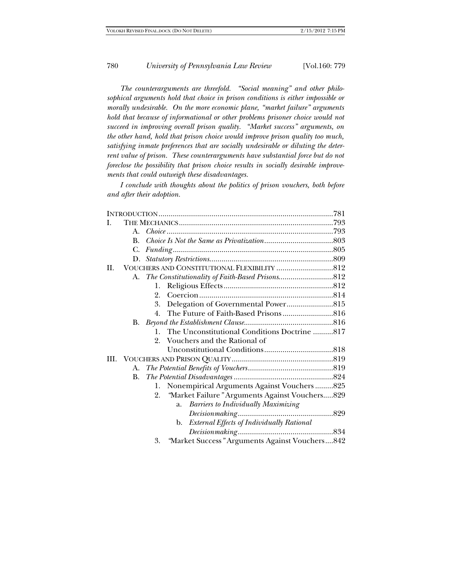*The counterarguments are threefold. "Social meaning" and other philosophical arguments hold that choice in prison conditions is either impossible or morally undesirable. On the more economic plane, "market failure" arguments hold that because of informational or other problems prisoner choice would not succeed in improving overall prison quality. "Market success" arguments, on the other hand, hold that prison choice would improve prison quality too much, satisfying inmate preferences that are socially undesirable or diluting the deter*rent value of prison. These counterarguments have substantial force but do not *foreclose the possibility that prison choice results in socially desirable improvements that could outweigh these disadvantages.*

*I conclude with thoughts about the politics of prison vouchers, both before and after their adoption.* 

|      | A. |                                                        |  |
|------|----|--------------------------------------------------------|--|
|      | B. |                                                        |  |
|      | C. |                                                        |  |
|      | D. |                                                        |  |
| H.   |    |                                                        |  |
|      |    |                                                        |  |
|      |    | 1.                                                     |  |
|      |    | 2.                                                     |  |
|      |    | 3.                                                     |  |
|      |    | $4_{\cdot}$                                            |  |
|      | В. |                                                        |  |
|      |    | The Unconstitutional Conditions Doctrine 817<br>1.     |  |
|      |    | 2. Vouchers and the Rational of                        |  |
|      |    |                                                        |  |
| III. |    |                                                        |  |
|      | А. |                                                        |  |
|      | В. |                                                        |  |
|      |    | Nonempirical Arguments Against Vouchers825<br>1.       |  |
|      |    | "Market Failure" Arguments Against Vouchers829<br>2.   |  |
|      |    | <b>Barriers to Individually Maximizing</b><br>a.       |  |
|      |    |                                                        |  |
|      |    | <b>External Effects of Individually Rational</b><br>b. |  |
|      |    |                                                        |  |
|      |    | "Market Success" Arguments Against Vouchers842<br>3.   |  |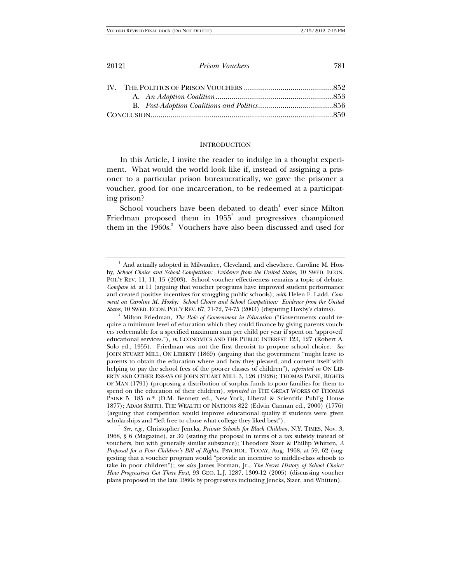#### **INTRODUCTION**

In this Article, I invite the reader to indulge in a thought experiment. What would the world look like if, instead of assigning a prisoner to a particular prison bureaucratically, we gave the prisoner a voucher, good for one incarceration, to be redeemed at a participating prison?

School vouchers have been debated to death $1$  ever since Milton Friedman proposed them in  $1955^2$  and progressives championed them in the 1960s.<sup>3</sup> Vouchers have also been discussed and used for

Milton Friedman, *The Role of Government in Education* ("Governments could require a minimum level of education which they could finance by giving parents vouchers redeemable for a specified maximum sum per child per year if spent on 'approved' educational services."), *in* ECONOMICS AND THE PUBLIC INTEREST 123, 127 (Robert A. Solo ed., 1955). Friedman was not the first theorist to propose school choice. *See* JOHN STUART MILL, ON LIBERTY (1869) (arguing that the government "might leave to parents to obtain the education where and how they pleased, and content itself with helping to pay the school fees of the poorer classes of children"), *reprinted in* ON LIB-ERTY AND OTHER ESSAYS OF JOHN STUART MILL 3, 126 (1926); THOMAS PAINE, RIGHTS OF MAN (1791) (proposing a distribution of surplus funds to poor families for them to spend on the education of their children), *reprinted in* THE GREAT WORKS OF THOMAS PAINE 5, 185 n.\* (D.M. Bennett ed., New York, Liberal & Scientific Publ'g House 1877); ADAM SMITH, THE WEALTH OF NATIONS 822 (Edwin Cannan ed., 2000) (1776) (arguing that competition would improve educational quality if students were given scholarships and "left free to chuse what college they liked best").

*See, e.g.*, Christopher Jencks, *Private Schools for Black Children*, N.Y. TIMES, Nov. 3, 1968, § 6 (Magazine), at 30 (stating the proposal in terms of a tax subsidy instead of vouchers, but with generally similar substance); Theodore Sizer & Phillip Whitten, *A Proposal for a Poor Children's Bill of Rights*, PSYCHOL. TODAY, Aug. 1968, at 59, 62 (suggesting that a voucher program would "provide an incentive to middle-class schools to take in poor children"); *see also* James Forman, Jr., *The Secret History of School Choice: How Progressives Got There First*, 93 GEO. L.J. 1287, 1309-12 (2005) (discussing voucher plans proposed in the late 1960s by progressives including Jencks, Sizer, and Whitten).

 $^1$  And actually adopted in Milwaukee, Cleveland, and elsewhere. Caroline M. Hoxby, *School Choice and School Competition: Evidence from the United States*, 10 SWED. ECON. POL'Y REV. 11, 11, 15 (2003). School voucher effectiveness remains a topic of debate. *Compare id.* at 11 (arguing that voucher programs have improved student performance and created positive incentives for struggling public schools), *with* Helen F. Ladd, *Comment on Caroline M. Hoxby: School Choice and School Competition: Evidence from the United States*, 10 SWED. ECON. POL'Y REV. 67, 71-72, 74-75 (2003) (disputing Hoxby's claims). 2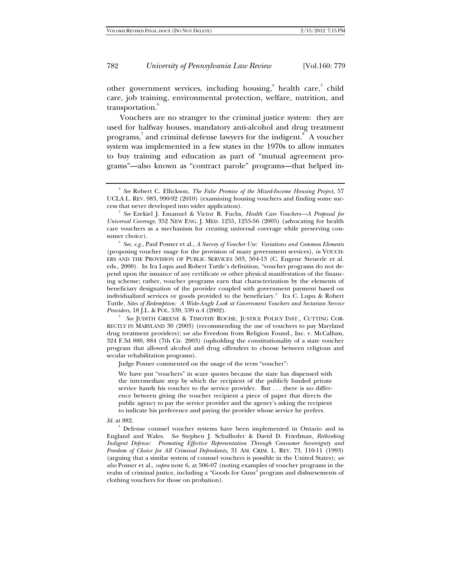other government services, including housing,<sup>4</sup> health care,<sup>5</sup> child care, job training, environmental protection, welfare, nutrition, and transportation.<sup>6</sup>

Vouchers are no stranger to the criminal justice system: they are used for halfway houses, mandatory anti-alcohol and drug treatment programs,<sup>7</sup> and criminal defense lawyers for the indigent.<sup>8</sup> A voucher system was implemented in a few states in the 1970s to allow inmates to buy training and education as part of "mutual agreement programs"—also known as "contract parole" programs—that helped in-

*See, e.g.*, Paul Posner et al., *A Survey of Voucher Use: Variations and Common Elements*  (proposing voucher usage for the provision of many government services), *in* VOUCH-ERS AND THE PROVISION OF PUBLIC SERVICES 503, 504-13 (C. Eugene Steuerle et al. eds., 2000). In Ira Lupu and Robert Tuttle's definition, "voucher programs do not depend upon the issuance of any certificate or other physical manifestation of the financing scheme; rather, voucher programs earn that characterization by the elements of beneficiary designation of the provider coupled with government payment based on individualized services or goods provided to the beneficiary." Ira C. Lupu & Robert Tuttle, *Sites of Redemption: A Wide-Angle Look at Government Vouchers and Sectarian Service Providers*, 18 J.L. & POL. 539, 539 n.4 (2002).

<sup>7</sup> See JUDITH GREENE & TIMOTHY ROCHE, JUSTICE POLICY INST., CUTTING COR-RECTLY IN MARYLAND 30 (2003) (recommending the use of vouchers to pay Maryland drug treatment providers); s*ee also* Freedom from Religion Found., Inc. v. McCallum, 324 F.3d 880, 884 (7th Cir. 2003) (upholding the constitutionality of a state voucher program that allowed alcohol and drug offenders to choose between religious and secular rehabilitation programs).

Judge Posner commented on the usage of the term "voucher":

We have put "vouchers" in scare quotes because the state has dispensed with the intermediate step by which the recipient of the publicly funded private service hands his voucher to the service provider. But . . . there is no difference between giving the voucher recipient a piece of paper that directs the public agency to pay the service provider and the agency's asking the recipient to indicate his preference and paying the provider whose service he prefers.

Defense counsel voucher systems have been implemented in Ontario and in England and Wales. *See* Stephen J. Schulhofer & David D. Friedman, *Rethinking Indigent Defense: Promoting Effective Representation Through Consumer Sovereignty and Freedom of Choice for All Criminal Defendants*, 31 AM. CRIM. L. REV. 73, 110-11 (1993) (arguing that a similar system of counsel vouchers is possible in the United States); *see also* Posner et al., *supra* note 6, at 506-07 (noting examples of voucher programs in the realm of criminal justice, including a "Goods for Guns" program and disbursements of clothing vouchers for those on probation).

<sup>4</sup> *See* Robert C. Ellickson, *The False Promise of the Mixed-Income Housing Project*, 57 UCLA L. REV. 983, 990-92 (2010) (examining housing vouchers and finding some success that never developed into wider application). 5 *See* Ezekiel J. Emanuel & Victor R. Fuchs, *Health Care Vouchers—A Proposal for* 

*Universal Coverage*, 352 NEW ENG. J. MED. 1255, 1255-56 (2005) (advocating for health care vouchers as a mechanism for creating universal coverage while preserving consumer choice).

*Id.* at 882.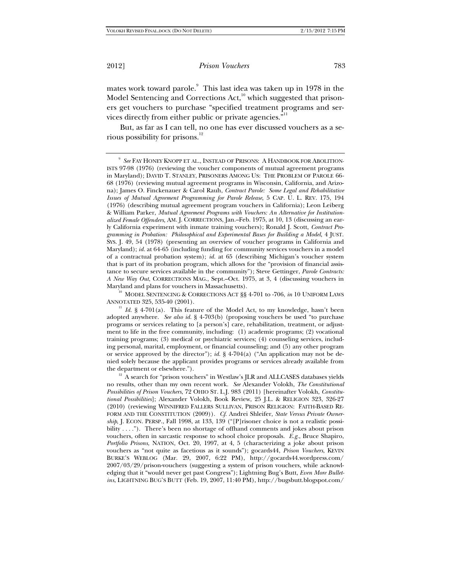mates work toward parole.<sup>9</sup> This last idea was taken up in 1978 in the Model Sentencing and Corrections  $Act<sub>10</sub><sup>10</sup>$  which suggested that prisoners get vouchers to purchase "specified treatment programs and services directly from either public or private agencies." $^{\rm n1}$ 

But, as far as I can tell, no one has ever discussed vouchers as a serious possibility for prisons.12

Maryland and plans for vouchers in Massachusetts).<br><sup>10</sup> MODEL SENTENCING & CORRECTIONS ACT §§ 4-701 to -706, *in* 10 UNIFORM LAWS<br>ANNOTATED 325, 535-40 (2001).

 $H$ <sup>11</sup> *Id.* § 4-701(a). This feature of the Model Act, to my knowledge, hasn't been adopted anywhere. *See also id.* § 4-703(b) (proposing vouchers be used "to purchase programs or services relating to [a person's] care, rehabilitation, treatment, or adjustment to life in the free community, including: (1) academic programs; (2) vocational training programs; (3) medical or psychiatric services; (4) counseling services, including personal, marital, employment, or financial counseling; and (5) any other program or service approved by the director"); *id.* § 4-704(a) ("An application may not be denied solely because the applicant provides programs or services already available from the department or elsewhere."). 12 A search for "prison vouchers" in Westlaw's JLR and ALLCASES databases yields

no results, other than my own recent work. *See* Alexander Volokh, *The Constitutional Possibilities of Prison Vouchers*, 72 OHIO ST. L.J. 983 (2011) [hereinafter Volokh, *Constitutional Possibilities*]; Alexander Volokh, Book Review, 25 J.L. & RELIGION 323, 326-27 (2010) (reviewing WINNIFRED FALLERS SULLIVAN, PRISON RELIGION: FAITH-BASED RE-FORM AND THE CONSTITUTION (2009)). *Cf.* Andrei Shleifer, *State Versus Private Ownership*, J. ECON. PERSP., Fall 1998, at 133, 139 ("[P]risoner choice is not a realistic possibility . . . ."). There's been no shortage of offhand comments and jokes about prison vouchers, often in sarcastic response to school choice proposals. *E.g.*, Bruce Shapiro, *Portfolio Prisons*, NATION, Oct. 20, 1997, at 4, 5 (characterizing a joke about prison vouchers as "not quite as facetious as it sounds"); gocards44, *Prison Vouchers*, KEVIN BURKE'S WEBLOG (Mar. 29, 2007, 6:22 PM), http://gocards44.wordpress.com/ 2007/03/29/prison-vouchers (suggesting a system of prison vouchers, while acknowledging that it "would never get past Congress"); Lightning Bug's Butt, *Even More Bulletins*, LIGHTNING BUG'S BUTT (Feb. 19, 2007, 11:40 PM), http://bugsbutt.blogspot.com/

<sup>9</sup> *See* FAY HONEY KNOPP ET AL., INSTEAD OF PRISONS: A HANDBOOK FOR ABOLITION-ISTS 97-98 (1976) (reviewing the voucher components of mutual agreement programs in Maryland); DAVID T. STANLEY, PRISONERS AMONG US: THE PROBLEM OF PAROLE 66- 68 (1976) (reviewing mutual agreement programs in Wisconsin, California, and Arizona); James O. Finckenauer & Carol Rauh, *Contract Parole: Some Legal and Rehabilitative Issues of Mutual Agreement Programming for Parole Release*, 5 CAP. U. L. REV. 175, 194 (1976) (describing mutual agreement program vouchers in California); Leon Leiberg & William Parker, *Mutual Agreement Programs with Vouchers: An Alternative for Institutionalized Female Offenders*, AM. J. CORRECTIONS, Jan.–Feb. 1975, at 10, 13 (discussing an early California experiment with inmate training vouchers); Ronald J. Scott, *Contract Programming in Probation: Philosophical and Experimental Bases for Building a Model*, 4 JUST. SYS. J. 49, 54 (1978) (presenting an overview of voucher programs in California and Maryland); *id.* at 64-65 (including funding for community services vouchers in a model of a contractual probation system); *id.* at 65 (describing Michigan's voucher system that is part of its probation program, which allows for the "provision of financial assistance to secure services available in the community"); Steve Gettinger, *Parole Contracts: A New Way Out*, CORRECTIONS MAG., Sept.–Oct. 1975, at 3, 4 (discussing vouchers in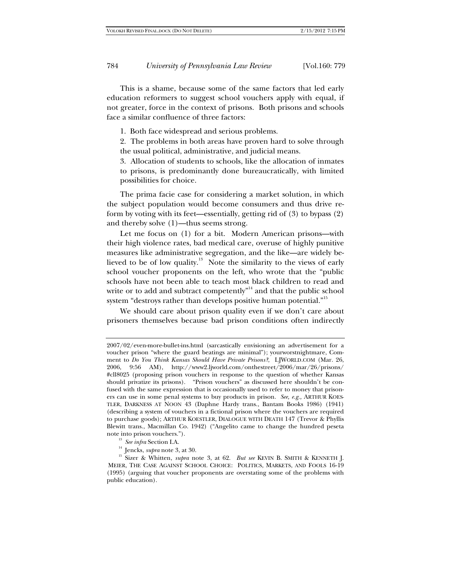This is a shame, because some of the same factors that led early education reformers to suggest school vouchers apply with equal, if not greater, force in the context of prisons. Both prisons and schools face a similar confluence of three factors:

1. Both face widespread and serious problems.

2. The problems in both areas have proven hard to solve through the usual political, administrative, and judicial means.

3. Allocation of students to schools, like the allocation of inmates to prisons, is predominantly done bureaucratically, with limited possibilities for choice.

The prima facie case for considering a market solution, in which the subject population would become consumers and thus drive reform by voting with its feet—essentially, getting rid of (3) to bypass (2) and thereby solve (1)—thus seems strong.

Let me focus on (1) for a bit. Modern American prisons—with their high violence rates, bad medical care, overuse of highly punitive measures like administrative segregation, and the like—are widely believed to be of low quality.<sup>13</sup> Note the similarity to the views of early school voucher proponents on the left, who wrote that the "public schools have not been able to teach most black children to read and write or to add and subtract competently $n<sup>14</sup>$  and that the public school system "destroys rather than develops positive human potential."<sup>15</sup>

We should care about prison quality even if we don't care about prisoners themselves because bad prison conditions often indirectly

<sup>2007/02/</sup>even-more-bullet-ins.html (sarcastically envisioning an advertisement for a voucher prison "where the guard beatings are minimal"); yourworstnightmare, Comment to *Do You Think Kansas Should Have Private Prisons?*, LJWORLD.COM (Mar. 26, 2006, 9:56 AM), http://www2.ljworld.com/onthestreet/2006/mar/26/prisons/ #cll8025 (proposing prison vouchers in response to the question of whether Kansas should privatize its prisons). "Prison vouchers" as discussed here shouldn't be confused with the same expression that is occasionally used to refer to money that prisoners can use in some penal systems to buy products in prison. *See, e.g.,* ARTHUR KOES-TLER, DARKNESS AT NOON 43 (Daphne Hardy trans., Bantam Books 1986) (1941) (describing a system of vouchers in a fictional prison where the vouchers are required to purchase goods); ARTHUR KOESTLER, DIALOGUE WITH DEATH 147 (Trevor & Phyllis Blewitt trans., Macmillan Co. 1942) ("Angelito came to change the hundred peseta note into prison vouchers.").<br><sup>13</sup> *See infra* Section I.A.<br><sup>14</sup> Jencks, *supra* note 3, at 30.<br><sup>15</sup> Sizer & Whitten, *supra* note 3, at 62. *But see* KEVIN B. SMITH & KENNETH J.

MEIER, THE CASE AGAINST SCHOOL CHOICE: POLITICS, MARKETS, AND FOOLS 16-19 (1995) (arguing that voucher proponents are overstating some of the problems with public education).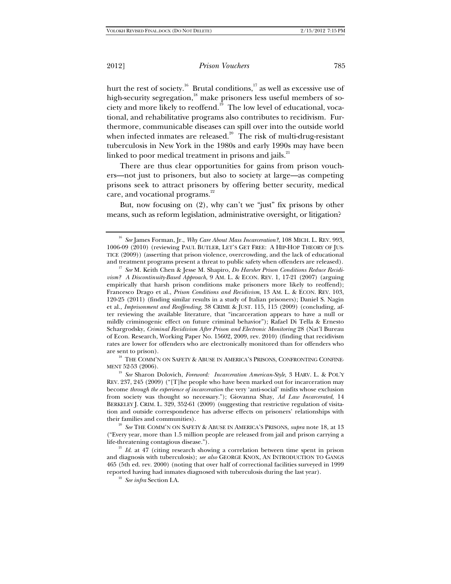hurt the rest of society.<sup>16</sup> Brutal conditions,<sup>17</sup> as well as excessive use of high-security segregation,<sup>18</sup> make prisoners less useful members of society and more likely to reoffend.<sup>19</sup> The low level of educational, vocational, and rehabilitative programs also contributes to recidivism. Furthermore, communicable diseases can spill over into the outside world when infected inmates are released.<sup>20</sup> The risk of multi-drug-resistant tuberculosis in New York in the 1980s and early 1990s may have been linked to poor medical treatment in prisons and jails.<sup>21</sup>

There are thus clear opportunities for gains from prison vouchers—not just to prisoners, but also to society at large—as competing prisons seek to attract prisoners by offering better security, medical care, and vocational programs.<sup>22</sup>

But, now focusing on (2), why can't we "just" fix prisons by other means, such as reform legislation, administrative oversight, or litigation?

are sent to prison).<br><sup>18</sup> THE COMM'N ON SAFETY & ABUSE IN AMERICA'S PRISONS, CONFRONTING CONFINE-MENT 52-53 (2006).

<sup>19</sup> *See* Sharon Dolovich, *Foreword: Incarceration American-Style*, 3 HARV. L. & POL'Y REV. 237, 245 (2009) ("[T]he people who have been marked out for incarceration may become *through the experience of incarceration* the very 'anti-social' misfits whose exclusion from society was thought so necessary."); Giovanna Shay, *Ad Law Incarcerated*, 14 BERKELEY J. CRIM. L. 329, 352-61 (2009) (suggesting that restrictive regulation of visitation and outside correspondence has adverse effects on prisoners' relationships with

<sup>20</sup> See THE COMM'N ON SAFETY & ABUSE IN AMERICA'S PRISONS, *supra* note 18, at 13 ("Every year, more than 1.5 million people are released from jail and prison carrying a

life-threatening contagious disease."). 21 *Id.* at 47 (citing research showing a correlation between time spent in prison and diagnosis with tuberculosis); *see also* GEORGE KNOX, AN INTRODUCTION TO GANGS 465 (5th ed. rev. 2000) (noting that over half of correctional facilities surveyed in 1999 reported having had inmates diagnosed with tuberculosis during the last year). 22 *See infra* Section I.A.

<sup>16</sup> *See* James Forman, Jr., *Why Care About Mass Incarceration?*, 108 MICH. L. REV. 993, 1006-09 (2010) (reviewing PAUL BUTLER, LET'S GET FREE: A HIP-HOP THEORY OF JUS-TICE (2009)) (asserting that prison violence, overcrowding, and the lack of educational and treatment programs present a threat to public safety when offenders are released). 17 *See* M. Keith Chen & Jesse M. Shapiro, *Do Harsher Prison Conditions Reduce Recidi-*

*vism? A Discontinuity-Based Approach*, 9 AM. L. & ECON. REV. 1, 17-21 (2007) (arguing empirically that harsh prison conditions make prisoners more likely to reoffend); Francesco Drago et al., *Prison Conditions and Recidivism*, 13 AM. L. & ECON. REV. 103, 120-25 (2011) (finding similar results in a study of Italian prisoners); Daniel S. Nagin et al., *Imprisonment and Reoffending*, 38 CRIME & JUST. 115, 115 (2009) (concluding, after reviewing the available literature, that "incarceration appears to have a null or mildly criminogenic effect on future criminal behavior"); Rafael Di Tella & Ernesto Schargrodsky, *Criminal Recidivism After Prison and Electronic Monitoring* 28 (Nat'l Bureau of Econ. Research, Working Paper No. 15602, 2009, rev. 2010) (finding that recidivism rates are lower for offenders who are electronically monitored than for offenders who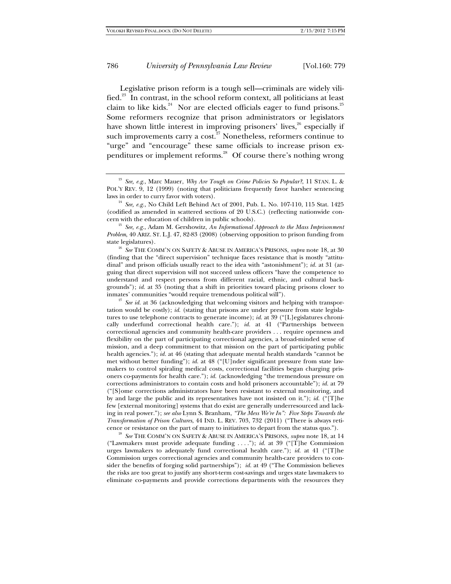Legislative prison reform is a tough sell—criminals are widely vilified.23 In contrast, in the school reform context, all politicians at least claim to like kids. $24$  Nor are elected officials eager to fund prisons.<sup>25</sup> Some reformers recognize that prison administrators or legislators have shown little interest in improving prisoners' lives,<sup>26</sup> especially if such improvements carry a cost.<sup>27</sup> Nonetheless, reformers continue to "urge" and "encourage" these same officials to increase prison expenditures or implement reforms.<sup>28</sup> Of course there's nothing wrong

*Problem*, 40 ARIZ. ST. L.J. 47, 82-83 (2008) (observing opposition to prison funding from

state legislatures). 26 *See* THE COMM'N ON SAFETY & ABUSE IN AMERICA'S PRISONS, *supra* note 18, at 30 (finding that the "direct supervision" technique faces resistance that is mostly "attitudinal" and prison officials usually react to the idea with "astonishment"); *id.* at 31 (arguing that direct supervision will not succeed unless officers "have the competence to understand and respect persons from different racial, ethnic, and cultural backgrounds"); *id.* at 35 (noting that a shift in priorities toward placing prisons closer to inmates' communities "would require tremendous political will"). 27 *See id.* at 36 (acknowledging that welcoming visitors and helping with transpor-

tation would be costly); *id.* (stating that prisons are under pressure from state legislatures to use telephone contracts to generate income); *id.* at 39 ("[L]egislatures chronically underfund correctional health care."); *id.* at 41 ("Partnerships between correctional agencies and community health-care providers . . . require openness and flexibility on the part of participating correctional agencies, a broad-minded sense of mission, and a deep commitment to that mission on the part of participating public health agencies."); *id.* at 46 (stating that adequate mental health standards "cannot be met without better funding"); *id.* at 48 ("[U]nder significant pressure from state lawmakers to control spiraling medical costs, correctional facilities began charging prisoners co-payments for health care."); *id.* (acknowledging "the tremendous pressure on corrections administrators to contain costs and hold prisoners accountable"); *id.* at 79 ("[S]ome corrections administrators have been resistant to external monitoring, and by and large the public and its representatives have not insisted on it."); *id.* ("[T]he few [external monitoring] systems that do exist are generally underresourced and lacking in real power."); *see also* Lynn S. Branham, *"The Mess We're In": Five Steps Towards the Transformation of Prison Cultures*, 44 IND. L. REV. 703, 732 (2011) ("There is always reti-<br>cence or resistance on the part of many to initiatives to depart from the status quo.").

<sup>28</sup> See THE COMM'N ON SAFETY & ABUSE IN AMERICA'S PRISONS, *supra* note 18, at 14 ("Lawmakers must provide adequate funding . . . ."); *id.* at 39 ("[T]he Commission urges lawmakers to adequately fund correctional health care."); *id.* at 41 ("[T]he Commission urges correctional agencies and community health-care providers to consider the benefits of forging solid partnerships"); *id.* at 49 ("The Commission believes the risks are too great to justify any short-term cost-savings and urges state lawmakers to eliminate co-payments and provide corrections departments with the resources they

<sup>23</sup> *See, e.g.*, Marc Mauer, *Why Are Tough on Crime Policies So Popular?*, 11 STAN. L. & POL'Y REV. 9, 12 (1999) (noting that politicians frequently favor harsher sentencing laws in order to curry favor with voters).<br><sup>24</sup> *See, e.g.*, No Child Left Behind Act of 2001, Pub. L. No. 107-110, 115 Stat. 1425

<sup>(</sup>codified as amended in scattered sections of 20 U.S.C.) (reflecting nationwide concern with the education of children in public schools). 25 *See, e.g.*, Adam M. Gershowitz, *An Informational Approach to the Mass Imprisonment*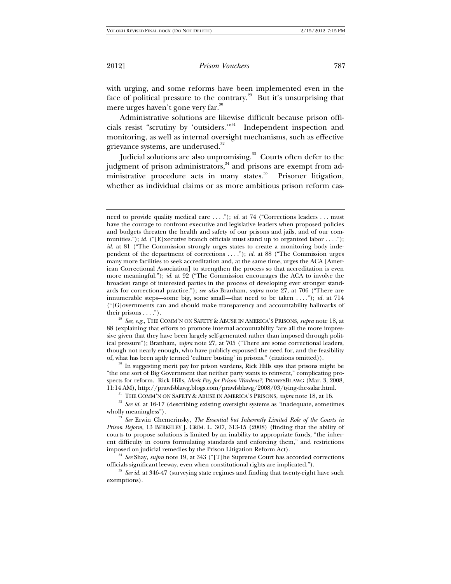with urging, and some reforms have been implemented even in the face of political pressure to the contrary.<sup>29</sup> But it's unsurprising that mere urges haven't gone very far.<sup>30</sup>

Administrative solutions are likewise difficult because prison officials resist "scrutiny by 'outsiders."<sup>31</sup> Independent inspection and monitoring, as well as internal oversight mechanisms, such as effective grievance systems, are underused.<sup>32</sup>

Judicial solutions are also unpromising.<sup>33</sup> Courts often defer to the judgment of prison administrators,<sup>34</sup> and prisons are exempt from administrative procedure acts in many states.<sup>35</sup> Prisoner litigation, whether as individual claims or as more ambitious prison reform cas-

 $t^{29}$  *See, e.g.*, THE COMM'N ON SAFETY & ABUSE IN AMERICA'S PRISONS, *supra* note 18, at 88 (explaining that efforts to promote internal accountability "are all the more impressive given that they have been largely self-generated rather than imposed through political pressure"); Branham, *supra* note 27, at 705 ("There are some correctional leaders, though not nearly enough, who have publicly espoused the need for, and the feasibility of, what has been aptly termed 'culture busting' in prisons." (citations omitted)).<br><sup>30</sup> In suggesting merit pay for prison wardens, Rick Hills says that prisons might be

"the one sort of Big Government that neither party wants to reinvent," complicating prospects for reform. Rick Hills, *Merit Pay for Prison Wardens?*, PRAWFSBLAWG (Mar. 3, 2008, 11:14 AM), http://prawfsblawg.blogs.com/prawfsblawg/2008/03/tying-the-salar.html.

<sup>31</sup> THE COMM'N ON SAFETY & ABUSE IN AMERICA'S PRISONS, *supra* note 18, at 16.<br><sup>32</sup> See id. at 16-17 (describing existing oversight systems as "inadequate, sometimes"

wholly meaningless"). 33 *See* Erwin Chemerinsky, *The Essential but Inherently Limited Role of the Courts in Prison Reform*, 13 BERKELEY J. CRIM. L. 307, 313-15 (2008) (finding that the ability of courts to propose solutions is limited by an inability to appropriate funds, "the inherent difficulty in courts formulating standards and enforcing them," and restrictions imposed on judicial remedies by the Prison Litigation Reform Act). 34 *See* Shay, *supra* note 19, at 343 ("[T]he Supreme Court has accorded corrections

officials significant leeway, even when constitutional rights are implicated."). 35 *See id.* at 346-47 (surveying state regimes and finding that twenty-eight have such

exemptions).

need to provide quality medical care . . . ."); *id.* at 74 ("Corrections leaders . . . must have the courage to confront executive and legislative leaders when proposed policies and budgets threaten the health and safety of our prisons and jails, and of our communities."); *id.* ("[E]xecutive branch officials must stand up to organized labor . . . ."); *id.* at 81 ("The Commission strongly urges states to create a monitoring body independent of the department of corrections . . . ."); *id.* at 88 ("The Commission urges many more facilities to seek accreditation and, at the same time, urges the ACA [American Correctional Association] to strengthen the process so that accreditation is even more meaningful."); *id.* at 92 ("The Commission encourages the ACA to involve the broadest range of interested parties in the process of developing ever stronger standards for correctional practice."); *see also* Branham, *supra* note 27, at 706 ("There are innumerable steps—some big, some small*—*that need to be taken . . . ."); *id.* at 714 ("[G]overnments can and should make transparency and accountability hallmarks of their prisons . . . .").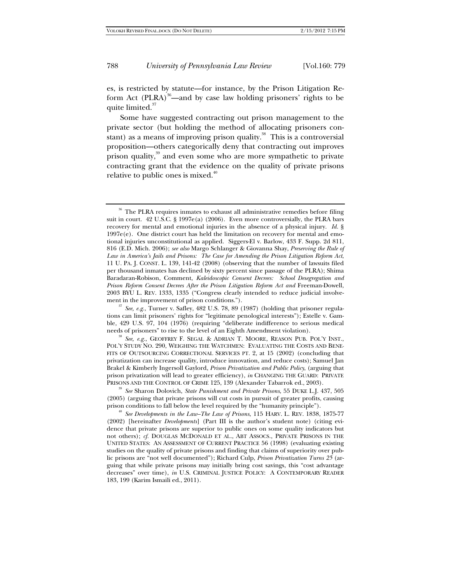es, is restricted by statute—for instance, by the Prison Litigation Reform Act (PLRA)<sup>36</sup>—and by case law holding prisoners' rights to be quite limited.<sup>37</sup>

Some have suggested contracting out prison management to the private sector (but holding the method of allocating prisoners constant) as a means of improving prison quality.<sup>38</sup> This is a controversial proposition—others categorically deny that contracting out improves prison quality,<sup>39</sup> and even some who are more sympathetic to private contracting grant that the evidence on the quality of private prisons relative to public ones is mixed. $40$ 

<sup>&</sup>lt;sup>36</sup> The PLRA requires inmates to exhaust all administrative remedies before filing suit in court.  $42 \text{ U.S.C. }$  § 1997e(a) (2006). Even more controversially, the PLRA bars recovery for mental and emotional injuries in the absence of a physical injury. *Id.* §  $1997e(e)$ . One district court has held the limitation on recovery for mental and emotional injuries unconstitutional as applied. Siggers-El v. Barlow, 433 F. Supp. 2d 811, 816 (E.D. Mich. 2006); *see also* Margo Schlanger & Giovanna Shay, *Preserving the Rule of Law in America's Jails and Prisons: The Case for Amending the Prison Litigation Reform Act*, 11 U. PA. J. CONST. L. 139, 141-42 (2008) (observing that the number of lawsuits filed per thousand inmates has declined by sixty percent since passage of the PLRA); Shima Baradaran-Robison, Comment, *Kaleidoscopic Consent Decrees: School Desegregation and Prison Reform Consent Decrees After the Prison Litigation Reform Act and* Freeman-Dowell, 2003 BYU L. REV. 1333, 1335 ("Congress clearly intended to reduce judicial involvement in the improvement of prison conditions.").<br><sup>37</sup> *See, e.g.*, Turner v. Safley, 482 U.S. 78, 89 (1987) (holding that prisoner regula-

tions can limit prisoners' rights for "legitimate penological interests"); Estelle v. Gamble, 429 U.S. 97, 104 (1976) (requiring "deliberate indifference to serious medical needs of prisoners" to rise to the level of an Eighth Amendment violation).<br><sup>38</sup> *See, e.g.*, GEOFFREY F. SEGAL & ADRIAN T. MOORE, REASON PUB. POL'Y INST.,

POL'Y STUDY NO. 290, WEIGHING THE WATCHMEN: EVALUATING THE COSTS AND BENE-FITS OF OUTSOURCING CORRECTIONAL SERVICES PT. 2, at 15 (2002) (concluding that privatization can increase quality, introduce innovation, and reduce costs); Samuel Jan Brakel & Kimberly Ingersoll Gaylord, *Prison Privatization and Public Policy*, (arguing that prison privatization will lead to greater efficiency), *in* CHANGING THE GUARD: PRIVATE PRISONS AND THE CONTROL OF CRIME 125, 139 (Alexander Tabarrok ed., 2003). 39 *See* Sharon Dolovich, *State Punishment and Private Prisons*, 55 DUKE L.J. 437, 505

<sup>(2005) (</sup>arguing that private prisons will cut costs in pursuit of greater profits, causing

<sup>&</sup>lt;sup>40</sup> See Developments in the Law–The Law of Prisons, 115 HARV. L. REV. 1838, 1875-77 (2002) [hereinafter *Developments*] (Part III is the author's student note) (citing evidence that private prisons are superior to public ones on some quality indicators but not others); *cf.* DOUGLAS MCDONALD ET AL., ABT ASSOCS., PRIVATE PRISONS IN THE UNITED STATES: AN ASSESSMENT OF CURRENT PRACTICE 56 (1998) (evaluating existing studies on the quality of private prisons and finding that claims of superiority over public prisons are "not well documented"); Richard Culp, *Prison Privatization Turns 25* (arguing that while private prisons may initially bring cost savings, this "cost advantage decreases" over time), *in* U.S. CRIMINAL JUSTICE POLICY: A CONTEMPORARY READER 183, 199 (Karim Ismaili ed., 2011).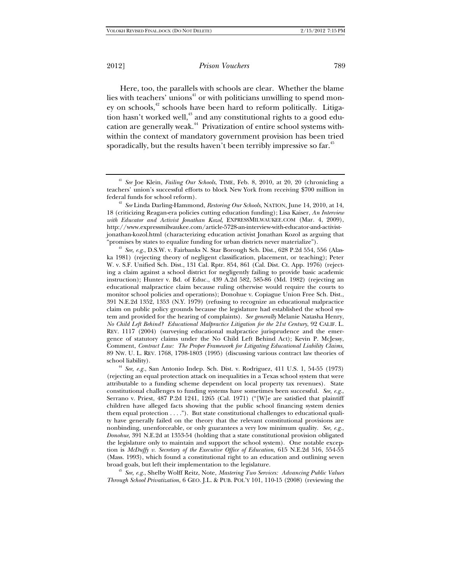Here, too, the parallels with schools are clear. Whether the blame lies with teachers' unions<sup>41</sup> or with politicians unwilling to spend money on schools,<sup>42</sup> schools have been hard to reform politically. Litigation hasn't worked well,<sup>43</sup> and any constitutional rights to a good education are generally weak.<sup>44</sup> Privatization of entire school systems withwithin the context of mandatory government provision has been tried sporadically, but the results haven't been terribly impressive so far.<sup>45</sup>

18 (criticizing Reagan-era policies cutting education funding); Lisa Kaiser, *An Interview with Educator and Activist Jonathan Kozol*, EXPRESSMILWAUKEE.COM (Mar. 4, 2009), http://www.expressmilwaukee.com/article-5728-an-interview-with-educator-and-activistjonathan-kozol.html (characterizing education activist Jonathan Kozol as arguing that

"promises by states to equalize funding for urban districts never materialize"). 43 *See, e.g.*, D.S.W. v. Fairbanks N. Star Borough Sch. Dist., 628 P.2d 554, 556 (Alaska 1981) (rejecting theory of negligent classification, placement, or teaching); Peter W. v. S.F. Unified Sch. Dist., 131 Cal. Rptr. 854, 861 (Cal. Dist. Ct. App. 1976) (rejecting a claim against a school district for negligently failing to provide basic academic instruction); Hunter v. Bd. of Educ., 439 A.2d 582, 585-86 (Md. 1982) (rejecting an educational malpractice claim because ruling otherwise would require the courts to monitor school policies and operations); Donohue v. Copiague Union Free Sch. Dist., 391 N.E.2d 1352, 1353 (N.Y. 1979) (refusing to recognize an educational malpractice claim on public policy grounds because the legislature had established the school system and provided for the hearing of complaints). *See generally* Melanie Natasha Henry, *No Child Left Behind? Educational Malpractice Litigation for the 21st Century*, 92 CALIF. L. REV. 1117 (2004) (surveying educational malpractice jurisprudence and the emergence of statutory claims under the No Child Left Behind Act); Kevin P. McJessy, Comment, *Contract Law: The Proper Framework for Litigating Educational Liability Claims*, 89 NW. U. L. REV. 1768, 1798-1803 (1995) (discussing various contract law theories of

school liability). 44 *See, e.g.*, San Antonio Indep. Sch. Dist. v. Rodriguez, 411 U.S. 1, 54-55 (1973) (rejecting an equal protection attack on inequalities in a Texas school system that were attributable to a funding scheme dependent on local property tax revenues). State constitutional challenges to funding systems have sometimes been successful. *See, e.g.*, Serrano v. Priest, 487 P.2d 1241, 1265 (Cal. 1971) ("[W]e are satisfied that plaintiff children have alleged facts showing that the public school financing system denies them equal protection . . . ."). But state constitutional challenges to educational quality have generally failed on the theory that the relevant constitutional provisions are nonbinding, unenforceable, or only guarantees a very low minimum quality. *See, e.g.*, *Donohue*, 391 N.E.2d at 1353-54 (holding that a state constitutional provision obligated the legislature only to maintain and support the school system). One notable exception is *McDuffy v. Secretary of the Executive Office of Education*, 615 N.E.2d 516, 554-55 (Mass. 1993), which found a constitutional right to an education and outlining seven broad goals, but left their implementation to the legislature. 45 *See, e.g.*, Shelby Wolff Reitz, Note, *Mastering Two Services: Advancing Public Values* 

*Through School Privatization*, 6 GEO. J.L. & PUB. POL'Y 101, 110-15 (2008) (reviewing the

<sup>41</sup> *See* Joe Klein, *Failing Our Schools*, TIME, Feb. 8, 2010, at 20, 20 (chronicling a teachers' union's successful efforts to block New York from receiving \$700 million in federal funds for school reform). 42 *See* Linda Darling-Hammond, *Restoring Our Schools*, NATION, June 14, 2010, at 14,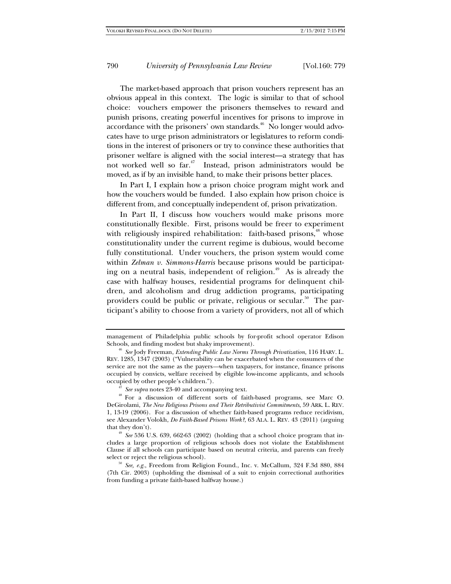The market-based approach that prison vouchers represent has an obvious appeal in this context. The logic is similar to that of school choice: vouchers empower the prisoners themselves to reward and punish prisons, creating powerful incentives for prisons to improve in  $\alpha$ ccordance with the prisoners' own standards.<sup> $46$ </sup> No longer would advocates have to urge prison administrators or legislatures to reform conditions in the interest of prisoners or try to convince these authorities that prisoner welfare is aligned with the social interest—a strategy that has not worked well so  $ar^4$ . Instead, prison administrators would be moved, as if by an invisible hand, to make their prisons better places.

In Part I, I explain how a prison choice program might work and how the vouchers would be funded. I also explain how prison choice is different from, and conceptually independent of, prison privatization.

In Part II, I discuss how vouchers would make prisons more constitutionally flexible. First, prisons would be freer to experiment with religiously inspired rehabilitation: faith-based prisons, $48$  whose constitutionality under the current regime is dubious, would become fully constitutional. Under vouchers, the prison system would come within *Zelman v. Simmons-Harris* because prisons would be participating on a neutral basis, independent of religion.<sup>49</sup> As is already the case with halfway houses, residential programs for delinquent children, and alcoholism and drug addiction programs, participating providers could be public or private, religious or secular.<sup>50</sup> The participant's ability to choose from a variety of providers, not all of which

management of Philadelphia public schools by for-profit school operator Edison

<sup>&</sup>lt;sup>46</sup> See Jody Freeman, *Extending Public Law Norms Through Privatization*, 116 HARV. L. REV. 1285, 1347 (2003) ("Vulnerability can be exacerbated when the consumers of the service are not the same as the payers*—*when taxpayers, for instance, finance prisons occupied by convicts, welfare received by eligible low-income applicants, and schools

<sup>&</sup>lt;sup>47</sup> *See supra* notes 23-40 and accompanying text.<br><sup>48</sup> For a discussion of different sorts of faith-based programs, see Marc O. DeGirolami, *The New Religious Prisons and Their Retributivist Commitments*, 59 ARK. L. REV. 1, 13-19 (2006). For a discussion of whether faith-based programs reduce recidivism, see Alexander Volokh, *Do Faith-Based Prisons Work?*, 63 ALA. L. REV. 43 (2011) (arguing that they don't). 49 *See* 536 U.S. 639, 662-63 (2002) (holding that a school choice program that in-

cludes a large proportion of religious schools does not violate the Establishment Clause if all schools can participate based on neutral criteria, and parents can freely select or reject the religious school). 50 *See, e.g.*, Freedom from Religion Found., Inc. v. McCallum, 324 F.3d 880, 884

<sup>(7</sup>th Cir. 2003) (upholding the dismissal of a suit to enjoin correctional authorities from funding a private faith-based halfway house.)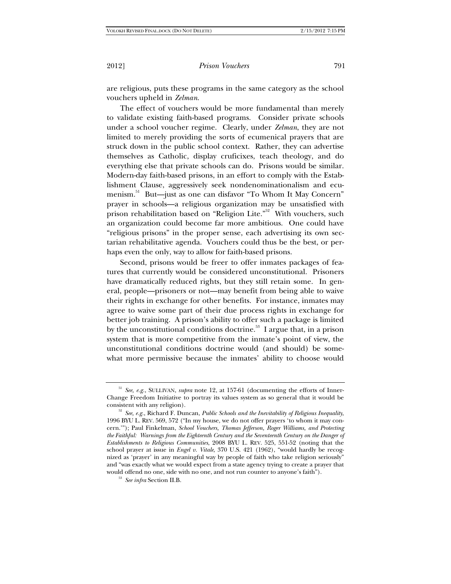are religious, puts these programs in the same category as the school vouchers upheld in *Zelman*.

The effect of vouchers would be more fundamental than merely to validate existing faith-based programs. Consider private schools under a school voucher regime. Clearly, under *Zelman*, they are not limited to merely providing the sorts of ecumenical prayers that are struck down in the public school context. Rather, they can advertise themselves as Catholic, display cruficixes, teach theology, and do everything else that private schools can do. Prisons would be similar. Modern-day faith-based prisons, in an effort to comply with the Establishment Clause, aggressively seek nondenominationalism and ecumenism.<sup>51</sup> But—just as one can disfavor "To Whom It May Concern" prayer in schools—a religious organization may be unsatisfied with prison rehabilitation based on "Religion Lite."<sup>52</sup> With vouchers, such an organization could become far more ambitious. One could have "religious prisons" in the proper sense, each advertising its own sectarian rehabilitative agenda. Vouchers could thus be the best, or perhaps even the only, way to allow for faith-based prisons.

Second, prisons would be freer to offer inmates packages of features that currently would be considered unconstitutional. Prisoners have dramatically reduced rights, but they still retain some. In general, people—prisoners or not—may benefit from being able to waive their rights in exchange for other benefits. For instance, inmates may agree to waive some part of their due process rights in exchange for better job training. A prison's ability to offer such a package is limited by the unconstitutional conditions doctrine.<sup>53</sup> I argue that, in a prison system that is more competitive from the inmate's point of view, the unconstitutional conditions doctrine would (and should) be somewhat more permissive because the inmates' ability to choose would

<sup>51</sup> *See, e.g.*, SULLIVAN, *supra* note 12, at 157-61 (documenting the efforts of Inner-Change Freedom Initiative to portray its values system as so general that it would be consistent with any religion). 52 *See, e.g.*, Richard F. Duncan, *Public Schools and the Inevitability of Religious Inequality*,

<sup>1996</sup> BYU L. REV. 569, 572 ("In my house, we do not offer prayers 'to whom it may concern.'"); Paul Finkelman, *School Vouchers, Thomas Jefferson, Roger Williams, and Protecting the Faithful: Warnings from the Eighteenth Century and the Seventeenth Century on the Danger of Establishments to Religious Communities*, 2008 BYU L. REV. 525, 551-52 (noting that the school prayer at issue in *Engel v. Vitale*, 370 U.S. 421 (1962), "would hardly be recognized as 'prayer' in any meaningful way by people of faith who take religion seriously" and "was exactly what we would expect from a state agency trying to create a prayer that would offend no one, side with no one, and not run counter to anyone's faith"). 53 *See infra* Section II.B.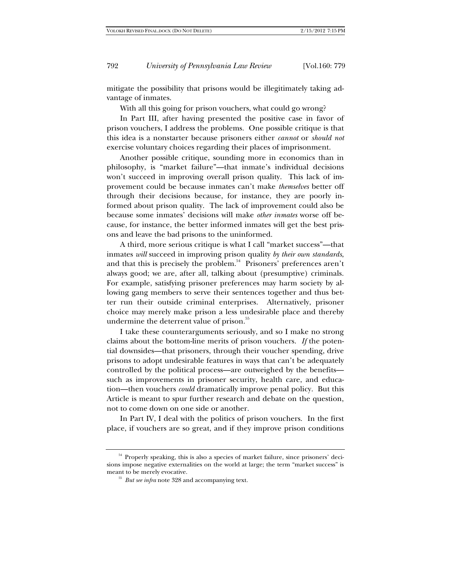mitigate the possibility that prisons would be illegitimately taking advantage of inmates.

With all this going for prison vouchers, what could go wrong?

In Part III, after having presented the positive case in favor of prison vouchers, I address the problems. One possible critique is that this idea is a nonstarter because prisoners either *cannot* or *should not* exercise voluntary choices regarding their places of imprisonment.

Another possible critique, sounding more in economics than in philosophy, is "market failure"—that inmate's individual decisions won't succeed in improving overall prison quality. This lack of improvement could be because inmates can't make *themselves* better off through their decisions because, for instance, they are poorly informed about prison quality. The lack of improvement could also be because some inmates' decisions will make *other inmates* worse off because, for instance, the better informed inmates will get the best prisons and leave the bad prisons to the uninformed.

A third, more serious critique is what I call "market success"—that inmates *will* succeed in improving prison quality *by their own standards*, and that this is precisely the problem.<sup>54</sup> Prisoners' preferences aren't always good; we are, after all, talking about (presumptive) criminals. For example, satisfying prisoner preferences may harm society by allowing gang members to serve their sentences together and thus better run their outside criminal enterprises. Alternatively, prisoner choice may merely make prison a less undesirable place and thereby undermine the deterrent value of prison.<sup>55</sup>

I take these counterarguments seriously, and so I make no strong claims about the bottom-line merits of prison vouchers. *If* the potential downsides—that prisoners, through their voucher spending, drive prisons to adopt undesirable features in ways that can't be adequately controlled by the political process—are outweighed by the benefits such as improvements in prisoner security, health care, and education—then vouchers *could* dramatically improve penal policy. But this Article is meant to spur further research and debate on the question, not to come down on one side or another.

In Part IV, I deal with the politics of prison vouchers. In the first place, if vouchers are so great, and if they improve prison conditions

<sup>54</sup> Properly speaking, this is also a species of market failure, since prisoners' decisions impose negative externalities on the world at large; the term "market success" is meant to be merely evocative.

 $55$  *But see infra* note 328 and accompanying text.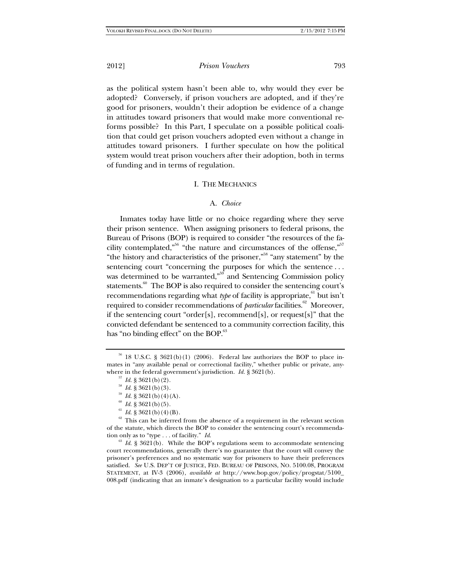as the political system hasn't been able to, why would they ever be adopted? Conversely, if prison vouchers are adopted, and if they're good for prisoners, wouldn't their adoption be evidence of a change in attitudes toward prisoners that would make more conventional reforms possible? In this Part, I speculate on a possible political coalition that could get prison vouchers adopted even without a change in attitudes toward prisoners. I further speculate on how the political system would treat prison vouchers after their adoption, both in terms of funding and in terms of regulation.

#### I. THE MECHANICS

#### A. *Choice*

Inmates today have little or no choice regarding where they serve their prison sentence. When assigning prisoners to federal prisons, the Bureau of Prisons (BOP) is required to consider "the resources of the facility contemplated,"<sup>56</sup> "the nature and circumstances of the offense,"<sup>57</sup> "the history and characteristics of the prisoner,"58 "any statement" by the sentencing court "concerning the purposes for which the sentence ... was determined to be warranted,<sup>559</sup> and Sentencing Commission policy statements.<sup>60</sup> The BOP is also required to consider the sentencing court's recommendations regarding what *type* of facility is appropriate, $61$  but isn't required to consider recommendations of *particular* facilities.<sup>62</sup> Moreover, if the sentencing court "order[s], recommend[s], or request[s]" that the convicted defendant be sentenced to a community correction facility, this has "no binding effect" on the BOP.<sup>63</sup>

- 
- 
- 
- 

of the statute, which directs the BOP to consider the sentencing court's recommendation only as to "type . . . of facility." *Id.*<br><sup>63</sup> *Id.* § 3621(b). While the BOP's regulations seem to accommodate sentencing

court recommendations, generally there's no guarantee that the court will convey the prisoner's preferences and no systematic way for prisoners to have their preferences satisfied. *See* U.S. DEP'T OF JUSTICE, FED. BUREAU OF PRISONS, NO. 5100.08, PROGRAM STATEMENT, at IV-3 (2006), *available at* http://www.bop.gov/policy/progstat/5100\_ 008.pdf (indicating that an inmate's designation to a particular facility would include

 $56$  18 U.S.C. § 3621(b)(1) (2006). Federal law authorizes the BOP to place inmates in "any available penal or correctional facility," whether public or private, anywhere in the federal government's jurisdiction. *Id*. § 3621(b).<br><sup>57</sup> *Id*. § 3621(b)(2).<br><sup>58</sup> *Id*. § 3621(b)(3).<br><sup>59</sup> *Id*. § 3621(b)(4)(A).<br><sup>60</sup> *Id*. § 3621(b)(5).<br><sup>61</sup> *Id*. § 3621(b)(4)(B).<br><sup>61</sup> *Id*. § 3621(b)(4)(B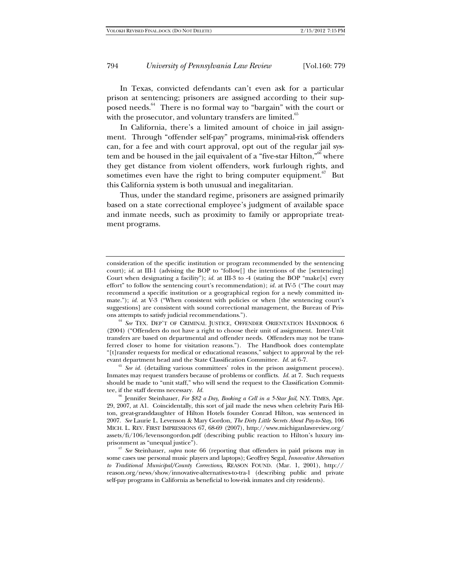In Texas, convicted defendants can't even ask for a particular prison at sentencing; prisoners are assigned according to their supposed needs.<sup>64</sup> There is no formal way to "bargain" with the court or with the prosecutor, and voluntary transfers are limited. $65$ 

In California, there's a limited amount of choice in jail assignment. Through "offender self-pay" programs, minimal-risk offenders can, for a fee and with court approval, opt out of the regular jail system and be housed in the jail equivalent of a "five-star Hilton,"<sup>66</sup> where they get distance from violent offenders, work furlough rights, and sometimes even have the right to bring computer equipment. $67$  But this California system is both unusual and inegalitarian.

Thus, under the standard regime, prisoners are assigned primarily based on a state correctional employee's judgment of available space and inmate needs, such as proximity to family or appropriate treatment programs.

(2004) ("Offenders do not have a right to choose their unit of assignment. Inter-Unit transfers are based on departmental and offender needs. Offenders may not be transferred closer to home for visitation reasons."). The Handbook does contemplate "[t]ransfer requests for medical or educational reasons," subject to approval by the relevant department head and the State Classification Committee. *Id.* at 6-7.<br><sup>65</sup> *See id.* (detailing various committees' roles in the prison assignment process).

Inmates may request transfers because of problems or conflicts. *Id.* at 7. Such requests should be made to "unit staff," who will send the request to the Classification Committee, if the staff deems necessary. *Id.*

<sup>66</sup> Jennifer Steinhauer, *For \$82 a Day, Booking a Cell in a 5-Star Jail*, N.Y. TIMES, Apr. 29, 2007, at A1. Coincidentally, this sort of jail made the news when celebrity Paris Hilton, great-granddaughter of Hilton Hotels founder Conrad Hilton, was sentenced in 2007. *See* Laurie L. Levenson & Mary Gordon, *The Dirty Little Secrets About Pay-to-Stay*, 106 MICH. L. REV. FIRST IMPRESSIONS 67, 68-69 (2007), http://www.michiganlawreview.org/ assets/fi/106/levensongordon.pdf (describing public reaction to Hilton's luxury imprisonment as "unequal justice").<br><sup>67</sup> *See* Steinhauer, *supra* note 66 (reporting that offenders in paid prisons may in

some cases use personal music players and laptops); Geoffrey Segal, *Innovative Alternatives to Traditional Municipal/County Corrections*, REASON FOUND. (Mar. 1, 2001), http:// reason.org/news/show/innovative-alternatives-to-tra-1 (describing public and private self-pay programs in California as beneficial to low-risk inmates and city residents).

consideration of the specific institution or program recommended by the sentencing court); *id.* at III-1 (advising the BOP to "follow[] the intentions of the [sentencing] Court when designating a facility"); *id.* at III-3 to -4 (stating the BOP "make[s] every effort" to follow the sentencing court's recommendation); *id.* at IV-5 ("The court may recommend a specific institution or a geographical region for a newly committed inmate."); *id.* at V-3 ("When consistent with policies or when [the sentencing court's suggestions] are consistent with sound correctional management, the Bureau of Prisons attempts to satisfy judicial recommendations.").<br><sup>64</sup> *See* TEX. DEP'T OF CRIMINAL JUSTICE, OFFENDER ORIENTATION HANDBOOK 6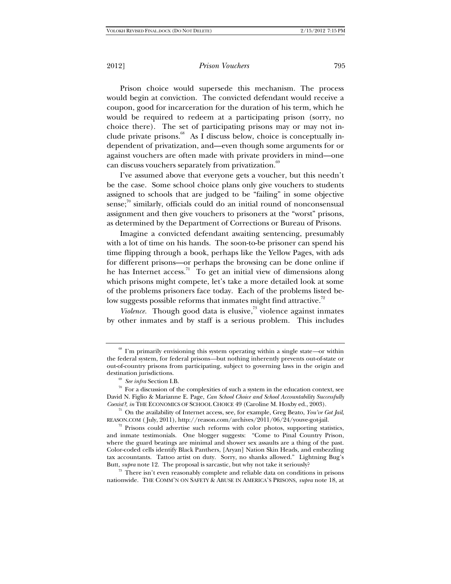Prison choice would supersede this mechanism. The process would begin at conviction. The convicted defendant would receive a coupon, good for incarceration for the duration of his term, which he would be required to redeem at a participating prison (sorry, no choice there). The set of participating prisons may or may not include private prisons. $^{68}$  As I discuss below, choice is conceptually independent of privatization, and—even though some arguments for or against vouchers are often made with private providers in mind—one can discuss vouchers separately from privatization.<sup>69</sup>

I've assumed above that everyone gets a voucher, but this needn't be the case. Some school choice plans only give vouchers to students assigned to schools that are judged to be "failing" in some objective sense; $\frac{70}{10}$  similarly, officials could do an initial round of nonconsensual assignment and then give vouchers to prisoners at the "worst" prisons, as determined by the Department of Corrections or Bureau of Prisons.

Imagine a convicted defendant awaiting sentencing, presumably with a lot of time on his hands. The soon-to-be prisoner can spend his time flipping through a book, perhaps like the Yellow Pages, with ads for different prisons—or perhaps the browsing can be done online if he has Internet  $access.^{71}$  To get an initial view of dimensions along which prisons might compete, let's take a more detailed look at some of the problems prisoners face today. Each of the problems listed below suggests possible reforms that inmates might find attractive.<sup>72</sup>

*Violence.* Though good data is elusive, $73$  violence against inmates by other inmates and by staff is a serious problem. This includes

nationwide. THE COMM'N ON SAFETY & ABUSE IN AMERICA'S PRISONS, *supra* note 18, at

<sup>68</sup> I'm primarily envisioning this system operating within a single state*—*or within the federal system, for federal prisons*—*but nothing inherently prevents out-of-state or out-of-country prisons from participating, subject to governing laws in the origin and

<sup>&</sup>lt;sup>69</sup> *See infra* Section I.B. *To* For a discussion of the complexities of such a system in the education context, see David N. Figlio & Marianne E. Page, *Can School Choice and School Accountability Successfully Coexist?*, *in* THE ECONOMICS OF SCHOOL CHOICE 49 (Caroline M. Hoxby ed., 2003). <sup>71</sup> On the availability of Internet access, see, for example, Greg Beato, *You've Got Jail*,

REASON.COM ( July, 2011), http://reason.com/archives/2011/06/24/youve-got-jail.<br><sup>72</sup> Prisons could advertise such reforms with color photos, supporting statistics,

and inmate testimonials. One blogger suggests: "Come to Pinal Country Prison, where the guard beatings are minimal and shower sex assaults are a thing of the past. Color-coded cells identify Black Panthers, [Aryan] Nation Skin Heads, and embezzling tax accountants. Tattoo artist on duty. Sorry, no shanks allowed." Lightning Bug's Butt, *supra* note 12. The proposal is sarcastic, but why not take it seriously?<br><sup>73</sup> There isn't even reasonably complete and reliable data on conditions in prisons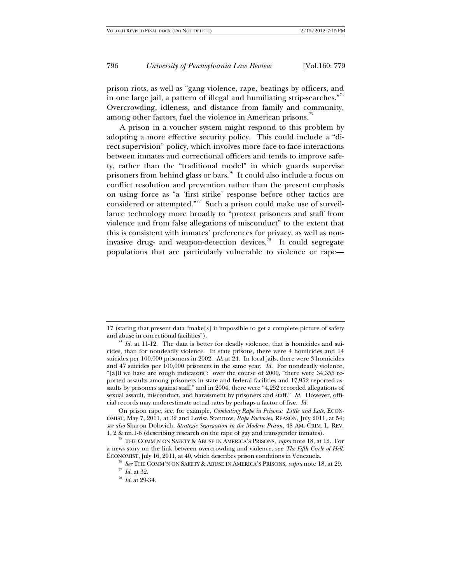prison riots, as well as "gang violence, rape, beatings by officers, and in one large jail, a pattern of illegal and humiliating strip-searches." $^{\scriptscriptstyle\gamma4}$ Overcrowding, idleness, and distance from family and community, among other factors, fuel the violence in American prisons.<sup>75</sup>

A prison in a voucher system might respond to this problem by adopting a more effective security policy. This could include a "direct supervision" policy, which involves more face-to-face interactions between inmates and correctional officers and tends to improve safety, rather than the "traditional model" in which guards supervise prisoners from behind glass or bars.<sup>76</sup> It could also include a focus on conflict resolution and prevention rather than the present emphasis on using force as "a 'first strike' response before other tactics are considered or attempted."<sup>77</sup> Such a prison could make use of surveillance technology more broadly to "protect prisoners and staff from violence and from false allegations of misconduct" to the extent that this is consistent with inmates' preferences for privacy, as well as noninvasive drug- and weapon-detection devices.<sup>78</sup> It could segregate populations that are particularly vulnerable to violence or rape—

<sup>17 (</sup>stating that present data "make[s] it impossible to get a complete picture of safety and abuse in correctional facilities").<br><sup>74</sup> *Id.* at 11-12. The data is better for deadly violence, that is homicides and sui-

cides, than for nondeadly violence. In state prisons, there were 4 homicides and 14 suicides per 100,000 prisoners in 2002. *Id.* at 24. In local jails, there were 3 homicides and 47 suicides per 100,000 prisoners in the same year. *Id.* For nondeadly violence, "[a]ll we have are rough indicators": over the course of 2000, "there were 34,355 reported assaults among prisoners in state and federal facilities and 17,952 reported assaults by prisoners against staff," and in 2004, there were "4,252 recorded allegations of sexual assault, misconduct, and harassment by prisoners and staff." *Id.* However, official records may underestimate actual rates by perhaps a factor of five. *Id.*

On prison rape, see, for example, *Combating Rape in Prisons: Little and Late*, ECON-OMIST, May 7, 2011, at 32 and Lovisa Stannow, *Rape Factories*, REASON, July 2011, at 54; *see also* Sharon Dolovich, *Strategic Segregation in the Modern Prison*, 48 AM. CRIM. L. REV. 1, 2 & nn.1-6 (describing research on the rape of gay and transgender inmates). 75 THE COMM'N ON SAFETY & ABUSE IN AMERICA'S PRISONS, *supra* note 18, at 12. For

a news story on the link between overcrowding and violence, see *The Fifth Circle of Hell*,

<sup>&</sup>lt;sup>76</sup> See THE COMM'N ON SAFETY & ABUSE IN AMERICA'S PRISONS, *supra* note 18, at 29. <sup>77</sup> *Id.* at 32. *N Id.* at 29-34.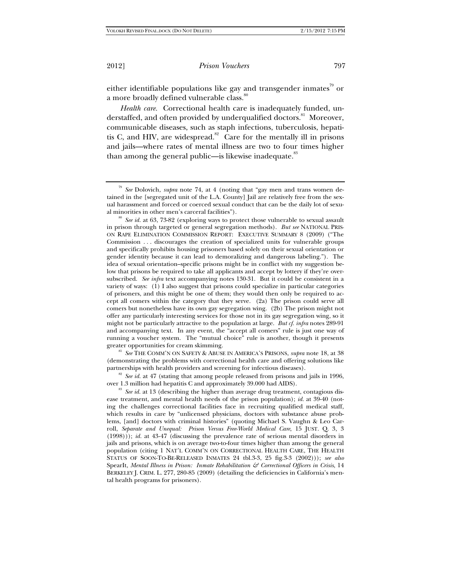either identifiable populations like gay and transgender inmates<sup>79</sup> or a more broadly defined vulnerable class.<sup>80</sup>

*Health care.* Correctional health care is inadequately funded, understaffed, and often provided by underqualified doctors.<sup>81</sup> Moreover, communicable diseases, such as staph infections, tuberculosis, hepatitis C, and HIV, are widespread.<sup>82</sup> Care for the mentally ill in prisons and jails—where rates of mental illness are two to four times higher than among the general public—is likewise inadequate.<sup>83</sup>

al minorities in other men's carceral facilities").<br><sup>80</sup> *See id.* at 63, 73-82 (exploring ways to protect those vulnerable to sexual assault in prison through targeted or general segregation methods). *But see* NATIONAL PRIS-ON RAPE ELIMINATION COMMISSION REPORT: EXECUTIVE SUMMARY 8 (2009) ("The Commission . . . discourages the creation of specialized units for vulnerable groups and specifically prohibits housing prisoners based solely on their sexual orientation or gender identity because it can lead to demoralizing and dangerous labeling."). The idea of sexual orientation–specific prisons might be in conflict with my suggestion below that prisons be required to take all applicants and accept by lottery if they're oversubscribed. *See infra* text accompanying notes 130-31. But it could be consistent in a variety of ways: (1) I also suggest that prisons could specialize in particular categories of prisoners, and this might be one of them; they would then only be required to accept all comers within the category that they serve. (2a) The prison could serve all comers but nonetheless have its own gay segregation wing. (2b) The prison might not offer any particularly interesting services for those not in its gay segregation wing, so it might not be particularly attractive to the population at large. *But cf. infra* notes 289-91 and accompanying text. In any event, the "accept all comers" rule is just one way of running a voucher system. The "mutual choice" rule is another, though it presents

greater opportunities for cream skimming.<br><sup>81</sup> *See* THE COMM'N ON SAFETY & ABUSE IN AMERICA'S PRISONS, *supra* note 18, at 38 (demonstrating the problems with correctional health care and offering solutions like

partnerships with health providers and screening for infectious diseases).<br><sup>82</sup> *See id.* at 47 (stating that among people released from prisons and jails in 1996, over 1.3 million had hepatitis C and approximately 39.000

<sup>83</sup> See *id.* at 13 (describing the higher than average drug treatment, contagious disease treatment, and mental health needs of the prison population); *id.* at 39-40 (noting the challenges correctional facilities face in recruiting qualified medical staff, which results in care by "unlicensed physicians, doctors with substance abuse problems, [and] doctors with criminal histories" (quoting Michael S. Vaughn & Leo Carroll, *Separate and Unequal: Prison Versus Free-World Medical Care*, 15 JUST. Q. 3, 3 (1998))); *id.* at 43-47 (discussing the prevalence rate of serious mental disorders in jails and prisons, which is on average two-to-four times higher than among the general population (citing 1 NAT'L COMM'N ON CORRECTIONAL HEALTH CARE, THE HEALTH STATUS OF SOON-TO-BE-RELEASED INMATES 24 tbl.3-3, 25 fig.3-3 (2002))); *see also* SpearIt, *Mental Illness in Prison: Inmate Rehabilitation & Correctional Officers in Crisis*, 14 BERKELEY J. CRIM. L. 277, 280-85 (2009) (detailing the deficiencies in California's mental health programs for prisoners).

<sup>79</sup> *See* Dolovich, *supra* note 74, at 4 (noting that "gay men and trans women detained in the [segregated unit of the L.A. County] Jail are relatively free from the sexual harassment and forced or coerced sexual conduct that can be the daily lot of sexu-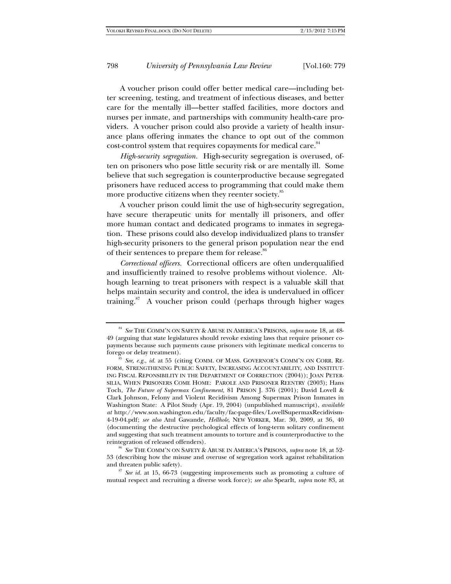A voucher prison could offer better medical care—including better screening, testing, and treatment of infectious diseases, and better care for the mentally ill—better staffed facilities, more doctors and nurses per inmate, and partnerships with community health-care providers. A voucher prison could also provide a variety of health insurance plans offering inmates the chance to opt out of the common cost-control system that requires copayments for medical care.<sup>84</sup>

*High-security segregation.* High-security segregation is overused, often on prisoners who pose little security risk or are mentally ill. Some believe that such segregation is counterproductive because segregated prisoners have reduced access to programming that could make them more productive citizens when they reenter society.<sup>85</sup>

A voucher prison could limit the use of high-security segregation, have secure therapeutic units for mentally ill prisoners, and offer more human contact and dedicated programs to inmates in segregation. These prisons could also develop individualized plans to transfer high-security prisoners to the general prison population near the end of their sentences to prepare them for release.<sup>8</sup>

*Correctional officers.* Correctional officers are often underqualified and insufficiently trained to resolve problems without violence. Although learning to treat prisoners with respect is a valuable skill that helps maintain security and control, the idea is undervalued in officer training. $87$  A voucher prison could (perhaps through higher wages

53 (describing how the misuse and overuse of segregation work against rehabilitation and threaten public safety).<br><sup>87</sup> *See id.* at 15, 66-73 (suggesting improvements such as promoting a culture of

mutual respect and recruiting a diverse work force); *see also* SpearIt, *supra* note 83, at

<sup>84</sup> *See* THE COMM'N ON SAFETY & ABUSE IN AMERICA'S PRISONS, *supra* note 18, at 48- 49 (arguing that state legislatures should revoke existing laws that require prisoner copayments because such payments cause prisoners with legitimate medical concerns to

See, e.g., *id.* at 55 (citing COMM. OF MASS. GOVERNOR'S COMM'N ON CORR. RE-FORM, STRENGTHENING PUBLIC SAFETY, INCREASING ACCOUNTABILITY, AND INSTITUT-ING FISCAL REPONSIBILITY IN THE DEPARTMENT OF CORRECTION (2004)); JOAN PETER-SILIA, WHEN PRISONERS COME HOME: PAROLE AND PRISONER REENTRY (2003); Hans Toch, *The Future of Supermax Confinement*, 81 PRISON J. 376 (2001); David Lovell & Clark Johnson, Felony and Violent Recidivism Among Supermax Prison Inmates in Washington State: A Pilot Study (Apr. 19, 2004) (unpublished manuscript), *available at* http://www.son.washington.edu/faculty/fac-page-files/LovellSupermaxRecidivism-4-19-04.pdf; *see also* Atul Gawande, *Hellhole*, NEW YORKER, Mar. 30, 2009, at 36, 40 (documenting the destructive psychological effects of long-term solitary confinement and suggesting that such treatment amounts to torture and is counterproductive to the reintegration of released offenders). 86 *See* THE COMM'N ON SAFETY & ABUSE IN AMERICA'S PRISONS, *supra* note 18, at 52-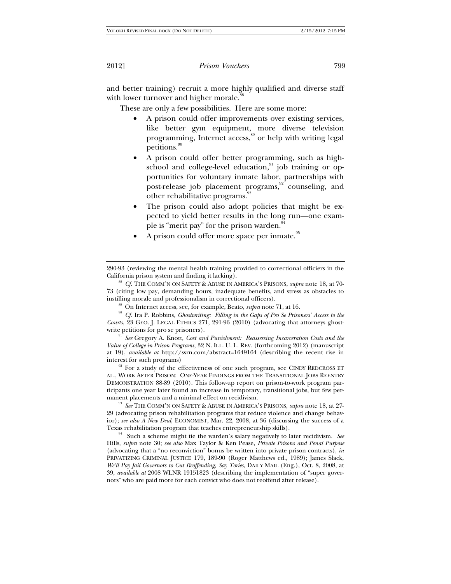and better training) recruit a more highly qualified and diverse staff with lower turnover and higher morale.<sup>8</sup>

These are only a few possibilities. Here are some more:

- A prison could offer improvements over existing services, like better gym equipment, more diverse television programming, Internet access,<sup>89</sup> or help with writing legal petitions.<sup>90</sup>
- A prison could offer better programming, such as highschool and college-level education, $91$  job training or opportunities for voluntary inmate labor, partnerships with post-release job placement programs, $92$  counseling, and other rehabilitative programs.<sup>9</sup>
- The prison could also adopt policies that might be expected to yield better results in the long run—one example is "merit pay" for the prison warden.<sup>94</sup>
- A prison could offer more space per inmate.<sup>95</sup>

290-93 (reviewing the mental health training provided to correctional officiers in the California prison system and finding it lacking). 88 *Cf.* THE COMM'N ON SAFETY & ABUSE IN AMERICA'S PRISONS, *supra* note 18, at 70-

73 (citing low pay, demanding hours, inadequate benefits, and stress as obstacles to

instilling morale and professionalism in correctional officers).<br><sup>89</sup> On Internet access, see, for example, Beato, *supra* note 71, at 16.<br><sup>90</sup> Cf. Ira P. Robbins, *Ghostwriting: Filling in the Gaps of Pro Se Prisoners' A Courts*, 23 GEO. J. LEGAL ETHICS 271, 291-96 (2010) (advocating that attorneys ghost-

write petitions for pro se prisoners).<br><sup>91</sup> *See* Gregory A. Knott, *Cost and Punishment: Reassessing Incarceration Costs and the Value of College-in-Prison Programs*, 32 N. ILL. U. L. REV. (forthcoming 2012) (manuscript at 19), *available at* http://ssrn.com/abstract=1649164 (describing the recent rise in

interest for such programs)<br><sup>92</sup> For a study of the effectiveness of one such program, see CINDY REDCROSS ET AL., WORK AFTER PRISON: ONE-YEAR FINDINGS FROM THE TRANSITIONAL JOBS REENTRY DEMONSTRATION 88-89 (2010). This follow-up report on prison-to-work program participants one year later found an increase in temporary, transitional jobs, but few per-

manent placements and a minimal effect on recidivism. 93 *See* THE COMM'N ON SAFETY & ABUSE IN AMERICA'S PRISONS, *supra* note 18, at 27- 29 (advocating prison rehabilitation programs that reduce violence and change behavior); *see also A New Deal*, ECONOMIST, Mar. 22, 2008, at 36 (discussing the success of a

Texas rehabilitation program that teaches entrepreneurship skills). 94 Such a scheme might tie the warden's salary negatively to later recidivism. *See* Hills, *supra* note 30; *see also* Max Taylor & Ken Pease, *Private Prisons and Penal Purpose* (advocating that a "no reconviction" bonus be written into private prison contracts), *in* PRIVATIZING CRIMINAL JUSTICE 179, 189-90 (Roger Matthews ed., 1989); James Slack, *We'll Pay Jail Governors to Cut Reoffending, Say Tories*, DAILY MAIL (Eng.), Oct. 8, 2008, at 39, *available at* 2008 WLNR 19151823 (describing the implementation of "super governors" who are paid more for each convict who does not reoffend after release).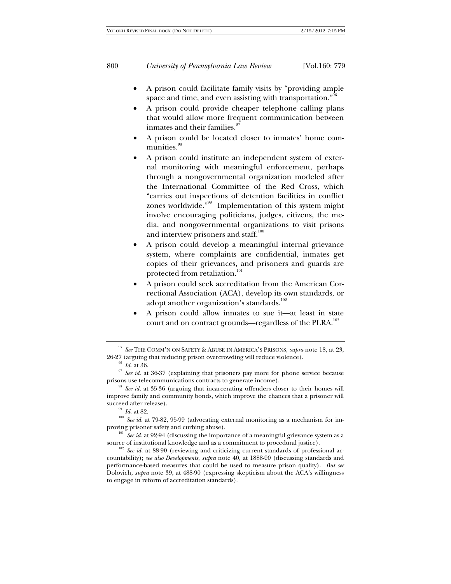- A prison could facilitate family visits by "providing ample space and time, and even assisting with transportation."<sup>96</sup>
- A prison could provide cheaper telephone calling plans that would allow more frequent communication between inmates and their families.<sup>9</sup>
- A prison could be located closer to inmates' home communities.<sup>98</sup>
- A prison could institute an independent system of external monitoring with meaningful enforcement, perhaps through a nongovernmental organization modeled after the International Committee of the Red Cross, which "carries out inspections of detention facilities in conflict zones worldwide."99 Implementation of this system might involve encouraging politicians, judges, citizens, the media, and nongovernmental organizations to visit prisons and interview prisoners and staff.<sup>100</sup>
- A prison could develop a meaningful internal grievance system, where complaints are confidential, inmates get copies of their grievances, and prisoners and guards are protected from retaliation.<sup>1</sup>
- A prison could seek accreditation from the American Correctional Association (ACA), develop its own standards, or adopt another organization's standards.<sup>102</sup>
- A prison could allow inmates to sue it—at least in state court and on contract grounds—regardless of the PLRA.<sup>103</sup>

improve family and community bonds, which improve the chances that a prisoner will

source of institutional knowledge and as a commitment to procedural justice).<br><sup>102</sup> *See id.* at 88-90 (reviewing and criticizing current standards of professional ac-

<sup>&</sup>lt;sup>95</sup> *See* THE COMM'N ON SAFETY & ABUSE IN AMERICA'S PRISONS, *supra* note 18, at 23, 26-27 (arguing that reducing prison overcrowding will reduce violence).

<sup>&</sup>lt;sup>96</sup> *Id.* at 36. *Id.* at 36-37 (explaining that prisoners pay more for phone service because prisons use telecommunications contracts to generate income).<br><sup>98</sup> *See id.* at 35-36 (arguing that incarcerating offenders closer to their homes will

<sup>&</sup>lt;sup>99</sup> *Id.* at 82. 100 *Id.* at 79-82, 95-99 (advocating external monitoring as a mechanism for improving prisoner safety and curbing abuse).<br><sup>101</sup> *See id.* at 92-94 (discussing the importance of a meaningful grievance system as a

countability); *see also Developments*, *supra* note 40, at 1888-90 (discussing standards and performance-based measures that could be used to measure prison quality). *But see* Dolovich, *supra* note 39, at 488-90 (expressing skepticism about the ACA's willingness to engage in reform of accreditation standards).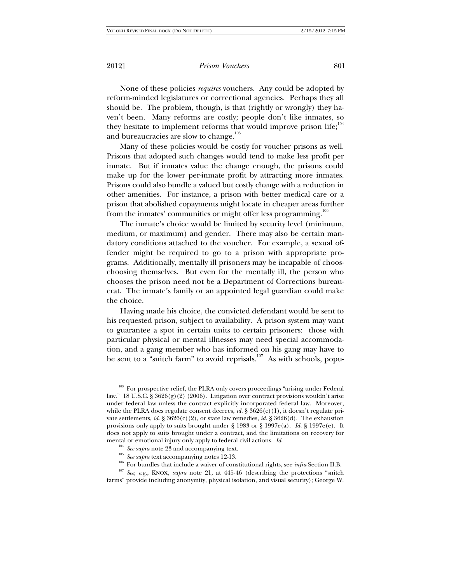None of these policies *requires* vouchers. Any could be adopted by reform-minded legislatures or correctional agencies. Perhaps they all should be. The problem, though, is that (rightly or wrongly) they haven't been. Many reforms are costly; people don't like inmates, so they hesitate to implement reforms that would improve prison life;<sup>104</sup> and bureaucracies are slow to change.<sup>105</sup>

Many of these policies would be costly for voucher prisons as well. Prisons that adopted such changes would tend to make less profit per inmate. But if inmates value the change enough, the prisons could make up for the lower per-inmate profit by attracting more inmates. Prisons could also bundle a valued but costly change with a reduction in other amenities. For instance, a prison with better medical care or a prison that abolished copayments might locate in cheaper areas further from the inmates' communities or might offer less programming.<sup>106</sup>

The inmate's choice would be limited by security level (minimum, medium, or maximum) and gender. There may also be certain mandatory conditions attached to the voucher. For example, a sexual offender might be required to go to a prison with appropriate programs. Additionally, mentally ill prisoners may be incapable of chooschoosing themselves. But even for the mentally ill, the person who chooses the prison need not be a Department of Corrections bureaucrat. The inmate's family or an appointed legal guardian could make the choice.

Having made his choice, the convicted defendant would be sent to his requested prison, subject to availability. A prison system may want to guarantee a spot in certain units to certain prisoners: those with particular physical or mental illnesses may need special accommodation, and a gang member who has informed on his gang may have to be sent to a "snitch farm" to avoid reprisals.<sup>107</sup> As with schools, popu-

- 
- <sup>106</sup> For bundles that include a waiver of constitutional rights, see *infra* Section II.B.<br><sup>107</sup> See, e.g., KNOX, *supra* note 21, at 445-46 (describing the protections "snitch"

farms" provide including anonymity, physical isolation, and visual security); George W.

<sup>&</sup>lt;sup>103</sup> For prospective relief, the PLRA only covers proceedings "arising under Federal law." 18 U.S.C. § 3626(g)(2) (2006). Litigation over contract provisions wouldn't arise under federal law unless the contract explicitly incorporated federal law. Moreover, while the PLRA does regulate consent decrees, *id.*  $\S 3626(c)(1)$ , it doesn't regulate private settlements, *id.* §  $3626(c)(2)$ , or state law remedies, *id.* §  $3626(d)$ . The exhaustion provisions only apply to suits brought under § 1983 or § 1997e(a). *Id.* § 1997e(e). It does not apply to suits brought under a contract, and the limitations on recovery for mental or emotional injury only apply to federal civil actions. *Id.* <sup>104</sup> *See supra* note 23 and accompanying text.<br><sup>105</sup> *See supra* text accompanying notes 12-13.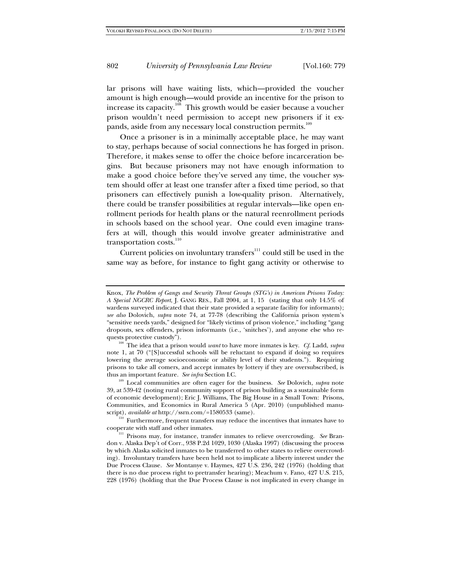lar prisons will have waiting lists, which—provided the voucher amount is high enough—would provide an incentive for the prison to increase its capacity.<sup>108</sup> This growth would be easier because a voucher prison wouldn't need permission to accept new prisoners if it expands, aside from any necessary local construction permits.<sup>109</sup>

Once a prisoner is in a minimally acceptable place, he may want to stay, perhaps because of social connections he has forged in prison. Therefore, it makes sense to offer the choice before incarceration begins. But because prisoners may not have enough information to make a good choice before they've served any time, the voucher system should offer at least one transfer after a fixed time period, so that prisoners can effectively punish a low-quality prison. Alternatively, there could be transfer possibilities at regular intervals—like open enrollment periods for health plans or the natural reenrollment periods in schools based on the school year. One could even imagine transfers at will, though this would involve greater administrative and transportation costs.<sup>110</sup>

Current policies on involuntary transfers<sup>111</sup> could still be used in the same way as before, for instance to fight gang activity or otherwise to

quests protective custody"). 108 The idea that a prison would *want* to have more inmates is key. *Cf.* Ladd, *supra* note 1, at 70 ("[S]uccessful schools will be reluctant to expand if doing so requires lowering the average socioeconomic or ability level of their students."). Requiring prisons to take all comers, and accept inmates by lottery if they are oversubscribed, is thus an important feature. See infra Section I.C.

<sup>109</sup> Local communities are often eager for the business. *See* Dolovich, *supra* note 39, at 539-42 (noting rural community support of prison building as a sustainable form of economic development); Eric J. Williams, The Big House in a Small Town: Prisons, Communities, and Economics in Rural America 5 (Apr. 2010) (unpublished manu-<br>script), *available at* http://ssrn.com/=1580533 (same).

<sup>110</sup> Furthermore, frequent transfers may reduce the incentives that inmates have to cooperate with staff and other inmates.

<sup>111</sup> Prisons may, for instance, transfer inmates to relieve overcrowding. See Brandon v. Alaska Dep't of Corr., 938 P.2d 1029, 1030 (Alaska 1997) (discussing the process by which Alaska solicited inmates to be transferred to other states to relieve overcrowding). Involuntary transfers have been held not to implicate a liberty interest under the Due Process Clause. *See* Montanye v. Haymes, 427 U.S. 236, 242 (1976) (holding that there is no due process right to pretransfer hearing); Meachum v. Fano, 427 U.S. 215, 228 (1976) (holding that the Due Process Clause is not implicated in every change in

Knox, *The Problem of Gangs and Security Threat Groups (STG's) in American Prisons Today: A Special NGCRC Report*, J. GANG RES., Fall 2004, at 1, 15 (stating that only 14.5% of wardens surveyed indicated that their state provided a separate facility for informants); *see also* Dolovich, *supra* note 74, at 77-78 (describing the California prison system's "sensitive needs yards," designed for "likely victims of prison violence," including "gang dropouts, sex offenders, prison informants (i.e., 'snitches'), and anyone else who re-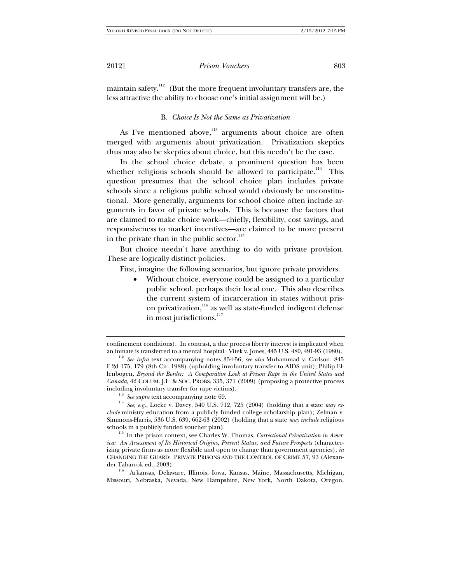maintain safety.<sup>112</sup> (But the more frequent involuntary transfers are, the less attractive the ability to choose one's initial assignment will be.)

# B. *Choice Is Not the Same as Privatization*

As I've mentioned above, $113$  arguments about choice are often merged with arguments about privatization. Privatization skeptics thus may also be skeptics about choice, but this needn't be the case.

In the school choice debate, a prominent question has been whether religious schools should be allowed to participate.<sup>114</sup> This question presumes that the school choice plan includes private schools since a religious public school would obviously be unconstitutional. More generally, arguments for school choice often include arguments in favor of private schools. This is because the factors that are claimed to make choice work—chiefly, flexibility, cost savings, and responsiveness to market incentives—are claimed to be more present in the private than in the public sector. $^{115}$ 

But choice needn't have anything to do with private provision. These are logically distinct policies.

First, imagine the following scenarios, but ignore private providers.

 Without choice, everyone could be assigned to a particular public school, perhaps their local one. This also describes the current system of incarceration in states without prison privatization,<sup>116</sup> as well as state-funded indigent defense in most jurisdictions.<sup>117</sup>

Missouri, Nebraska, Nevada, New Hampshire, New York, North Dakota, Oregon,

confinement conditions). In contrast, a due process liberty interest is implicated when an inmate is transferred to a mental hospital. Vitek v. Jones, 445 U.S. 480, 491-93 (1980). 112 *See infra* text accompanying notes 354-56; *see also* Muhammad v. Carlson, 845

F.2d 175, 179 (8th Cir. 1988) (upholding involuntary transfer to AIDS unit); Philip Ellenbogen, *Beyond the Border: A Comparative Look at Prison Rape in the United States and Canada*, 42 COLUM. J.L. & SOC. PROBS. 335, 371 (2009) (proposing a protective process

including involuntary transfer for rape victims).<br><sup>113</sup> *See supra* text accompanying note 69.<br><sup>114</sup> *See, e.g.*, Locke v. Davey, 540 U.S. 712, 725 (2004) (holding that a state *may exclude* ministry education from a publicly funded college scholarship plan); Zelman v. Simmons-Harris, 536 U.S. 639, 662-63 (2002) (holding that a state *may include* religious schools in a publicly funded voucher plan). 115 In the prison context, see Charles W. Thomas, *Correctional Privatization in Amer-*

*ica: An Assessment of Its Historical Origins, Present Status, and Future Prospects* (characterizing private firms as more flexibile and open to change than government agencies), *in* CHANGING THE GUARD: PRIVATE PRISONS AND THE CONTROL OF CRIME 57, 93 (Alexander Tabarrok ed., 2003).<br><sup>116</sup> Arkansas, Delaware, Illinois, Iowa, Kansas, Maine, Massachusetts, Michigan,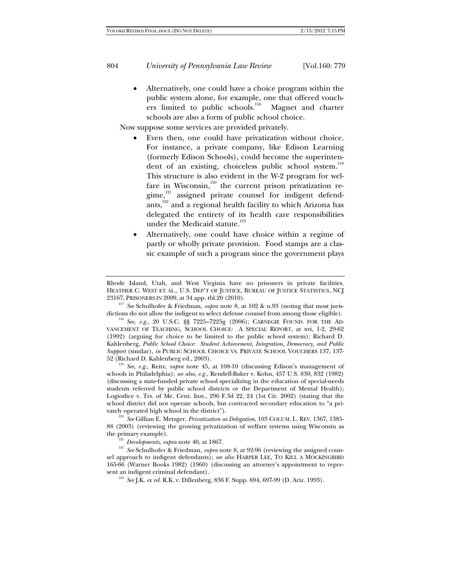Alternatively, one could have a choice program within the public system alone, for example, one that offered vouchers limited to public schools.<sup>118</sup> Magnet and charter schools are also a form of public school choice.

Now suppose some services are provided privately.

- Even then, one could have privatization without choice. For instance, a private company, like Edison Learning (formerly Edison Schools), could become the superintendent of an existing, choiceless public school system.<sup>119</sup> This structure is also evident in the W-2 program for welfare in Wisconsin, $120$  the current prison privatization regime,<sup>121</sup> assigned private counsel for indigent defendants, $122$  and a regional health facility to which Arizona has delegated the entirety of its health care responsibilities under the Medicaid statute.<sup>123</sup>
- Alternatively, one could have choice within a regime of partly or wholly private provision. Food stamps are a classic example of such a program since the government plays

23167, PRISONERS IN 2009, at 34 app. tbl.20 (2010). 117 *See* Schulhofer & Friedman, *supra* note 8, at 102 & n.93 (noting that most jurisdictions do not allow the indigent to select defense counsel from among those eligible). 118 *See, e.g.*, 20 U.S.C. §§ 7225–7225g (2006); CARNEGIE FOUND. FOR THE AD-

VANCEMENT OF TEACHING, SCHOOL CHOICE: A SPECIAL REPORT, at xvi, 1-2, 29-62 (1992) (arguing for choice to be limited to the public school system); Richard D. Kahlenberg, *Public School Choice: Student Achievement, Integration, Democracy, and Public Support* (similar), *in* PUBLIC SCHOOL CHOICE VS. PRIVATE SCHOOL VOUCHERS 137, 137-

52 (Richard D. Kahlenberg ed., 2003). 119 *See, e.g.*, Reitz, *supra* note 45, at 108-10 (discussing Edison's management of schools in Philadelphia); *see also, e.g.,* Rendell-Baker v. Kohn, 457 U.S. 830, 832 (1982) (discussing a state-funded private school specializing in the education of special-needs students referred by public school districts or the Department of Mental Health); Logiodice v. Trs. of Me. Cent. Inst., 296 F.3d 22, 24 (1st Cir. 2002) (stating that the school district did not operate schools, but contracted secondary education to "a privately operated high school in the district").<br><sup>120</sup> *See* Gillian E. Metzger, *Privatization as Delegation*, 103 COLUM. L. REV. 1367, 1385-

88 (2003) (reviewing the growing privatization of welfare systems using Wisconsin as

the primary example).<br><sup>121</sup> *Developments, supra* note 40, at 1867.<br><sup>122</sup> *See* Schulhofer & Friedman, *supra* note 8, at 92-96 (reviewing the assigned counsel approach to indigent defendants); *see also* HARPER LEE, TO KILL A MOCKINGBIRD 165-66 (Warner Books 1982) (1960) (discussing an attorney's appointment to repre-

<sup>123</sup> *See* J.K. *ex rel.* R.K. v. Dillenberg, 836 F. Supp. 694, 697-99 (D. Ariz. 1993).

Rhode Island, Utah, and West Virginia have no prisoners in private facilities. HEATHER C. WEST ET AL., U.S. DEP'T OF JUSTICE, BUREAU OF JUSTICE STATISTICS, NCJ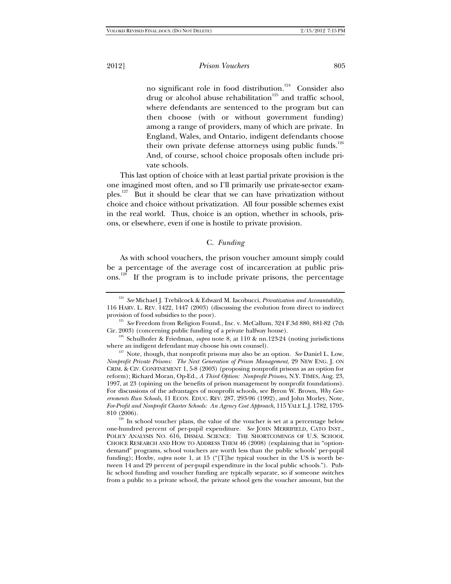no significant role in food distribution.<sup>124</sup> Consider also drug or alcohol abuse rehabilitation<sup>125</sup> and traffic school, where defendants are sentenced to the program but can then choose (with or without government funding) among a range of providers, many of which are private. In England, Wales, and Ontario, indigent defendants choose their own private defense attorneys using public funds.<sup>126</sup> And, of course, school choice proposals often include private schools.

This last option of choice with at least partial private provision is the one imagined most often, and so I'll primarily use private-sector examples.<sup>127</sup> But it should be clear that we can have privatization without choice and choice without privatization. All four possible schemes exist in the real world. Thus, choice is an option, whether in schools, prisons, or elsewhere, even if one is hostile to private provision.

#### C. *Funding*

As with school vouchers, the prison voucher amount simply could be a percentage of the average cost of incarceration at public prisons.<sup>128</sup> If the program is to include private prisons, the percentage

 $810$  (2006).<br><sup>128</sup> In school voucher plans, the value of the voucher is set at a percentage below one-hundred percent of per-pupil expenditure. *See* JOHN MERRIFIELD, CATO INST., POLICY ANALYSIS NO. 616, DISMAL SCIENCE: THE SHORTCOMINGS OF U.S. SCHOOL CHOICE RESEARCH AND HOW TO ADDRESS THEM 46 (2008) (explaining that in "optiondemand" programs, school vouchers are worth less than the public schools' per-pupil funding); Hoxby, *supra* note 1, at 15 ("[T]he typical voucher in the US is worth between 14 and 29 percent of per-pupil expenditure in the local public schools."). Public school funding and voucher funding are typically separate, so if someone switches from a public to a private school, the private school gets the voucher amount, but the

<sup>124</sup> *See* Michael J. Trebilcock & Edward M. Iacobucci, *Privatization and Accountability*, 116 HARV. L. REV. 1422, 1447 (2003) (discussing the evolution from direct to indirect

provision of food subsidies to the poor). 125 *See* Freedom from Religion Found., Inc. v. McCallum, 324 F.3d 880, 881-82 (7th

Cir. 2003) (concerning public funding of a private halfway house).<br><sup>126</sup> Schulhofer & Friedman, *supra* note 8, at 110 & nn.123-24 (noting jurisdictions where an indigent defendant may choose his own counsel).

 $^{127}$  Note, though, that nonprofit prisons may also be an option. *See* Daniel L. Low, *Nonprofit Private Prisons: The Next Generation of Prison Management*, 29 NEW ENG. J. ON CRIM. & CIV. CONFINEMENT 1, 5-8 (2003) (proposing nonprofit prisons as an option for reform); Richard Moran, Op-Ed., *A Third Option: Nonprofit Prisons*, N.Y. TIMES, Aug. 23, 1997, at 23 (opining on the benefits of prison management by nonprofit foundations). For discussions of the advantages of nonprofit schools, see Byron W. Brown, *Why Governments Run Schools*, 11 ECON. EDUC. REV. 287, 293-96 (1992), and John Morley, Note, *For-Profit and Nonprofit Charter Schools: An Agency Cost Approach*, 115 YALE L.J. 1782, 1795-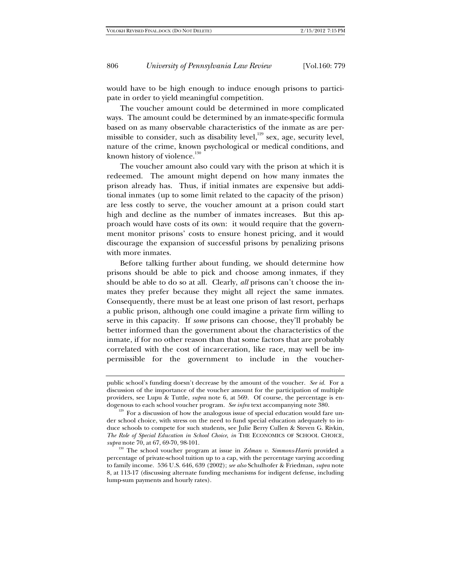would have to be high enough to induce enough prisons to participate in order to yield meaningful competition.

The voucher amount could be determined in more complicated ways. The amount could be determined by an inmate-specific formula based on as many observable characteristics of the inmate as are permissible to consider, such as disability level,<sup>129</sup> sex, age, security level, nature of the crime, known psychological or medical conditions, and known history of violence.<sup>130</sup>

The voucher amount also could vary with the prison at which it is redeemed. The amount might depend on how many inmates the prison already has. Thus, if initial inmates are expensive but additional inmates (up to some limit related to the capacity of the prison) are less costly to serve, the voucher amount at a prison could start high and decline as the number of inmates increases. But this approach would have costs of its own: it would require that the government monitor prisons' costs to ensure honest pricing, and it would discourage the expansion of successful prisons by penalizing prisons with more inmates.

Before talking further about funding, we should determine how prisons should be able to pick and choose among inmates, if they should be able to do so at all. Clearly, *all* prisons can't choose the inmates they prefer because they might all reject the same inmates. Consequently, there must be at least one prison of last resort, perhaps a public prison, although one could imagine a private firm willing to serve in this capacity. If *some* prisons can choose, they'll probably be better informed than the government about the characteristics of the inmate, if for no other reason than that some factors that are probably correlated with the cost of incarceration, like race, may well be impermissible for the government to include in the voucher-

public school's funding doesn't decrease by the amount of the voucher. *See id.* For a discussion of the importance of the voucher amount for the participation of multiple providers, see Lupu & Tuttle, *supra* note 6, at 569. Of course, the percentage is endogenous to each school voucher program. *See infra* text accompanying note 380.<br><sup>129</sup> For a discussion of how the analogous issue of special education would fare un-

der school choice, with stress on the need to fund special education adequately to induce schools to compete for such students, see Julie Berry Cullen & Steven G. Rivkin, *The Role of Special Education in School Choice*, *in* THE ECONOMICS OF SCHOOL CHOICE, *supra* note 70, at 67, 69-70, 98-101.

<sup>&</sup>lt;sup>130</sup> The school voucher program at issue in *Zelman v. Simmons-Harris* provided a percentage of private-school tuition up to a cap, with the percentage varying according to family income. 536 U.S. 646, 639 (2002); *see also* Schulhofer & Friedman, *supra* note 8, at 113-17 (discussing alternate funding mechanisms for indigent defense, including lump-sum payments and hourly rates).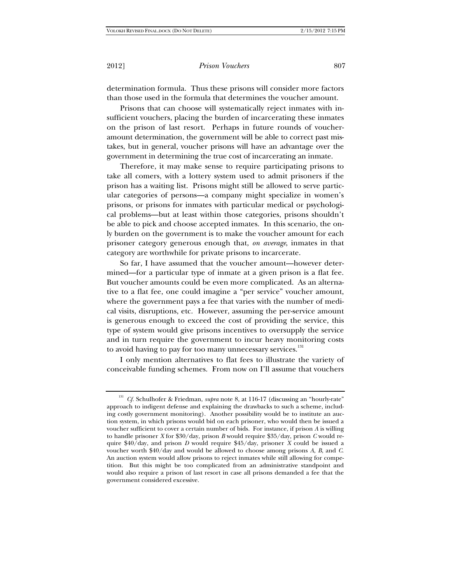determination formula. Thus these prisons will consider more factors than those used in the formula that determines the voucher amount.

Prisons that can choose will systematically reject inmates with insufficient vouchers, placing the burden of incarcerating these inmates on the prison of last resort. Perhaps in future rounds of voucheramount determination, the government will be able to correct past mistakes, but in general, voucher prisons will have an advantage over the government in determining the true cost of incarcerating an inmate.

Therefore, it may make sense to require participating prisons to take all comers, with a lottery system used to admit prisoners if the prison has a waiting list. Prisons might still be allowed to serve particular categories of persons—a company might specialize in women's prisons, or prisons for inmates with particular medical or psychological problems—but at least within those categories, prisons shouldn't be able to pick and choose accepted inmates. In this scenario, the only burden on the government is to make the voucher amount for each prisoner category generous enough that, *on average*, inmates in that category are worthwhile for private prisons to incarcerate.

So far, I have assumed that the voucher amount—however determined—for a particular type of inmate at a given prison is a flat fee. But voucher amounts could be even more complicated. As an alternative to a flat fee, one could imagine a "per service" voucher amount, where the government pays a fee that varies with the number of medical visits, disruptions, etc. However, assuming the per-service amount is generous enough to exceed the cost of providing the service, this type of system would give prisons incentives to oversupply the service and in turn require the government to incur heavy monitoring costs to avoid having to pay for too many unnecessary services.<sup>131</sup>

I only mention alternatives to flat fees to illustrate the variety of conceivable funding schemes. From now on I'll assume that vouchers

<sup>&</sup>lt;sup>131</sup> *Cf.* Schulhofer & Friedman, *supra* note 8, at 116-17 (discussing an "hourly-rate" approach to indigent defense and explaining the drawbacks to such a scheme, including costly government monitoring). Another possibility would be to institute an auction system, in which prisons would bid on each prisoner, who would then be issued a voucher sufficient to cover a certain number of bids. For instance, if prison *A* is willing to handle prisoner *X* for \$30/day, prison *B* would require \$35/day, prison *C* would require \$40/day, and prison *D* would require \$45/day, prisoner *X* could be issued a voucher worth \$40/day and would be allowed to choose among prisons *A*, *B*, and *C*. An auction system would allow prisons to reject inmates while still allowing for competition. But this might be too complicated from an administrative standpoint and would also require a prison of last resort in case all prisons demanded a fee that the government considered excessive.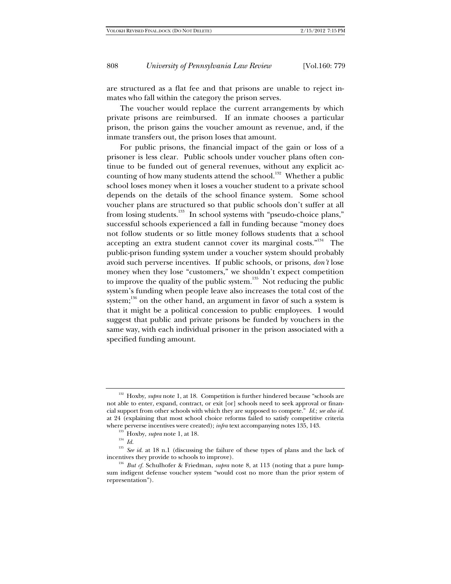are structured as a flat fee and that prisons are unable to reject inmates who fall within the category the prison serves.

The voucher would replace the current arrangements by which private prisons are reimbursed. If an inmate chooses a particular prison, the prison gains the voucher amount as revenue, and, if the inmate transfers out, the prison loses that amount.

For public prisons, the financial impact of the gain or loss of a prisoner is less clear. Public schools under voucher plans often continue to be funded out of general revenues, without any explicit accounting of how many students attend the school.<sup>132</sup> Whether a public school loses money when it loses a voucher student to a private school depends on the details of the school finance system. Some school voucher plans are structured so that public schools don't suffer at all from losing students.<sup>133</sup> In school systems with "pseudo-choice plans," successful schools experienced a fall in funding because "money does not follow students or so little money follows students that a school accepting an extra student cannot cover its marginal costs."134 The public-prison funding system under a voucher system should probably avoid such perverse incentives. If public schools, or prisons, *don't* lose money when they lose "customers," we shouldn't expect competition to improve the quality of the public system.<sup>135</sup> Not reducing the public system's funding when people leave also increases the total cost of the system;<sup>136</sup> on the other hand, an argument in favor of such a system is that it might be a political concession to public employees. I would suggest that public and private prisons be funded by vouchers in the same way, with each individual prisoner in the prison associated with a specified funding amount.

<sup>&</sup>lt;sup>132</sup> Hoxby, *supra* note 1, at 18. Competition is further hindered because "schools are not able to enter, expand, contract, or exit [or] schools need to seek approval or financial support from other schools with which they are supposed to compete." *Id.*; *see also id.* at 24 (explaining that most school choice reforms failed to satisfy competitive criteria where perverse incentives were created);  $\inf$ at text accompanying notes 135, 143.

<sup>&</sup>lt;sup>133</sup> Hoxby, *supra* note 1, at 18.<br><sup>134</sup> *Id.*<br><sup>135</sup> *See id.* at 18 n.1 (discussing the failure of these types of plans and the lack of incentives they provide to schools to improve). 136 *But cf.* Schulhofer & Friedman, *supra* note 8, at 113 (noting that a pure lump-

sum indigent defense voucher system "would cost no more than the prior system of representation").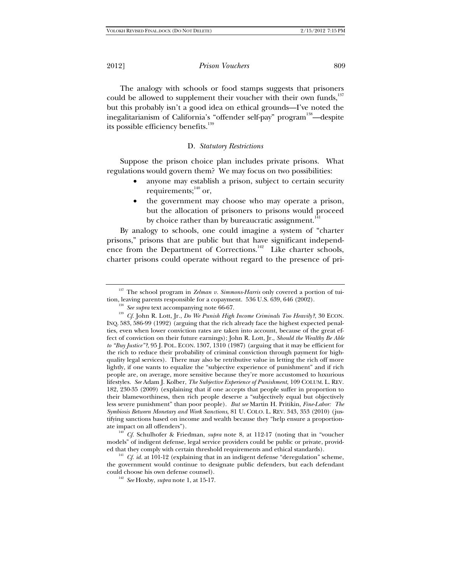The analogy with schools or food stamps suggests that prisoners could be allowed to supplement their voucher with their own funds,<sup>137</sup> but this probably isn't a good idea on ethical grounds—I've noted the inegalitarianism of California's "offender self-pay" program<sup>138</sup>—despite its possible efficiency benefits.<sup>139</sup>

# D. *Statutory Restrictions*

Suppose the prison choice plan includes private prisons. What regulations would govern them? We may focus on two possibilities:

- anyone may establish a prison, subject to certain security requirements;  $^{140}$  or,
- the government may choose who may operate a prison, but the allocation of prisoners to prisons would proceed by choice rather than by bureaucratic assignment.<sup>1</sup>

By analogy to schools, one could imagine a system of "charter prisons," prisons that are public but that have significant independence from the Department of Corrections.<sup>142</sup> Like charter schools, charter prisons could operate without regard to the presence of pri-

models" of indigent defense, legal service providers could be public or private, provid-

ed that they comply with certain threshold requirements and ethical standards). 141 *Cf. id.* at 101-12 (explaining that in an indigent defense "deregulation" scheme, the government would continue to designate public defenders, but each defendant could choose his own defense counsel).

<sup>142</sup> See Hoxby, *supra* note 1, at 15-17.

<sup>&</sup>lt;sup>137</sup> The school program in *Zelman v. Simmons-Harris* only covered a portion of tuition, leaving parents responsible for a copayment. 536 U.S. 639, 646 (2002).

<sup>&</sup>lt;sup>138</sup> See supra text accompanying note 66-67.<br><sup>139</sup> *Cf.* John R. Lott, Jr., *Do We Punish High Income Criminals Too Heavily*?, 30 ECON. INQ. 583, 586-99 (1992) (arguing that the rich already face the highest expected penalties, even when lower conviction rates are taken into account, because of the great effect of conviction on their future earnings); John R. Lott, Jr., *Should the Wealthy Be Able to "Buy Justice"?*, 95 J. POL. ECON. 1307, 1310 (1987) (arguing that it may be efficient for the rich to reduce their probability of criminal conviction through payment for highquality legal services). There may also be retributive value in letting the rich off more lightly, if one wants to equalize the "subjective experience of punishment" and if rich people are, on average, more sensitive because they're more accustomed to luxurious lifestyles. *See* Adam J. Kolber, *The Subjective Experience of Punishment*, 109 COLUM. L. REV. 182, 230-35 (2009) (explaining that if one accepts that people suffer in proportion to their blameworthiness, then rich people deserve a "subjectively equal but objectively less severe punishment" than poor people). *But see* Martin H. Pritikin, *Fine-Labor: The Symbiosis Between Monetary and Work Sanctions*, 81 U. COLO. L. REV. 343, 353 (2010) (justifying sanctions based on income and wealth because they "help ensure a proportionate impact on all offenders"). 140 *Cf.* Schulhofer & Friedman, *supra* note 8, at 112-17 (noting that in "voucher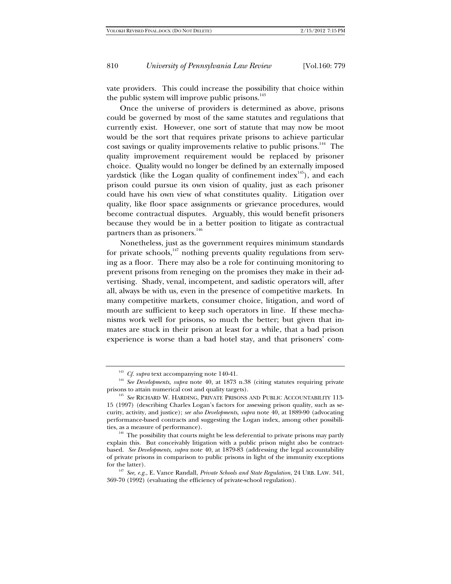vate providers. This could increase the possibility that choice within the public system will improve public prisons.<sup>143</sup>

Once the universe of providers is determined as above, prisons could be governed by most of the same statutes and regulations that currently exist. However, one sort of statute that may now be moot would be the sort that requires private prisons to achieve particular cost savings or quality improvements relative to public prisons.<sup>144</sup> The quality improvement requirement would be replaced by prisoner choice. Quality would no longer be defined by an externally imposed yardstick (like the Logan quality of confinement index<sup>145</sup>), and each prison could pursue its own vision of quality, just as each prisoner could have his own view of what constitutes quality. Litigation over quality, like floor space assignments or grievance procedures, would become contractual disputes. Arguably, this would benefit prisoners because they would be in a better position to litigate as contractual partners than as prisoners.<sup>146</sup>

Nonetheless, just as the government requires minimum standards for private schools, $147$  nothing prevents quality regulations from serving as a floor. There may also be a role for continuing monitoring to prevent prisons from reneging on the promises they make in their advertising. Shady, venal, incompetent, and sadistic operators will, after all, always be with us, even in the presence of competitive markets. In many competitive markets, consumer choice, litigation, and word of mouth are sufficient to keep such operators in line. If these mechanisms work well for prisons, so much the better; but given that inmates are stuck in their prison at least for a while, that a bad prison experience is worse than a bad hotel stay, and that prisoners' com-

<sup>&</sup>lt;sup>143</sup> *Cf. supra* text accompanying note 140-41.<br><sup>144</sup> *See Developments, supra* note 40, at 1873 n.38 (citing statutes requiring private prisons to attain numerical cost and quality targets). <sup>145</sup> *See* RICHARD W. HARDING, PRIVATE PRISONS AND PUBLIC ACCOUNTABILITY 113-

<sup>15 (1997) (</sup>describing Charles Logan's factors for assessing prison quality, such as security, activity, and justice); *see also Developments*, *supra* note 40, at 1889-90 (advocating performance-based contracts and suggesting the Logan index, among other possibilities, as a measure of performance). 146 The possibility that courts might be less deferential to private prisons may partly

explain this. But conceivably litigation with a public prison might also be contractbased. *See Developments*, *supra* note 40, at 1879-83 (addressing the legal accountability of private prisons in comparison to public prisons in light of the immunity exceptions for the latter). 147 *See, e.g.*, E. Vance Randall, *Private Schools and State Regulation*, 24 URB. LAW. 341,

<sup>369-70 (1992) (</sup>evaluating the efficiency of private-school regulation).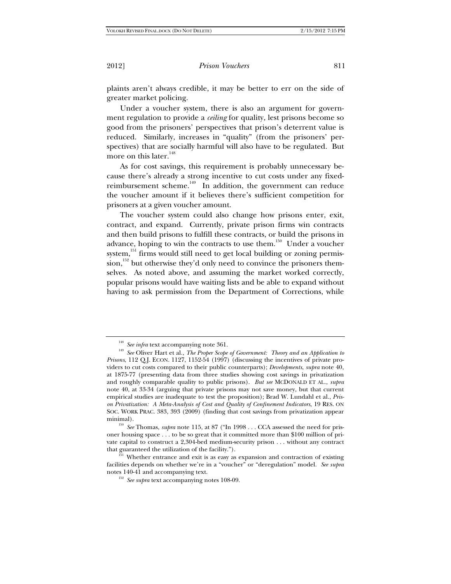plaints aren't always credible, it may be better to err on the side of greater market policing.

Under a voucher system, there is also an argument for government regulation to provide a *ceiling* for quality, lest prisons become so good from the prisoners' perspectives that prison's deterrent value is reduced. Similarly, increases in "quality" (from the prisoners' perspectives) that are socially harmful will also have to be regulated. But more on this later. $148$ 

As for cost savings, this requirement is probably unnecessary because there's already a strong incentive to cut costs under any fixedreimbursement scheme.<sup>149</sup> In addition, the government can reduce the voucher amount if it believes there's sufficient competition for prisoners at a given voucher amount.

The voucher system could also change how prisons enter, exit, contract, and expand. Currently, private prison firms win contracts and then build prisons to fulfill these contracts, or build the prisons in advance, hoping to win the contracts to use them.<sup>150</sup> Under a voucher system,<sup>151</sup> firms would still need to get local building or zoning permission,<sup>152</sup> but otherwise they'd only need to convince the prisoners themselves. As noted above, and assuming the market worked correctly, popular prisons would have waiting lists and be able to expand without having to ask permission from the Department of Corrections, while

<sup>&</sup>lt;sup>148</sup> *See infra* text accompanying note 361.<br><sup>149</sup> *See* Oliver Hart et al., *The Proper Scope of Government: Theory and an Application to Prisons*, 112 Q.J. ECON. 1127, 1152-54 (1997) (discussing the incentives of private providers to cut costs compared to their public counterparts); *Developments*, *supra* note 40, at 1875-77 (presenting data from three studies showing cost savings in privatization and roughly comparable quality to public prisons). *But see* MCDONALD ET AL., *supra* note 40, at 33-34 (arguing that private prisons may not save money, but that current empirical studies are inadequate to test the proposition); Brad W. Lundahl et al., *Prison Privatization: A Meta-Analysis of Cost and Quality of Confinement Indicators*, 19 RES. ON SOC. WORK PRAC. 383, 393 (2009) (finding that cost savings from privatization appear

<sup>&</sup>lt;sup>150</sup> See Thomas, *supra* note 115, at 87 ("In 1998 . . . CCA assessed the need for prisoner housing space . . . to be so great that it committed more than \$100 million of private capital to construct a 2,304-bed medium-security prison . . . without any contract that guaranteed the utilization of the facility.").<br><sup>151</sup> Whether entrance and exit is as easy as expansion and contraction of existing

facilities depends on whether we're in a "voucher" or "deregulation" model. *See supra*

<sup>&</sup>lt;sup>152</sup> See supra text accompanying notes 108-09.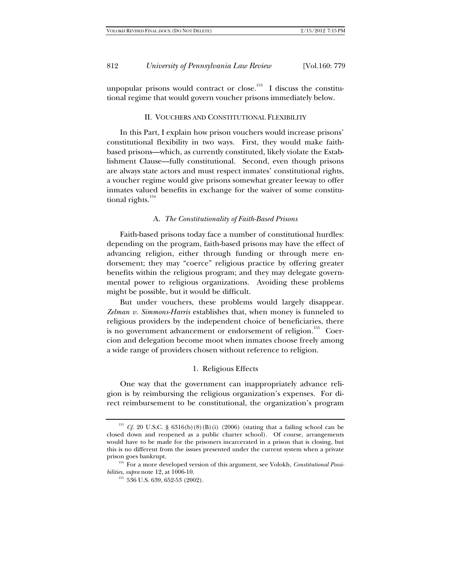unpopular prisons would contract or close.<sup>153</sup> I discuss the constitutional regime that would govern voucher prisons immediately below.

#### II. VOUCHERS AND CONSTITUTIONAL FLEXIBILITY

In this Part, I explain how prison vouchers would increase prisons' constitutional flexibility in two ways. First, they would make faithbased prisons—which, as currently constituted, likely violate the Establishment Clause—fully constitutional. Second, even though prisons are always state actors and must respect inmates' constitutional rights, a voucher regime would give prisons somewhat greater leeway to offer inmates valued benefits in exchange for the waiver of some constitutional rights.<sup>154</sup>

#### A. *The Constitutionality of Faith-Based Prisons*

Faith-based prisons today face a number of constitutional hurdles: depending on the program, faith-based prisons may have the effect of advancing religion, either through funding or through mere endorsement; they may "coerce" religious practice by offering greater benefits within the religious program; and they may delegate governmental power to religious organizations. Avoiding these problems might be possible, but it would be difficult.

But under vouchers, these problems would largely disappear. *Zelman v. Simmons-Harris* establishes that, when money is funneled to religious providers by the independent choice of beneficiaries, there is no government advancement or endorsement of religion.<sup>155</sup> Coercion and delegation become moot when inmates choose freely among a wide range of providers chosen without reference to religion.

#### 1. Religious Effects

One way that the government can inappropriately advance religion is by reimbursing the religious organization's expenses. For direct reimbursement to be constitutional, the organization's program

<sup>&</sup>lt;sup>153</sup> *Cf.* 20 U.S.C. §  $6316(b)(8)(B)(i)$  (2006) (stating that a failing school can be closed down and reopened as a public charter school). Of course, arrangements would have to be made for the prisoners incarcerated in a prison that is closing, but this is no different from the issues presented under the current system when a private

prison goes bankrupt.<br><sup>154</sup> For a more developed version of this argument, see Volokh, *Constitutional Possi-*<br>*bilities, supra* note 12, at 1006-10.

<sup>&</sup>lt;sup>155</sup> 536 U.S. 639, 652-53 (2002).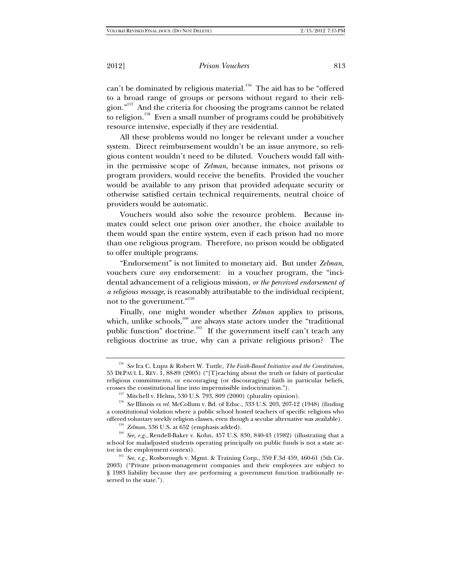can't be dominated by religious material.<sup>156</sup> The aid has to be "offered to a broad range of groups or persons without regard to their religion."157 And the criteria for choosing the programs cannot be related to religion.<sup>158</sup> Even a small number of programs could be prohibitively resource intensive, especially if they are residential.

All these problems would no longer be relevant under a voucher system. Direct reimbursement wouldn't be an issue anymore, so religious content wouldn't need to be diluted. Vouchers would fall within the permissive scope of *Zelman*, because inmates, not prisons or program providers, would receive the benefits. Provided the voucher would be available to any prison that provided adequate security or otherwise satisfied certain technical requirements, neutral choice of providers would be automatic.

Vouchers would also solve the resource problem. Because inmates could select one prison over another, the choice available to them would span the entire system, even if each prison had no more than one religious program. Therefore, no prison would be obligated to offer multiple programs.

"Endorsement" is not limited to monetary aid. But under *Zelman*, vouchers cure *any* endorsement: in a voucher program, the "incidental advancement of a religious mission, *or the perceived endorsement of a religious message*, is reasonably attributable to the individual recipient, not to the government."159

Finally, one might wonder whether *Zelman* applies to prisons, which, unlike schools, $^{160}$  are always state actors under the "traditional public function" doctrine.<sup>161</sup> If the government itself can't teach any religious doctrine as true, why can a private religious prison? The

<sup>156</sup> *See* Ira C. Lupu & Robert W. Tuttle, *The Faith-Based Initiative and the Constitution*, 55 DEPAUL L. REV. 1, 88-89 (2005) ("[T]eaching about the truth or falsity of particular religious commitments, or encouraging (or discouraging) faith in particular beliefs, crosses the constitutional line into impermissible indoctrination.").

<sup>&</sup>lt;sup>157</sup> Mitchell v. Helms, 530 U.S. 793, 809 (2000) (plurality opinion).<br><sup>158</sup> *See* Illinois *ex rel*. McCollum v. Bd. of Educ., 333 U.S. 203, 207-12 (1948) (finding a constitutional violation where a public school hosted teachers of specific religions who

<sup>&</sup>lt;sup>159</sup> Zelman, 536 U.S. at 652 (emphasis added).<br><sup>160</sup> See, e.g., Rendell-Baker v. Kohn, 457 U.S. 830, 840-43 (1982) (illustrating that a school for maladjusted students operating principally on public funds is not a state actor in the employment context).<br><sup>161</sup> *See, e.g.*, Rosborough v. Mgmt. & Training Corp., 350 F.3d 459, 460-61 (5th Cir.

<sup>2003) (&</sup>quot;Private prison-management companies and their employees are subject to § 1983 liability because they are performing a government function traditionally reserved to the state.").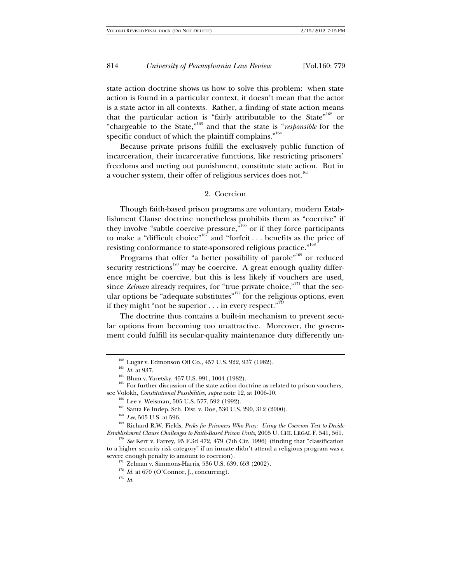state action doctrine shows us how to solve this problem: when state action is found in a particular context, it doesn't mean that the actor is a state actor in all contexts. Rather, a finding of state action means that the particular action is "fairly attributable to the State"<sup>162</sup> or "chargeable to the State,"163 and that the state is "*responsible* for the specific conduct of which the plaintiff complains."<sup>164</sup>

Because private prisons fulfill the exclusively public function of incarceration, their incarcerative functions, like restricting prisoners' freedoms and meting out punishment, constitute state action. But in a voucher system, their offer of religious services does not.<sup>165</sup>

## 2. Coercion

Though faith-based prison programs are voluntary, modern Establishment Clause doctrine nonetheless prohibits them as "coercive" if they involve "subtle coercive pressure,"<sup>166</sup> or if they force participants to make a "difficult choice"167 and "forfeit . . . benefits as the price of resisting conformance to state-sponsored religious practice."<sup>168</sup>

Programs that offer "a better possibility of parole"<sup>169</sup> or reduced security restrictions<sup>170</sup> may be coercive. A great enough quality difference might be coercive, but this is less likely if vouchers are used, since *Zelman* already requires, for "true private choice,"<sup>171</sup> that the secular options be "adequate substitutes"<sup>172</sup> for the religious options, even if they might "not be superior  $\dots$  in every respect."<sup>173</sup>

The doctrine thus contains a built-in mechanism to prevent secular options from becoming too unattractive. Moreover, the government could fulfill its secular-quality maintenance duty differently un-

<sup>&</sup>lt;sup>162</sup> Lugar v. Edmonson Oil Co., 457 U.S. 922, 937 (1982).<br><sup>163</sup> *Id.* at 937. **164** Blum v. Yaretsky, 457 U.S. 991, 1004 (1982).<br><sup>165</sup> For further discussion of the state action doctrine as related to prison vouchers, see Volokh, *Constitutional Possibilities*, *supra* note 12, at 1006-10.

<sup>&</sup>lt;sup>167</sup> Santa Fe Indep. Sch. Dist. v. Doe, 530 U.S. 290, 312 (2000).<br><sup>168</sup> *Lee*, 505 U.S. at 596.<br><sup>169</sup> Richard R.W. Fields, *Perks for Prisoners Who Pray: Using the Coercion Test to Decide Establishment Clause Challenges to Faith-Based Prison Units*, 2005 U. CHI. LEGAL F. 541, 561. 170 *See* Kerr v. Farrey, 95 F.3d 472, 479 (7th Cir. 1996) (finding that "classification

to a higher security risk category" if an inmate didn't attend a religious program was a severe enough penalty to amount to coercion).<br><sup>171</sup> Zelman v. Simmons-Harris, 536 U.S. 639, 653 (2002).<br><sup>172</sup> *Id.* at 670 (O'Connor, J., concurring).<br><sup>173</sup> *Id.*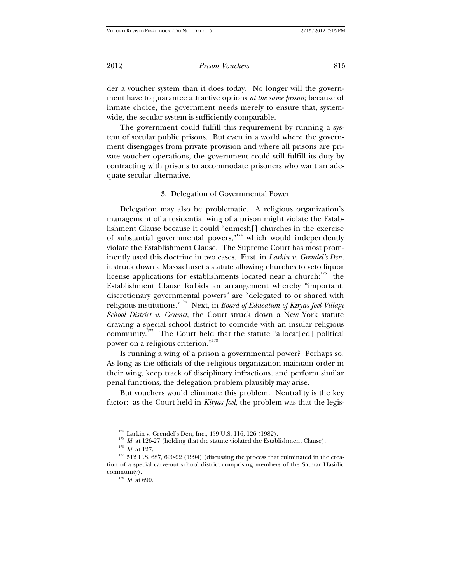der a voucher system than it does today. No longer will the government have to guarantee attractive options *at the same prison*; because of inmate choice, the government needs merely to ensure that, systemwide, the secular system is sufficiently comparable.

The government could fulfill this requirement by running a system of secular public prisons. But even in a world where the government disengages from private provision and where all prisons are private voucher operations, the government could still fulfill its duty by contracting with prisons to accommodate prisoners who want an adequate secular alternative.

## 3. Delegation of Governmental Power

Delegation may also be problematic. A religious organization's management of a residential wing of a prison might violate the Establishment Clause because it could "enmesh[] churches in the exercise of substantial governmental powers," $174}$  which would independently violate the Establishment Clause. The Supreme Court has most prominently used this doctrine in two cases. First, in *Larkin v. Grendel's Den*, it struck down a Massachusetts statute allowing churches to veto liquor license applications for establishments located near a church:<sup>175</sup> the Establishment Clause forbids an arrangement whereby "important, discretionary governmental powers" are "delegated to or shared with religious institutions."176 Next, in *Board of Education of Kiryas Joel Village School District v. Grumet*, the Court struck down a New York statute drawing a special school district to coincide with an insular religious community.<sup>177</sup> The Court held that the statute "allocat[ed] political power on a religious criterion."<sup>178</sup>

Is running a wing of a prison a governmental power? Perhaps so. As long as the officials of the religious organization maintain order in their wing, keep track of disciplinary infractions, and perform similar penal functions, the delegation problem plausibly may arise.

But vouchers would eliminate this problem. Neutrality is the key factor: as the Court held in *Kiryas Joel*, the problem was that the legis-

<sup>&</sup>lt;sup>174</sup> Larkin v. Grendel's Den, Inc., 459 U.S. 116, 126 (1982).<br><sup>175</sup> *Id.* at 126-27 (holding that the statute violated the Establishment Clause).<br><sup>176</sup> *Id.* at 127.<br><sup>177</sup> 512 U.S. 687, 690-92 (1994) (discussing the proc tion of a special carve-out school district comprising members of the Satmar Hasidic community).<br> $\frac{178}{Id}$  *Id.* at 690.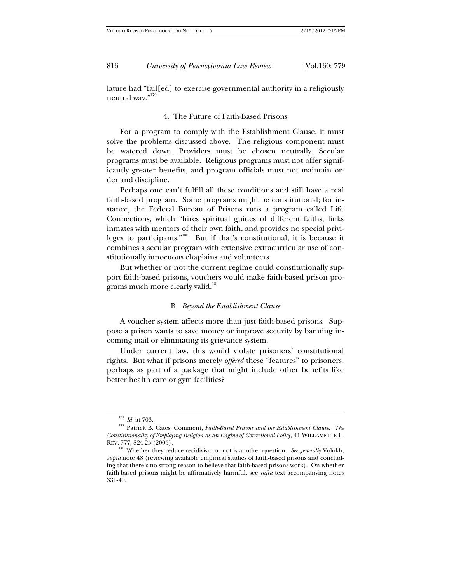lature had "fail[ed] to exercise governmental authority in a religiously neutral way."<br/>  $\real^{179}$ 

# 4. The Future of Faith-Based Prisons

For a program to comply with the Establishment Clause, it must solve the problems discussed above. The religious component must be watered down. Providers must be chosen neutrally. Secular programs must be available. Religious programs must not offer significantly greater benefits, and program officials must not maintain order and discipline.

Perhaps one can't fulfill all these conditions and still have a real faith-based program. Some programs might be constitutional; for instance, the Federal Bureau of Prisons runs a program called Life Connections, which "hires spiritual guides of different faiths, links inmates with mentors of their own faith, and provides no special privileges to participants."180 But if that's constitutional, it is because it combines a secular program with extensive extracurricular use of constitutionally innocuous chaplains and volunteers.

But whether or not the current regime could constitutionally support faith-based prisons, vouchers would make faith-based prison programs much more clearly valid.<sup>181</sup>

## B. *Beyond the Establishment Clause*

A voucher system affects more than just faith-based prisons. Suppose a prison wants to save money or improve security by banning incoming mail or eliminating its grievance system.

Under current law, this would violate prisoners' constitutional rights. But what if prisons merely *offered* these "features" to prisoners, perhaps as part of a package that might include other benefits like better health care or gym facilities?

<sup>&</sup>lt;sup>179</sup> *Id.* at 703.<br><sup>180</sup> Patrick B. Cates, Comment, *Faith-Based Prisons and the Establishment Clause: The Constitutionality of Employing Religion as an Engine of Correctional Policy*, 41 WILLAMETTE L. REV. 777, 824-25 (2005).

<sup>&</sup>lt;sup>181</sup> Whether they reduce recidivism or not is another question. *See generally* Volokh, *supra* note 48 (reviewing available empirical studies of faith-based prisons and concluding that there's no strong reason to believe that faith-based prisons work). On whether faith-based prisons might be affirmatively harmful, see *infra* text accompanying notes 331-40.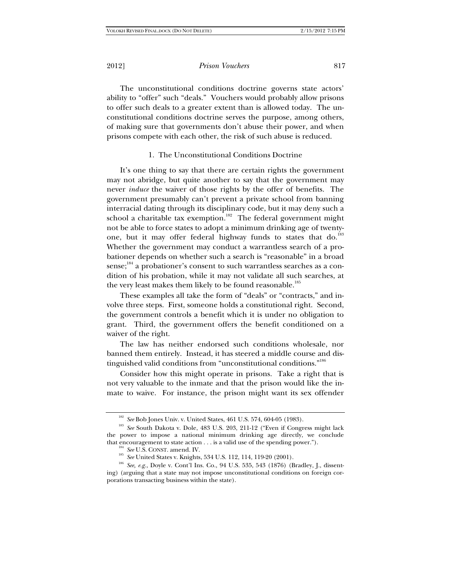The unconstitutional conditions doctrine governs state actors' ability to "offer" such "deals." Vouchers would probably allow prisons to offer such deals to a greater extent than is allowed today. The unconstitutional conditions doctrine serves the purpose, among others, of making sure that governments don't abuse their power, and when prisons compete with each other, the risk of such abuse is reduced.

# 1. The Unconstitutional Conditions Doctrine

It's one thing to say that there are certain rights the government may not abridge, but quite another to say that the government may never *induce* the waiver of those rights by the offer of benefits. The government presumably can't prevent a private school from banning interracial dating through its disciplinary code, but it may deny such a school a charitable tax exemption.<sup>182</sup> The federal government might not be able to force states to adopt a minimum drinking age of twentyone, but it may offer federal highway funds to states that do.<sup>183</sup> Whether the government may conduct a warrantless search of a probationer depends on whether such a search is "reasonable" in a broad sense;<sup>184</sup> a probationer's consent to such warrantless searches as a condition of his probation, while it may not validate all such searches, at the very least makes them likely to be found reasonable.<sup>185</sup>

These examples all take the form of "deals" or "contracts," and involve three steps. First, someone holds a constitutional right. Second, the government controls a benefit which it is under no obligation to grant. Third, the government offers the benefit conditioned on a waiver of the right.

The law has neither endorsed such conditions wholesale, nor banned them entirely. Instead, it has steered a middle course and distinguished valid conditions from "unconstitutional conditions."<sup>186</sup>

Consider how this might operate in prisons. Take a right that is not very valuable to the inmate and that the prison would like the inmate to waive. For instance, the prison might want its sex offender

<sup>&</sup>lt;sup>182</sup> *See* Bob Jones Univ. v. United States, 461 U.S. 574, 604-05 (1983).<br><sup>183</sup> *See* South Dakota v. Dole, 483 U.S. 203, 211-12 ("Even if Congress might lack the power to impose a national minimum drinking age directly, we conclude

that encouragement to state action . . . is a valid use of the spending power.").<br><sup>184</sup> See U.S. CONST. amend. IV.<br><sup>185</sup> See United States v. Knights, 534 U.S. 112, 114, 119-20 (2001).<br><sup>186</sup> See, e.g., Doyle v. Cont'l Ins ing) (arguing that a state may not impose unconstitutional conditions on foreign corporations transacting business within the state).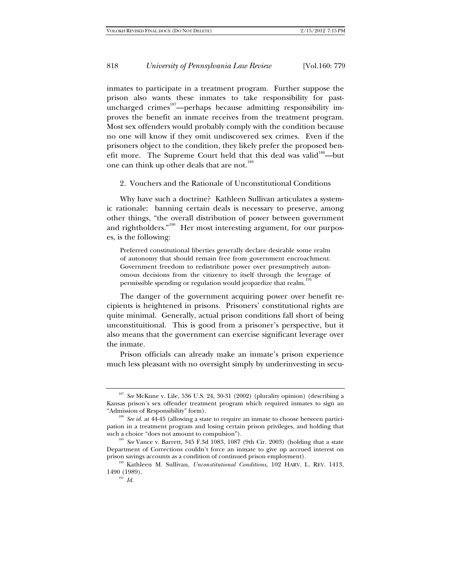inmates to participate in a treatment program. Further suppose the prison also wants these inmates to take responsibility for pastuncharged crimes<sup>187</sup>—perhaps because admitting responsibility improves the benefit an inmate receives from the treatment program. Most sex offenders would probably comply with the condition because no one will know if they omit undiscovered sex crimes. Even if the prisoners object to the condition, they likely prefer the proposed benefit more. The Supreme Court held that this deal was valid<sup>188</sup>—but one can think up other deals that are not.<sup>189</sup>

2. Vouchers and the Rationale of Unconstitutional Conditions

Why have such a doctrine? Kathleen Sullivan articulates a systemic rationale: banning certain deals is necessary to preserve, among other things, "the overall distribution of power between government and rightholders."<sup>190</sup> Her most interesting argument, for our purposes, is the following:

Preferred constitutional liberties generally declare desirable some realm of autonomy that should remain free from government encroachment. Government freedom to redistribute power over presumptively autonomous decisions from the citizenry to itself through the leverage of permissible spending or regulation would jeopardize that realm.<sup>191</sup>

The danger of the government acquiring power over benefit recipients is heightened in prisons. Prisoners' constitutional rights are quite minimal. Generally, actual prison conditions fall short of being unconstituitional. This is good from a prisoner's perspective, but it also means that the government can exercise significant leverage over the inmate.

Prison officials can already make an inmate's prison experience much less pleasant with no oversight simply by underinvesting in secu-

<sup>187</sup> *See* McKune v. Lile, 536 U.S. 24, 30-31 (2002) (plurality opinion) (describing a Kansas prison's sex offender treatment program which required inmates to sign an "Admission of Responsibility" form). 188 *See id.* at 44-45 (allowing a state to require an inmate to choose between partici-

pation in a treatment program and losing certain prison privileges, and holding that such a choice "does not amount to compulsion"). 189 *See* Vance v. Barrett, 345 F.3d 1083, 1087 (9th Cir. 2003) (holding that a state

Department of Corrections couldn't force an inmate to give up accrued interest on prison savings accounts as a condition of continued prison employment).

<sup>&</sup>lt;sup>190</sup> Kathleen M. Sullivan, *Unconstitutional Conditions*, 102 HARV. L. REV. 1413, 1490 (1989). 191 *Id*.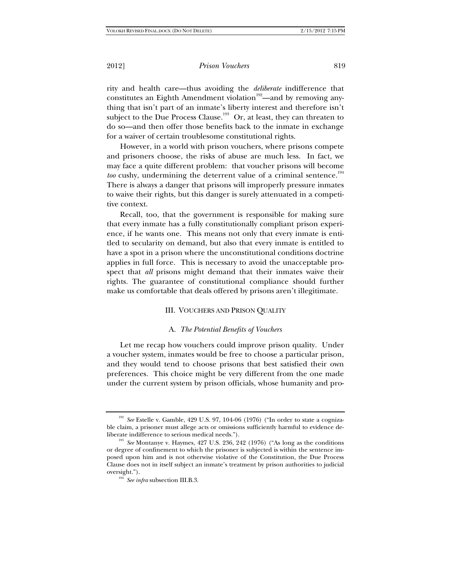rity and health care—thus avoiding the *deliberate* indifference that constitutes an Eighth Amendment violation<sup>192</sup>—and by removing anything that isn't part of an inmate's liberty interest and therefore isn't subject to the Due Process Clause.<sup>193</sup> Or, at least, they can threaten to do so—and then offer those benefits back to the inmate in exchange for a waiver of certain troublesome constitutional rights.

However, in a world with prison vouchers, where prisons compete and prisoners choose, the risks of abuse are much less. In fact, we may face a quite different problem: that voucher prisons will become too cushy, undermining the deterrent value of a criminal sentence.<sup>194</sup> There is always a danger that prisons will improperly pressure inmates to waive their rights, but this danger is surely attenuated in a competitive context.

Recall, too, that the government is responsible for making sure that every inmate has a fully constitutionally compliant prison experience, if he wants one. This means not only that every inmate is entitled to secularity on demand, but also that every inmate is entitled to have a spot in a prison where the unconstitutional conditions doctrine applies in full force. This is necessary to avoid the unacceptable prospect that *all* prisons might demand that their inmates waive their rights. The guarantee of constitutional compliance should further make us comfortable that deals offered by prisons aren't illegitimate.

# III. VOUCHERS AND PRISON QUALITY

#### A. *The Potential Benefits of Vouchers*

Let me recap how vouchers could improve prison quality. Under a voucher system, inmates would be free to choose a particular prison, and they would tend to choose prisons that best satisfied their own preferences. This choice might be very different from the one made under the current system by prison officials, whose humanity and pro-

<sup>192</sup> *See* Estelle v. Gamble, 429 U.S. 97, 104-06 (1976) ("In order to state a cognizable claim, a prisoner must allege acts or omissions sufficiently harmful to evidence deliberate indifference to serious medical needs."). 193 *See* Montanye v. Haymes, 427 U.S. 236, 242 (1976) ("As long as the conditions

or degree of confinement to which the prisoner is subjected is within the sentence imposed upon him and is not otherwise violative of the Constitution, the Due Process Clause does not in itself subject an inmate's treatment by prison authorities to judicial oversight."). 194 *See infra* subsection III.B.3.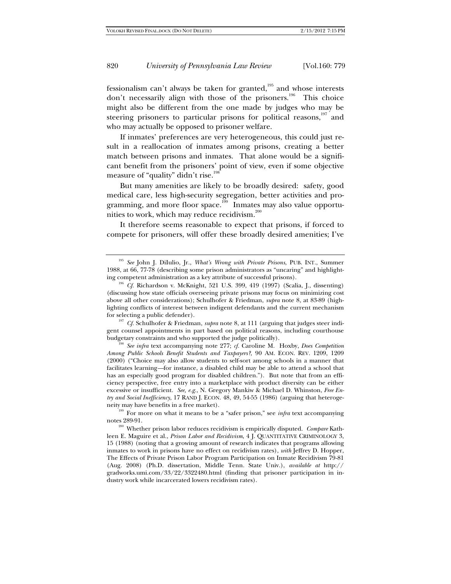fessionalism can't always be taken for granted,<sup>195</sup> and whose interests don't necessarily align with those of the prisoners.<sup>196</sup> This choice might also be different from the one made by judges who may be steering prisoners to particular prisons for political reasons, $197$  and who may actually be opposed to prisoner welfare.

If inmates' preferences are very heterogeneous, this could just result in a reallocation of inmates among prisons, creating a better match between prisons and inmates. That alone would be a significant benefit from the prisoners' point of view, even if some objective measure of "quality" didn't rise.<sup>198</sup>

But many amenities are likely to be broadly desired: safety, good medical care, less high-security segregation, better activities and programming, and more floor space.<sup>199</sup> Inmates may also value opportunities to work, which may reduce recidivism.<sup>200</sup>

It therefore seems reasonable to expect that prisons, if forced to compete for prisoners, will offer these broadly desired amenities; I've

<sup>195</sup> *See* John J. DiIulio, Jr., *What's Wrong with Private Prisons*, PUB. INT., Summer 1988, at 66, 77-78 (describing some prison administrators as "uncaring" and highlight-

<sup>&</sup>lt;sup>196</sup> *Cf.* Richardson v. McKnight, 521 U.S. 399, 419 (1997) (Scalia, J., dissenting) (discussing how state officials overseeing private prisons may focus on minimizing cost above all other considerations); Schulhofer & Friedman, *supra* note 8, at 83-89 (highlighting conflicts of interest between indigent defendants and the current mechanism for selecting a public defender). 197 *Cf.* Schulhofer & Friedman, *supra* note 8, at 111 (arguing that judges steer indi-

gent counsel appointments in part based on political reasons, including courthouse budgetary constraints and who supported the judge politically). 198 *See infra* text accompanying note 277; *cf.* Caroline M. Hoxby, *Does Competition* 

*Among Public Schools Benefit Students and Taxpayers?*, 90 AM. ECON. REV. 1209, 1209 (2000) ("Choice may also allow students to self-sort among schools in a manner that facilitates learning*—*for instance, a disabled child may be able to attend a school that has an especially good program for disabled children."). But note that from an efficiency perspective, free entry into a marketplace with product diversity can be either excessive or insufficient. *See, e.g.*, N. Gregory Mankiw & Michael D. Whinston, *Free Entry and Social Inefficiency*, 17 RAND J. ECON. 48, 49, 54-55 (1986) (arguing that heteroge-

neity may have benefits in a free market).<br><sup>199</sup> For more on what it means to be a "safer prison," see *infra* text accompanying<br>notes 289-91.

<sup>&</sup>lt;sup>200</sup> Whether prison labor reduces recidivism is empirically disputed. *Compare* Kathleen E. Maguire et al., *Prison Labor and Recidivism*, 4 J. QUANTITATIVE CRIMINOLOGY 3, 15 (1988) (noting that a growing amount of research indicates that programs allowing inmates to work in prisons have no effect on recidivism rates), *with* Jeffrey D. Hopper, The Effects of Private Prison Labor Program Participation on Inmate Recidivism 79-81 (Aug. 2008) (Ph.D. dissertation, Middle Tenn. State Univ.), *available at* http:// gradworks.umi.com/33/22/3322480.html (finding that prisoner participation in industry work while incarcerated lowers recidivism rates).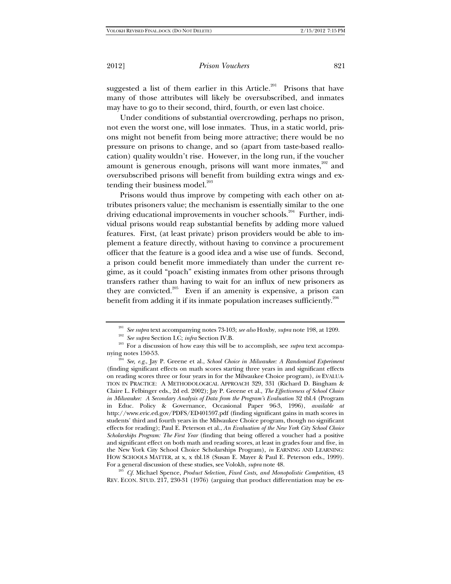suggested a list of them earlier in this Article.<sup>201</sup> Prisons that have many of those attributes will likely be oversubscribed, and inmates may have to go to their second, third, fourth, or even last choice.

Under conditions of substantial overcrowding, perhaps no prison, not even the worst one, will lose inmates. Thus, in a static world, prisons might not benefit from being more attractive; there would be no pressure on prisons to change, and so (apart from taste-based reallocation) quality wouldn't rise. However, in the long run, if the voucher amount is generous enough, prisons will want more inmates,<sup>202</sup> and oversubscribed prisons will benefit from building extra wings and extending their business model.<sup>203</sup>

Prisons would thus improve by competing with each other on attributes prisoners value; the mechanism is essentially similar to the one driving educational improvements in voucher schools.<sup>204</sup> Further, individual prisons would reap substantial benefits by adding more valued features. First, (at least private) prison providers would be able to implement a feature directly, without having to convince a procurement officer that the feature is a good idea and a wise use of funds. Second, a prison could benefit more immediately than under the current regime, as it could "poach" existing inmates from other prisons through transfers rather than having to wait for an influx of new prisoners as they are convicted.<sup>205</sup> Even if an amenity is expensive, a prison can benefit from adding it if its inmate population increases sufficiently.<sup>206</sup>

REV. ECON. STUD. 217, 230-31 (1976) (arguing that product differentiation may be ex-

<sup>&</sup>lt;sup>201</sup> See supra text accompanying notes 73-103; see also Hoxby, supra note 198, at 1209.<br><sup>202</sup> See supra Section I.C; *infra* Section IV.B.<br><sup>203</sup> For a discussion of how easy this will be to accomplish, see *supra* text a

nying notes 150-53. 204 *See, e.g.*, Jay P. Greene et al., *School Choice in Milwaukee: A Randomized Experiment* (finding significant effects on math scores starting three years in and significant effects on reading scores three or four years in for the Milwaukee Choice program), *in* EVALUA-TION IN PRACTICE: A METHODOLOGICAL APPROACH 329, 331 (Richard D. Bingham & Claire L. Felbinger eds., 2d ed. 2002); Jay P. Greene et al., *The Effectiveness of School Choice in Milwaukee: A Secondary Analysis of Data from the Program's Evaluation* 32 tbl.4 (Program in Educ. Policy & Governance, Occasional Paper 96-3, 1996), *available at* http://www.eric.ed.gov/PDFS/ED401597.pdf (finding significant gains in math scores in students' third and fourth years in the Milwaukee Choice program, though no significant effects for reading); Paul E. Peterson et al., *An Evaluation of the New York City School Choice Scholarships Program: The First Year* (finding that being offered a voucher had a positive and significant effect on both math and reading scores, at least in grades four and five, in the New York City School Choice Scholarships Program), *in* EARNING AND LEARNING: HOW SCHOOLS MATTER, at x, x tbl.18 (Susan E. Mayer & Paul E. Peterson eds., 1999). For a general discussion of these studies, see Volokh, *supra* note 48. 205 *Cf.* Michael Spence, *Product Selection, Fixed Costs, and Monopolistic Competition*, 43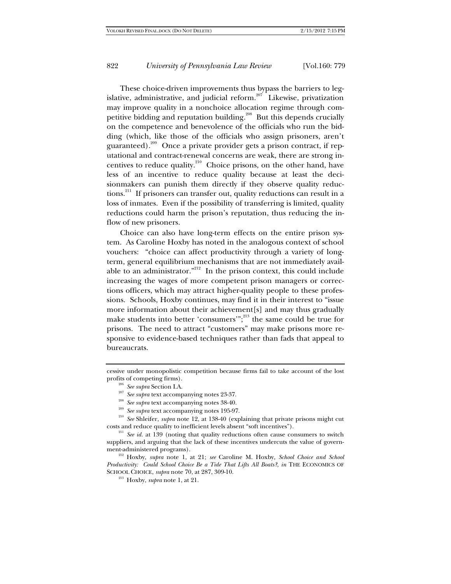These choice-driven improvements thus bypass the barriers to legislative, administrative, and judicial reform.<sup>207</sup> Likewise, privatization may improve quality in a nonchoice allocation regime through competitive bidding and reputation building.<sup>208</sup> But this depends crucially on the competence and benevolence of the officials who run the bidding (which, like those of the officials who assign prisoners, aren't guaranteed).209 Once a private provider gets a prison contract, if reputational and contract-renewal concerns are weak, there are strong incentives to reduce quality.<sup>210</sup> Choice prisons, on the other hand, have less of an incentive to reduce quality because at least the decisionmakers can punish them directly if they observe quality reductions.<sup>211</sup> If prisoners can transfer out, quality reductions can result in a loss of inmates. Even if the possibility of transferring is limited, quality reductions could harm the prison's reputation, thus reducing the inflow of new prisoners.

Choice can also have long-term effects on the entire prison system. As Caroline Hoxby has noted in the analogous context of school vouchers: "choice can affect productivity through a variety of longterm, general equilibrium mechanisms that are not immediately available to an administrator. $n^{212}$  In the prison context, this could include increasing the wages of more competent prison managers or corrections officers, which may attract higher-quality people to these professions. Schools, Hoxby continues, may find it in their interest to "issue more information about their achievement[s] and may thus gradually make students into better 'consumers'";<sup>213</sup> the same could be true for prisons. The need to attract "customers" may make prisons more responsive to evidence-based techniques rather than fads that appeal to bureaucrats.

- 
- 

cessive under monopolistic competition because firms fail to take account of the lost

profits of competing firms).<br>
<sup>206</sup> See supra Section I.A.<br>
<sup>207</sup> See supra text accompanying notes 23-37.<br>
<sup>208</sup> See supra text accompanying notes 38-40.<br>
<sup>209</sup> See supra text accompanying notes 195-97.<br>
<sup>210</sup> See Shleif costs and reduce quality to inefficient levels absent "soft incentives"). 211 *See id.* at 139 (noting that quality reductions often cause consumers to switch

suppliers, and arguing that the lack of these incentives undercuts the value of government-administered programs). 212 Hoxby, *supra* note 1, at 21; *see* Caroline M. Hoxby, *School Choice and School* 

*Productivity: Could School Choice Be a Tide That Lifts All Boats?*, *in* THE ECONOMICS OF SCHOOL CHOICE, *supra* note 70, at 287, 309-10. 213 Hoxby, *supra* note 1, at 21.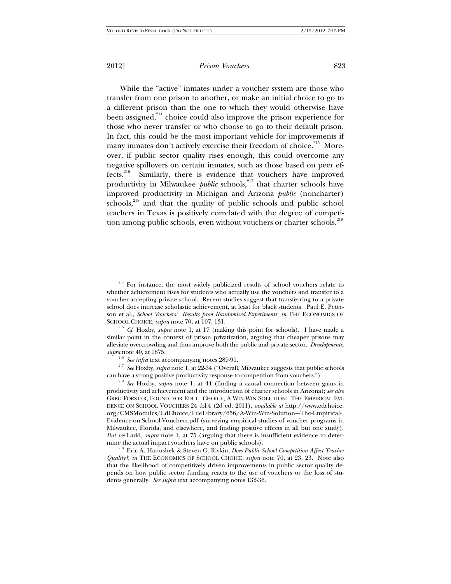While the "active" inmates under a voucher system are those who transfer from one prison to another, or make an initial choice to go to a different prison than the one to which they would otherwise have been assigned, $214$  choice could also improve the prison experience for those who never transfer or who choose to go to their default prison. In fact, this could be the most important vehicle for improvements if many inmates don't actively exercise their freedom of choice.<sup>215</sup> Moreover, if public sector quality rises enough, this could overcome any negative spillovers on certain inmates, such as those based on peer effects.<sup>216</sup> Similarly, there is evidence that vouchers have improved productivity in Milwaukee *public* schools,<sup>217</sup> that charter schools have improved productivity in Michigan and Arizona *public* (noncharter) schools,<sup>218</sup> and that the quality of public schools and public school teachers in Texas is positively correlated with the degree of competition among public schools, even without vouchers or charter schools.<sup>219</sup>

<sup>215</sup> *Cf.* Hoxby, *supra* note 1, at 17 (making this point for schools). I have made a similar point in the context of prison privatization, arguing that cheaper prisons may alleviate overcrowding and thus improve both the public and private sector. *Developments*, *supra* note 40, at 1875.

<sup>217</sup> See Hoxby, *supra* note 1, at 22-34 ("Overall, Milwaukee suggests that public schools

can have a strong positive productivity response to competition from vouchers."). 218 *See* Hoxby, *supra* note 1, at 44 (finding a causal connection between gains in productivity and achievement and the introduction of charter schools in Arizona); *see also* GREG FORSTER, FOUND. FOR EDUC. CHOICE, A WIN-WIN SOLUTION: THE EMPIRICAL EVI-DENCE ON SCHOOL VOUCHERS 24 tbl.4 (2d ed. 2011), *available at* http://www.edchoice. org/CMSModules/EdChoice/FileLibrary/656/A-Win-Win-Solution--The-Empirical-Evidence-on-School-Vouchers.pdf (surveying empirical studies of voucher programs in Milwaukee, Florida, and elsewhere, and finding positive effects in all but one study). *But see* Ladd, *supra* note 1, at 75 (arguing that there is insufficient evidence to determine the actual impact vouchers have on public schools). 219 Eric A. Hanushek & Steven G. Rivkin, *Does Public School Competition Affect Teacher* 

*Quality?*, *in* THE ECONOMICS OF SCHOOL CHOICE, *supra* note 70, at 23, 23. Note also that the likelihood of competitively driven improvements in public sector quality depends on how public sector funding reacts to the use of vouchers or the loss of students generally. *See supra* text accompanying notes 132-36.

<sup>&</sup>lt;sup>214</sup> For instance, the most widely publicized results of school vouchers relate to whether achievement rises for students who actually use the vouchers and transfer to a voucher-accepting private school. Recent studies suggest that transferring to a private school does increase scholastic achievement, at least for black students. Paul E. Peterson et al., *School Vouchers: Results from Randomized Experiments*, *in* THE ECONOMICS OF SCHOOL CHOICE, *supra* note 70, at 107, 131.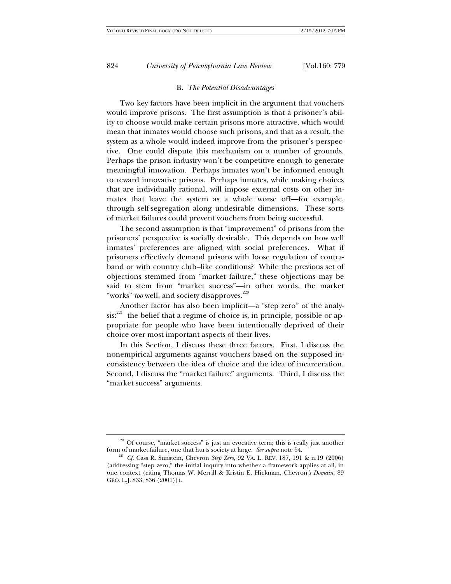#### B. *The Potential Disadvantages*

Two key factors have been implicit in the argument that vouchers would improve prisons. The first assumption is that a prisoner's ability to choose would make certain prisons more attractive, which would mean that inmates would choose such prisons, and that as a result, the system as a whole would indeed improve from the prisoner's perspective. One could dispute this mechanism on a number of grounds. Perhaps the prison industry won't be competitive enough to generate meaningful innovation. Perhaps inmates won't be informed enough to reward innovative prisons. Perhaps inmates, while making choices that are individually rational, will impose external costs on other inmates that leave the system as a whole worse off—for example, through self-segregation along undesirable dimensions. These sorts of market failures could prevent vouchers from being successful.

The second assumption is that "improvement" of prisons from the prisoners' perspective is socially desirable. This depends on how well inmates' preferences are aligned with social preferences. What if prisoners effectively demand prisons with loose regulation of contraband or with country club–like conditions? While the previous set of objections stemmed from "market failure," these objections may be said to stem from "market success"—in other words, the market "works" too well, and society disapproves.<sup>220</sup>

Another factor has also been implicit—a "step zero" of the analy $sis:^{221}$  the belief that a regime of choice is, in principle, possible or appropriate for people who have been intentionally deprived of their choice over most important aspects of their lives.

In this Section, I discuss these three factors. First, I discuss the nonempirical arguments against vouchers based on the supposed inconsistency between the idea of choice and the idea of incarceration. Second, I discuss the "market failure" arguments. Third, I discuss the "market success" arguments.

<sup>&</sup>lt;sup>220</sup> Of course, "market success" is just an evocative term; this is really just another form of market failure, one that hurts society at large. *See supra* note 54. 221 *Cf.* Cass R. Sunstein, Chevron *Step Zero*, 92 VA. L. REV. 187, 191 & n.19 (2006)

<sup>(</sup>addressing "step zero," the initial inquiry into whether a framework applies at all, in one context (citing Thomas W. Merrill & Kristin E. Hickman, Chevron*'s Domain*, 89 GEO. L.J. 833, 836 (2001))).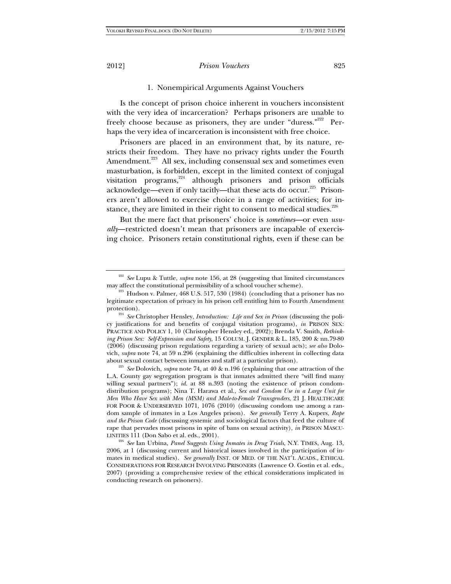# 1. Nonempirical Arguments Against Vouchers

Is the concept of prison choice inherent in vouchers inconsistent with the very idea of incarceration? Perhaps prisoners are unable to freely choose because as prisoners, they are under "duress."<sup>222</sup> Perhaps the very idea of incarceration is inconsistent with free choice.

Prisoners are placed in an environment that, by its nature, restricts their freedom. They have no privacy rights under the Fourth Amendment.<sup>223</sup> All sex, including consensual sex and sometimes even masturbation, is forbidden, except in the limited context of conjugal visitation programs, $224$  although prisoners and prison officials acknowledge—even if only tacitly—that these acts do occur.<sup>225</sup> Prisoners aren't allowed to exercise choice in a range of activities; for instance, they are limited in their right to consent to medical studies. $226$ 

But the mere fact that prisoners' choice is *sometimes*—or even *usually*—restricted doesn't mean that prisoners are incapable of exercising choice. Prisoners retain constitutional rights, even if these can be

<sup>222</sup> *See* Lupu & Tuttle, *supra* note 156, at 28 (suggesting that limited circumstances may affect the constitutional permissibility of a school voucher scheme).<br><sup>223</sup> Hudson v. Palmer, 468 U.S. 517, 530 (1984) (concluding that a prisoner has no

legitimate expectation of privacy in his prison cell entitling him to Fourth Amendment

protection). 224 *See* Christopher Hensley, *Introduction: Life and Sex in Prison* (discussing the policy justifications for and benefits of conjugal visitation programs), *in* PRISON SEX: PRACTICE AND POLICY 1, 10 (Christopher Hensley ed., 2002); Brenda V. Smith, *Rethinking Prison Sex: Self-Expression and Safety*, 15 COLUM. J. GENDER & L. 185, 200 & nn.79-80 (2006) (discussing prison regulations regarding a variety of sexual acts); *see also* Dolovich, *supra* note 74, at 59 n.296 (explaining the difficulties inherent in collecting data

about sexual contact between inmates and staff at a particular prison). 225 *See* Dolovich, *supra* note 74, at 40 & n.196 (explaining that one attraction of the L.A. County gay segregation program is that inmates admitted there "will find many willing sexual partners"); *id.* at 88 n.393 (noting the existence of prison condomdistribution programs); Nina T. Harawa et al., *Sex and Condom Use in a Large Unit for Men Who Have Sex with Men (MSM) and Male-to-Female Transgenders*, 21 J. HEALTHCARE FOR POOR & UNDERSERVED 1071, 1076 (2010) (discussing condom use among a random sample of inmates in a Los Angeles prison). *See generally* Terry A. Kupers, *Rape and the Prison Code* (discussing systemic and sociological factors that feed the culture of rape that pervades most prisons in spite of bans on sexual activity), *in* PRISON MASCU-LINITIES 111 (Don Sabo et al. eds., 2001). 226 *See* Ian Urbina, *Panel Suggests Using Inmates in Drug Trials*, N.Y. TIMES, Aug. 13,

<sup>2006,</sup> at 1 (discussing current and historical issues involved in the participation of inmates in medical studies). *See generally* INST. OF MED. OF THE NAT'L ACADS., ETHICAL CONSIDERATIONS FOR RESEARCH INVOLVING PRISONERS (Lawrence O. Gostin et al. eds., 2007) (providing a comprehensive review of the ethical considerations implicated in conducting research on prisoners).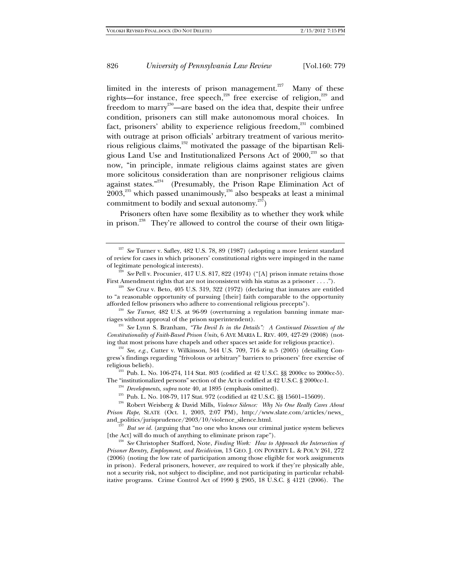limited in the interests of prison management.<sup>227</sup> Many of these rights—for instance, free speech,<sup>228</sup> free exercise of religion,<sup>229</sup> and freedom to marry<sup>230</sup>—are based on the idea that, despite their unfree condition, prisoners can still make autonomous moral choices. In fact, prisoners' ability to experience religious freedom,<sup>231</sup> combined with outrage at prison officials' arbitrary treatment of various meritorious religious claims,<sup>232</sup> motivated the passage of the bipartisan Religious Land Use and Institutionalized Persons Act of  $2000$ ,<sup>233</sup> so that now, "in principle, inmate religious claims against states are given more solicitous consideration than are nonprisoner religious claims against states."<sup>234</sup> (Presumably, the Prison Rape Elimination Act of  $2003$ ,<sup>235</sup> which passed unanimously,<sup>236</sup> also bespeaks at least a minimal commitment to bodily and sexual autonomy.<sup>237</sup>)

Prisoners often have some flexibility as to whether they work while in prison.238 They're allowed to control the course of their own litiga-

<sup>231</sup> See Lynn S. Branham, *"The Devil Is in the Details": A Continued Dissection of the Constitutionality of Faith-Based Prison Units*, 6 AVE MARIA L. REV. 409, 427-29 (2008) (noting that most prisons have chapels and other spaces set aside for religious practice).<br><sup>232</sup> *See, e.g.*, Cutter v. Wilkinson, 544 U.S. 709, 716 & n.5 (2005) (detailing Con-

The "institutionalized persons" section of the Act is codified at 42 U.S.C. § 2000cc-1.<br><sup>234</sup> *Developments, supra* note 40, at 1895 (emphasis omitted).<br><sup>235</sup> Pub. L. No. 108-79, 117 Stat. 972 (codified at 42 U.S.C. §§ 156

*Prison Rape*, SLATE (Oct. 1, 2003, 2:07 PM), http://www.slate.com/articles/news\_

and\_politics/jurisprudence/2003/10/violence\_silence.html.<br><sup>237</sup> *But see id.* (arguing that "no one who knows our criminal justice system believes [the Act] will do much of anything to eliminate prison rape").

<sup>238</sup> See Christopher Stafford, Note, *Finding Work: How to Approach the Intersection of Prisoner Reentry, Employment, and Recidivism*, 13 GEO. J. ON POVERTY L. & POL'Y 261, 272 (2006) (noting the low rate of participation among those eligible for work assignments in prison). Federal prisoners, however, *are* required to work if they're physically able, not a security risk, not subject to discipline, and not participating in particular rehabilitative programs. Crime Control Act of 1990 § 2905, 18 U.S.C. § 4121 (2006). The

<sup>227</sup> *See* Turner v. Safley, 482 U.S. 78, 89 (1987) (adopting a more lenient standard of review for cases in which prisoners' constitutional rights were impinged in the name

of legitimate penological interests).<br><sup>228</sup> *See* Pell v. Procunier, 417 U.S. 817, 822 (1974) ("[A] prison inmate retains those<br>First Amendment rights that are not inconsistent with his status as a prisoner . . . .").

 $F<sup>229</sup>$  See Cruz v. Beto, 405 U.S. 319, 322 (1972) (declaring that inmates are entitled to "a reasonable opportunity of pursuing [their] faith comparable to the opportunity afforded fellow prisoners who adhere to conventional religious precepts").

<sup>&</sup>lt;sup>230</sup> See Turner, 482 U.S. at 96-99 (overturning a regulation banning inmate marriages without approval of the prison superintendent).

gress's findings regarding "frivolous or arbitrary" barriers to prisoners' free exercise of religious beliefs). 233 Pub. L. No. 106-274, 114 Stat. 803 (codified at 42 U.S.C. §§ 2000cc to 2000cc-5).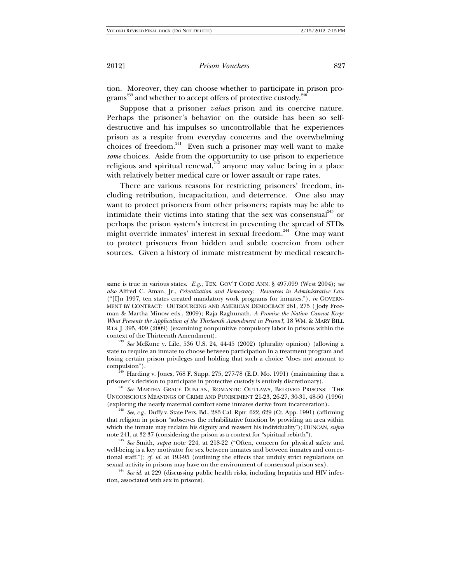tion. Moreover, they can choose whether to participate in prison programs<sup>239</sup> and whether to accept offers of protective custody.<sup>240</sup>

Suppose that a prisoner *values* prison and its coercive nature. Perhaps the prisoner's behavior on the outside has been so selfdestructive and his impulses so uncontrollable that he experiences prison as a respite from everyday concerns and the overwhelming choices of freedom.<sup>241</sup> Even such a prisoner may well want to make *some* choices. Aside from the opportunity to use prison to experience religious and spiritual renewal, $^{242}$  anyone may value being in a place with relatively better medical care or lower assault or rape rates.

There are various reasons for restricting prisoners' freedom, including retribution, incapacitation, and deterrence. One also may want to protect prisoners from other prisoners; rapists may be able to intimidate their victims into stating that the sex was consensual $^{243}$  or perhaps the prison system's interest in preventing the spread of STDs might override inmates' interest in sexual freedom.<sup>244</sup> One may want to protect prisoners from hidden and subtle coercion from other sources. Given a history of inmate mistreatment by medical research-

same is true in various states. *E.g.*, TEX. GOV'T CODE ANN. § 497.099 (West 2004); *see also* Alfred C. Aman, Jr., *Privatization and Democracy: Resources in Administrative Law* ("[I]n 1997, ten states created mandatory work programs for inmates."), *in* GOVERN-MENT BY CONTRACT: OUTSOURCING AND AMERICAN DEMOCRACY 261, 275 ( Jody Freeman & Martha Minow eds., 2009); Raja Raghunath, *A Promise the Nation Cannot Keep: What Prevents the Application of the Thirteenth Amendment in Prison?*, 18 WM. & MARY BILL RTS. J. 395, 409 (2009) (examining nonpunitive compulsory labor in prisons within the context of the Thirteenth Amendment). 239 *See* McKune v. Lile, 536 U.S. 24, 44-45 (2002) (plurality opinion) (allowing a

state to require an inmate to choose between participation in a treatment program and losing certain prison privileges and holding that such a choice "does not amount to

compulsion").<br><sup>240</sup> Harding v. Jones, 768 F. Supp. 275, 277-78 (E.D. Mo. 1991) (maintaining that a prisoner's decision to participate in protective custody is entirely discretionary).

<sup>&</sup>lt;sup>241</sup> See MARTHA GRACE DUNCAN, ROMANTIC OUTLAWS, BELOVED PRISONS: THE UNCONSCIOUS MEANINGS OF CRIME AND PUNISHMENT 21-23, 26-27, 30-31, 48-50 (1996) (exploring the nearly maternal comfort some inmates derive from incarceration). 242 *See, e.g.*, Duffy v. State Pers. Bd., 283 Cal. Rptr. 622, 629 (Ct. App. 1991) (affirming

that religion in prison "subserves the rehabilitative function by providing an area within which the inmate may reclaim his dignity and reassert his individuality"); DUNCAN, *supra*

note 241, at 32-37 (considering the prison as a context for "spiritual rebirth"). 243 *See* Smith, *supra* note 224, at 218-22 ("Often, concern for physical safety and well-being is a key motivator for sex between inmates and between inmates and correctional staff."); *cf. id.* at 193-95 (outlining the effects that unduly strict regulations on sexual activity in prisons may have on the environment of consensual prison sex). 244 *See id.* at 229 (discussing public health risks, including hepatitis and HIV infec-

tion, associated with sex in prisons).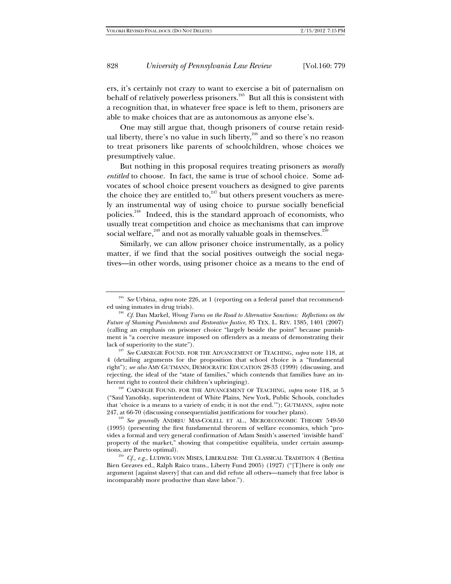ers, it's certainly not crazy to want to exercise a bit of paternalism on behalf of relatively powerless prisoners.245 But all this is consistent with a recognition that, in whatever free space is left to them, prisoners are able to make choices that are as autonomous as anyone else's.

One may still argue that, though prisoners of course retain residual liberty, there's no value in such liberty, $246$  and so there's no reason to treat prisoners like parents of schoolchildren, whose choices we presumptively value.

But nothing in this proposal requires treating prisoners as *morally entitled* to choose. In fact, the same is true of school choice. Some advocates of school choice present vouchers as designed to give parents the choice they are entitled to, $247$  but others present vouchers as merely an instrumental way of using choice to pursue socially beneficial policies.248 Indeed, this is the standard approach of economists, who usually treat competition and choice as mechanisms that can improve social welfare,<sup>249</sup> and not as morally valuable goals in themselves.<sup>2</sup>

Similarly, we can allow prisoner choice instrumentally, as a policy matter, if we find that the social positives outweigh the social negatives—in other words, using prisoner choice as a means to the end of

lack of superiority to the state"). 247 *See* CARNEGIE FOUND. FOR THE ADVANCEMENT OF TEACHING, *supra* note 118, at 4 (detailing arguments for the proposition that school choice is a "fundamental right"); *see also* AMY GUTMANN, DEMOCRATIC EDUCATION 28-33 (1999) (discussing, and rejecting, the ideal of the "state of families," which contends that families have an inherent right to control their children's upbringing).<br><sup>248</sup> CARNEGIE FOUND. FOR THE ADVANCEMENT OF TEACHING, *supra* note 118, at 5

("Saul Yanofsky, superintendent of White Plains, New York, Public Schools, concludes that 'choice is a means to a variety of ends; it is not the end.'"); GUTMANN, *supra* note

<sup>249</sup> See generally ANDREU MAS-COLELL ET AL., MICROECONOMIC THEORY 549-50 (1995) (presenting the first fundamental theorem of welfare economics, which "provides a formal and very general confirmation of Adam Smith's asserted 'invisible hand' property of the market," showing that competitive equilibria, under certain assumptions, are Pareto optimal).<br><sup>250</sup> *Cf., e.g.*, LUDWIG VON MISES, LIBERALISM: THE CLASSICAL TRADITION 4 (Bettina

Bien Greaves ed., Ralph Raico trans., Liberty Fund 2005) (1927) ("[T]here is only *one* argument [against slavery] that can and did refute all others—namely that free labor is incomparably more productive than slave labor.").

<sup>245</sup> *See* Urbina, *supra* note 226, at 1 (reporting on a federal panel that recommended using inmates in drug trials). 246 *Cf.* Dan Markel, *Wrong Turns on the Road to Alternative Sanctions: Reflections on the* 

*Future of Shaming Punishments and Restorative Justice*, 85 TEX. L. REV. 1385, 1401 (2007) (calling an emphasis on prisoner choice "largely beside the point" because punishment is "a coercive measure imposed on offenders as a means of demonstrating their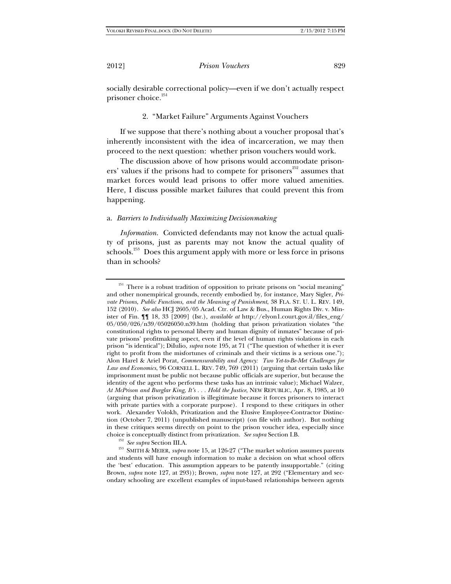socially desirable correctional policy—even if we don't actually respect prisoner choice.<sup>251</sup>

2. "Market Failure" Arguments Against Vouchers

If we suppose that there's nothing about a voucher proposal that's inherently inconsistent with the idea of incarceration, we may then proceed to the next question: whether prison vouchers would work.

The discussion above of how prisons would accommodate prisoners' values if the prisons had to compete for prisoners $252$  assumes that market forces would lead prisons to offer more valued amenities. Here, I discuss possible market failures that could prevent this from happening.

# a. *Barriers to Individually Maximizing Decisionmaking*

*Information.* Convicted defendants may not know the actual quality of prisons, just as parents may not know the actual quality of schools.<sup>253</sup> Does this argument apply with more or less force in prisons than in schools?

<sup>&</sup>lt;sup>251</sup> There is a robust tradition of opposition to private prisons on "social meaning" and other nonempirical grounds, recently embodied by, for instance, Mary Sigler, *Private Prisons, Public Functions, and the Meaning of Punishment*, 38 FLA. ST. U. L. REV. 149, 152 (2010). *See also* HCJ 2605/05 Acad. Ctr. of Law & Bus., Human Rights Div. v. Minister of Fin. ¶¶ 18, 33 [2009] (Isr.), *available at* http://elyon1.court.gov.il/files\_eng/ 05/050/026/n39/05026050.n39.htm (holding that prison privatization violates "the constitutional rights to personal liberty and human dignity of inmates" because of private prisons' profitmaking aspect, even if the level of human rights violations in each prison "is identical"); DiIulio, *supra* note 195, at 71 ("The question of whether it is ever right to profit from the misfortunes of criminals and their victims is a serious one."); Alon Harel & Ariel Porat, *Commensurability and Agency: Two Yet-to-Be-Met Challenges for Law and Economics*, 96 CORNELL L. REV. 749, 769 (2011) (arguing that certain tasks like imprisonment must be public not because public officials are superior, but because the identity of the agent who performs these tasks has an intrinsic value); Michael Walzer, *At McPrison and Burglar King, It's . . . Hold the Justice*, NEW REPUBLIC, Apr. 8, 1985, at 10 (arguing that prison privatization is illegitimate because it forces prisoners to interact with private parties with a corporate purpose). I respond to these critiques in other work. Alexander Volokh, Privatization and the Elusive Employee-Contractor Distinction (October 7, 2011) (unpublished manuscript) (on file with author). But nothing in these critiques seems directly on point to the prison voucher idea, especially since choice is conceptually distinct from privatization. *See supra* Section I.B.

<sup>252</sup> *See supra* Section III.A. 253 SMITH & MEIER, *supra* note 15, at 126-27 ("The market solution assumes parents and students will have enough information to make a decision on what school offers the 'best' education. This assumption appears to be patently insupportable." (citing Brown, *supra* note 127, at 293)); Brown, *supra* note 127, at 292 ("Elementary and secondary schooling are excellent examples of input-based relationships between agents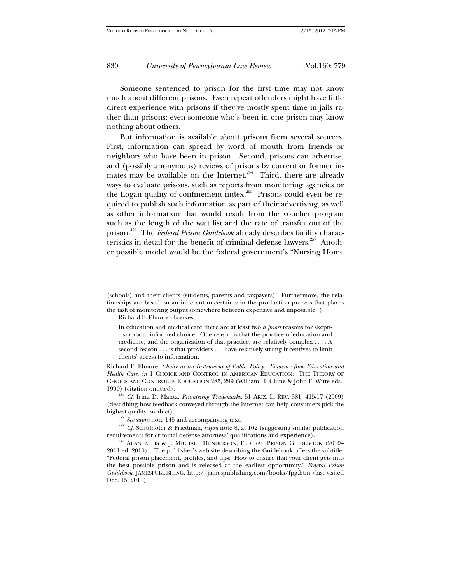Someone sentenced to prison for the first time may not know much about different prisons. Even repeat offenders might have little direct experience with prisons if they've mostly spent time in jails rather than prisons; even someone who's been in one prison may know nothing about others.

But information is available about prisons from several sources. First, information can spread by word of mouth from friends or neighbors who have been in prison. Second, prisons can advertise, and (possibly anonymous) reviews of prisons by current or former inmates may be available on the Internet.<sup>254</sup> Third, there are already ways to evaluate prisons, such as reports from monitoring agencies or the Logan quality of confinement index.<sup>255</sup> Prisons could even be required to publish such information as part of their advertising, as well as other information that would result from the voucher program such as the length of the wait list and the rate of transfer out of the prison.256 The *Federal Prison Guidebook* already describes facility characteristics in detail for the benefit of criminal defense lawyers.<sup>257</sup> Another possible model would be the federal government's "Nursing Home

Richard F. Elmore observes,

In education and medical care there are at least two *a priori* reasons for skepticism about informed choice. One reason is that the practice of education and medicine, and the organization of that practice, are relatively complex . . . . A second reason . . . is that providers . . . have relatively strong incentives to limit clients' access to information.

Richard F. Elmore, *Choice as an Instrument of Public Policy: Evidence from Education and Health Care*, *in* 1 CHOICE AND CONTROL IN AMERICAN EDUCATION: THE THEORY OF CHOICE AND CONTROL IN EDUCATION 285, 299 (William H. Clune & John F. Witte eds.,

1990) (citation omitted). 254 *Cf.* Irina D. Manta, *Privatizing Trademarks*, 51 ARIZ. L. REV. 381, 415-17 (2009) (describing how feedback conveyed through the Internet can help consumers pick the

highest-quality product).<br><sup>255</sup> *See supra* note 145 and accompanying text.<br><sup>256</sup> *Cf.* Schulhofer & Friedman, *supra* note 8, at 102 (suggesting similar publication requirements for criminal defense attorneys' qualificati

<sup>257</sup> ALAN ELLIS & J. MICHAEL HENDERSON, FEDERAL PRISON GUIDEBOOK (2010– 2011 ed. 2010). The publisher's web site describing the Guidebook offers the subtitle: "Federal prison placement, profiles, and tips: How to ensure that your client gets into the best possible prison and is released at the earliest opportunity." *Federal Prison Guidebook*, JAMESPUBLISHING, http://jamespublishing.com/books/fpg.htm (last visited Dec. 15, 2011).

<sup>(</sup>schools) and their clients (students, parents and taxpayers). Furthermore, the relationships are based on an inherent uncertainty in the production process that places the task of monitoring output somewhere between expensive and impossible.").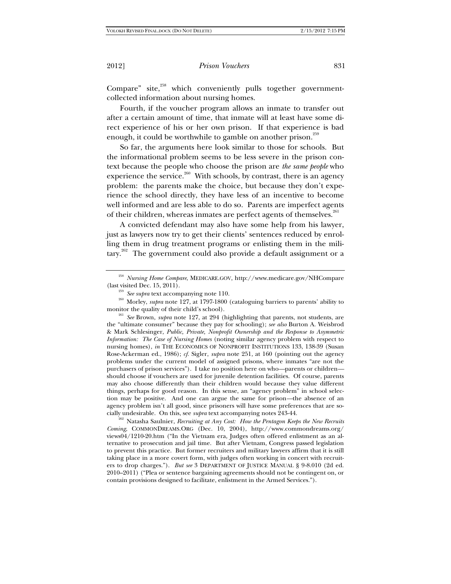Compare" site,<sup>258</sup> which conveniently pulls together governmentcollected information about nursing homes.

Fourth, if the voucher program allows an inmate to transfer out after a certain amount of time, that inmate will at least have some direct experience of his or her own prison. If that experience is bad enough, it could be worthwhile to gamble on another prison.<sup>259</sup>

So far, the arguments here look similar to those for schools. But the informational problem seems to be less severe in the prison context because the people who choose the prison are *the same people* who experience the service.<sup>260</sup> With schools, by contrast, there is an agency problem: the parents make the choice, but because they don't experience the school directly, they have less of an incentive to become well informed and are less able to do so. Parents are imperfect agents of their children, whereas inmates are perfect agents of themselves.<sup>261</sup>

A convicted defendant may also have some help from his lawyer, just as lawyers now try to get their clients' sentences reduced by enrolling them in drug treatment programs or enlisting them in the military.<sup>262</sup> The government could also provide a default assignment or a

 $\stackrel{\text{258}}{258}$  *Nursing Home Compare*, MEDICARE.GOV, http://www.medicare.gov/NHCompare (last visited Dec. 15, 2011).

<sup>&</sup>lt;sup>259</sup> *See supra* text accompanying note 110.<br><sup>260</sup> Morley, *supra* note 127, at 1797-1800 (cataloguing barriers to parents' ability to monitor the quality of their child's school).

<sup>&</sup>lt;sup>261</sup> *See* Brown, *supra* note 127, at 294 (highlighting that parents, not students, are the "ultimate consumer" because they pay for schooling); *see also* Burton A. Weisbrod & Mark Schlesinger, *Public, Private, Nonprofit Ownership and the Response to Asymmetric Information: The Case of Nursing Homes* (noting similar agency problem with respect to nursing homes), *in* THE ECONOMICS OF NONPROFIT INSTITUTIONS 133, 138-39 (Susan Rose-Ackerman ed., 1986); *cf.* Sigler, *supra* note 251, at 160 (pointing out the agency problems under the current model of assigned prisons, where inmates "are not the purchasers of prison services"). I take no position here on who*—*parents or children should choose if vouchers are used for juvenile detention facilities. Of course, parents may also choose differently than their children would because they value different things, perhaps for good reason. In this sense, an "agency problem" in school selection may be positive. And one can argue the same for prison*—*the absence of an agency problem isn't all good, since prisoners will have some preferences that are so-<br>cially undesirable. On this, see *supra* text accompanying notes 243-44.

<sup>&</sup>lt;sup>262</sup> Natasha Saulnier, *Recruiting at Any Cost: How the Pentagon Keeps the New Recruits Coming*, COMMONDREAMS.ORG (Dec. 10, 2004), http://www.commondreams.org/ views04/1210-20.htm ("In the Vietnam era, Judges often offered enlistment as an alternative to prosecution and jail time. But after Vietnam, Congress passed legislation to prevent this practice. But former recruiters and military lawyers affirm that it is still taking place in a more covert form, with judges often working in concert with recruiters to drop charges."). *But see* 3 DEPARTMENT OF JUSTICE MANUAL § 9-8.010 (2d ed. 2010–2011) ("Plea or sentence bargaining agreements should not be contingent on, or contain provisions designed to facilitate, enlistment in the Armed Services.").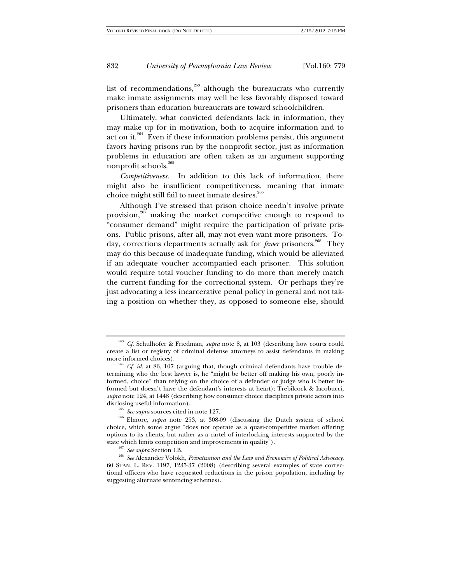list of recommendations, $263$  although the bureaucrats who currently make inmate assignments may well be less favorably disposed toward prisoners than education bureaucrats are toward schoolchildren.

Ultimately, what convicted defendants lack in information, they may make up for in motivation, both to acquire information and to act on it. $264$  Even if these information problems persist, this argument favors having prisons run by the nonprofit sector, just as information problems in education are often taken as an argument supporting nonprofit schools.<sup>265</sup>

*Competitiveness.* In addition to this lack of information, there might also be insufficient competitiveness, meaning that inmate choice might still fail to meet inmate desires.<sup>266</sup>

Although I've stressed that prison choice needn't involve private provision,<sup>267</sup> making the market competitive enough to respond to "consumer demand" might require the participation of private prisons. Public prisons, after all, may not even want more prisoners. Today, corrections departments actually ask for *fewer* prisoners.<sup>268</sup> They may do this because of inadequate funding, which would be alleviated if an adequate voucher accompanied each prisoner. This solution would require total voucher funding to do more than merely match the current funding for the correctional system. Or perhaps they're just advocating a less incarcerative penal policy in general and not taking a position on whether they, as opposed to someone else, should

<sup>263</sup> *Cf.* Schulhofer & Friedman, *supra* note 8, at 103 (describing how courts could create a list or registry of criminal defense attorneys to assist defendants in making more informed choices).<br><sup>264</sup> *Cf. id.* at 86, 107 (arguing that, though criminal defendants have trouble de-

termining who the best lawyer is, he "might be better off making his own, poorly informed, choice" than relying on the choice of a defender or judge who is better informed but doesn't have the defendant's interests at heart); Trebilcock & Iacobucci, *supra* note 124, at 1448 (describing how consumer choice disciplines private actors into

<sup>&</sup>lt;sup>265</sup> *See supra* sources cited in note 127. <sup>266</sup> Elmore, *supra* note 253, at 308-09 (discussing the Dutch system of school choice, which some argue "does not operate as a quasi-competitive market offering options to its clients, but rather as a cartel of interlocking interests supported by the

state which limits competition and improvements in quality").<br><sup>267</sup> *See supra* Section I.B. <sup>268</sup> *See* Alexander Volokh, *Privatization and the Law and Economics of Political Advocacy*, 60 STAN. L. REV. 1197, 1235-37 (2008) (describing several examples of state correctional officers who have requested reductions in the prison population, including by suggesting alternate sentencing schemes).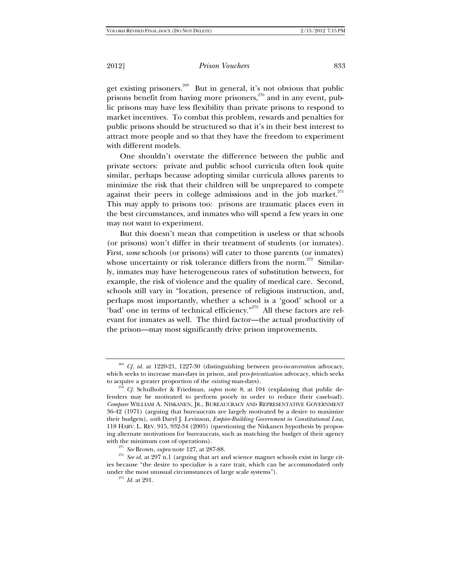get existing prisoners.<sup>269</sup> But in general, it's not obvious that public prisons benefit from having more prisoners,  $270$  and in any event, public prisons may have less flexibility than private prisons to respond to market incentives. To combat this problem, rewards and penalties for public prisons should be structured so that it's in their best interest to attract more people and so that they have the freedom to experiment with different models.

One shouldn't overstate the difference between the public and private sectors: private and public school curricula often look quite similar, perhaps because adopting similar curricula allows parents to minimize the risk that their children will be unprepared to compete against their peers in college admissions and in the job market. $271$ This may apply to prisons too: prisons are traumatic places even in the best circumstances, and inmates who will spend a few years in one may not want to experiment.

But this doesn't mean that competition is useless or that schools (or prisons) won't differ in their treatment of students (or inmates). First, *some* schools (or prisons) will cater to those parents (or inmates) whose uncertainty or risk tolerance differs from the norm.<sup>272</sup> Similarly, inmates may have heterogeneous rates of substitution between, for example, the risk of violence and the quality of medical care. Second, schools still vary in "location, presence of religious instruction, and, perhaps most importantly, whether a school is a 'good' school or a 'bad' one in terms of technical efficiency."<sup>273</sup> All these factors are relevant for inmates as well. The third factor—the actual productivity of the prison—may most significantly drive prison improvements.

<sup>269</sup> *Cf. id.* at 1220-21, 1227-30 (distinguishing between pro-*incarceration* advocacy, which seeks to increase man-days in prison, and pro-*privatization* advocacy, which seeks

<sup>&</sup>lt;sup>270</sup> *Cf.* Schulhofer & Friedman, *supra* note 8, at 104 (explaining that public defenders may be motivated to perform poorly in order to reduce their caseload). *Compare* WILLIAM A. NISKANEN, JR., BUREAUCRACY AND REPRESENTATIVE GOVERNMENT 36-42 (1971) (arguing that bureaucrats are largely motivated by a desire to maximize their budgets), *with* Daryl J. Levinson, *Empire-Building Government in Constitutional Law*, 118 HARV. L. REV. 915, 932-34 (2005) (questioning the Niskanen hypothesis by proposing alternate motivations for bureaucrats, such as matching the budget of their agency

with the minimum cost of operations).<br><sup>271</sup> *See* Brown, *supra* note 127, at 287-88.<br><sup>272</sup> *See id.* at 297 n.1 (arguing that art and science magnet schools exist in large cities because "the desire to specialize is a rare trait, which can be accommodated only under the most unusual circumstances of large scale systems"). 273 *Id.* at 291.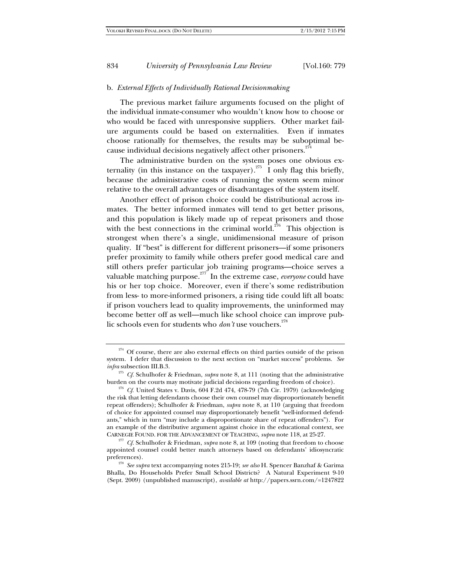## b. *External Effects of Individually Rational Decisionmaking*

The previous market failure arguments focused on the plight of the individual inmate-consumer who wouldn't know how to choose or who would be faced with unresponsive suppliers. Other market failure arguments could be based on externalities. Even if inmates choose rationally for themselves, the results may be suboptimal because individual decisions negatively affect other prisoners.<sup>274</sup>

The administrative burden on the system poses one obvious externality (in this instance on the taxpayer).<sup>275</sup> I only flag this briefly, because the administrative costs of running the system seem minor relative to the overall advantages or disadvantages of the system itself.

Another effect of prison choice could be distributional across inmates. The better informed inmates will tend to get better prisons, and this population is likely made up of repeat prisoners and those with the best connections in the criminal world.<sup>276</sup> This objection is strongest when there's a single, unidimensional measure of prison quality. If "best" is different for different prisoners—if some prisoners prefer proximity to family while others prefer good medical care and still others prefer particular job training programs—choice serves a valuable matching purpose.<sup>277</sup> In the extreme case, *everyone* could have his or her top choice. Moreover, even if there's some redistribution from less- to more-informed prisoners, a rising tide could lift all boats: if prison vouchers lead to quality improvements, the uninformed may become better off as well—much like school choice can improve public schools even for students who *don't* use vouchers.<sup>278</sup>

<sup>&</sup>lt;sup>274</sup> Of course, there are also external effects on third parties outside of the prison system. I defer that discussion to the next section on "market success" problems. *See infra* subsection III.B.3.

<sup>&</sup>lt;sup>275</sup> *Cf.* Schulhofer & Friedman, *supra* note 8, at 111 (noting that the administrative burden on the courts may motivate judicial decisions regarding freedom of choice).

 $\frac{276}{276}$  Cf. United States v. Davis, 604 F.2d 474, 478-79 (7th Cir. 1979) (acknowledging the risk that letting defendants choose their own counsel may disproportionately benefit repeat offenders); Schulhofer & Friedman, *supra* note 8, at 110 (arguing that freedom of choice for appointed counsel may disproportionately benefit "well-informed defendants," which in turn "may include a disproportionate share of repeat offenders"). For an example of the distributive argument against choice in the educational context, see CARNEGIE FOUND. FOR THE ADVANCEMENT OF TEACHING, *supra* note 118, at 25-27. 277 *Cf.* Schulhofer & Friedman, *supra* note 8, at 109 (noting that freedom to choose

appointed counsel could better match attorneys based on defendants' idiosyncratic preferences). 278 *See supra* text accompanying notes 215-19; *see also* H. Spencer Banzhaf & Garima

Bhalla, Do Households Prefer Small School Districts? A Natural Experiment 9-10 (Sept. 2009) (unpublished manuscript), *available at* http://papers.ssrn.com/=1247822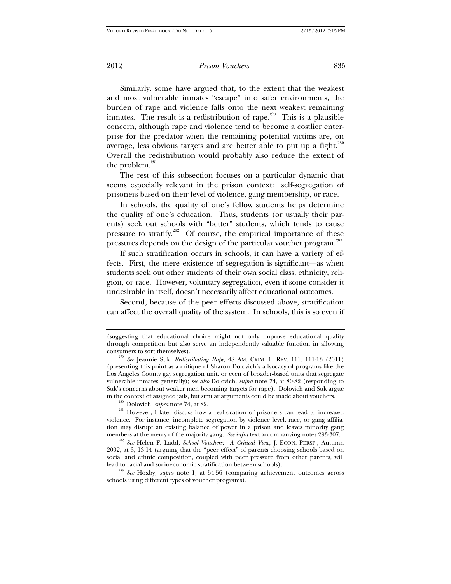Similarly, some have argued that, to the extent that the weakest and most vulnerable inmates "escape" into safer environments, the burden of rape and violence falls onto the next weakest remaining inmates. The result is a redistribution of rape.<sup> $279$ </sup> This is a plausible concern, although rape and violence tend to become a costlier enterprise for the predator when the remaining potential victims are, on average, less obvious targets and are better able to put up a fight.<sup>280</sup> Overall the redistribution would probably also reduce the extent of the problem.<sup>281</sup>

The rest of this subsection focuses on a particular dynamic that seems especially relevant in the prison context: self-segregation of prisoners based on their level of violence, gang membership, or race.

In schools, the quality of one's fellow students helps determine the quality of one's education. Thus, students (or usually their parents) seek out schools with "better" students, which tends to cause pressure to stratify. $282$  Of course, the empirical importance of these pressures depends on the design of the particular voucher program.283

If such stratification occurs in schools, it can have a variety of effects. First, the mere existence of segregation is significant—as when students seek out other students of their own social class, ethnicity, religion, or race. However, voluntary segregation, even if some consider it undesirable in itself, doesn't necessarily affect educational outcomes.

Second, because of the peer effects discussed above, stratification can affect the overall quality of the system. In schools, this is so even if

<sup>(</sup>suggesting that educational choice might not only improve educational quality through competition but also serve an independently valuable function in allowing consumers to sort themselves). 279 *See* Jeannie Suk, *Redistributing Rape*, 48 AM. CRIM. L. REV. 111, 111-13 (2011)

<sup>(</sup>presenting this point as a critique of Sharon Dolovich's advocacy of programs like the Los Angeles County gay segregation unit, or even of broader-based units that segregate vulnerable inmates generally); *see also* Dolovich, *supra* note 74, at 80-82 (responding to Suk's concerns about weaker men becoming targets for rape). Dolovich and Suk argue in the context of assigned jails, but similar arguments could be made about vouchers.<br><sup>280</sup> Dolovich, *supra* note 74, at 82.<br><sup>281</sup> However, I later discuss how a reallocation of prisoners can lead to increased

violence. For instance, incomplete segregation by violence level, race, or gang affiliation may disrupt an existing balance of power in a prison and leaves minority gang members at the mercy of the majority gang. See infra text accompanying notes 293-307.

<sup>&</sup>lt;sup>282</sup> See Helen F. Ladd, School Vouchers: A Critical View, J. ECON. PERSP., Autumn 2002, at 3, 13-14 (arguing that the "peer effect" of parents choosing schools based on social and ethnic composition, coupled with peer pressure from other parents, will lead to racial and socioeconomic stratification between schools). 283 *See* Hoxby, *supra* note 1, at 54-56 (comparing achievement outcomes across

schools using different types of voucher programs).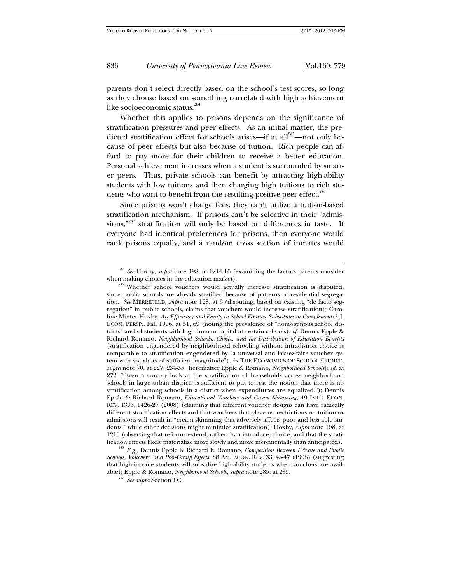parents don't select directly based on the school's test scores, so long as they choose based on something correlated with high achievement like socioeconomic status.<sup>284</sup>

Whether this applies to prisons depends on the significance of stratification pressures and peer effects. As an initial matter, the predicted stratification effect for schools arises—if at all<sup>285</sup>—not only because of peer effects but also because of tuition. Rich people can afford to pay more for their children to receive a better education. Personal achievement increases when a student is surrounded by smarter peers. Thus, private schools can benefit by attracting high-ability students with low tuitions and then charging high tuitions to rich students who want to benefit from the resulting positive peer effect.<sup>286</sup>

Since prisons won't charge fees, they can't utilize a tuition-based stratification mechanism. If prisons can't be selective in their "admissions,"287 stratification will only be based on differences in taste. If everyone had identical preferences for prisons, then everyone would rank prisons equally, and a random cross section of inmates would

<sup>&</sup>lt;sup>284</sup> See Hoxby, *supra* note 198, at 1214-16 (examining the factors parents consider when making choices in the education market).

<sup>&</sup>lt;sup>285</sup> Whether school vouchers would actually increase stratification is disputed, since public schools are already stratified because of patterns of residential segregation. *See* MERRIFIELD, *supra* note 128, at 6 (disputing, based on existing "de facto segregation" in public schools, claims that vouchers would increase stratification); Caroline Minter Hoxby, *Are Efficiency and Equity in School Finance Substitutes or Complements?*, J. ECON. PERSP., Fall 1996, at 51, 69 (noting the prevalence of "homogenous school districts" and of students with high human capital at certain schools); *cf.* Dennis Epple & Richard Romano, *Neighborhood Schools, Choice, and the Distribution of Education Benefits* (stratification engendered by neighborhood schooling without intradistrict choice is comparable to stratification engendered by "a universal and laissez-faire voucher system with vouchers of sufficient magnitude"), *in* THE ECONOMICS OF SCHOOL CHOICE, *supra* note 70, at 227, 234-35 [hereinafter Epple & Romano, *Neighborhood Schools*]; *id.* at 272 ("Even a cursory look at the stratification of households across neighborhood schools in large urban districts is sufficient to put to rest the notion that there is no stratification among schools in a district when expenditures are equalized."); Dennis Epple & Richard Romano, *Educational Vouchers and Cream Skimming*, 49 INT'L ECON. REV. 1395, 1426-27 (2008) (claiming that different voucher designs can have radically different stratification effects and that vouchers that place no restrictions on tuition or admissions will result in "cream skimming that adversely affects poor and less able students," while other decisions might minimize stratification); Hoxby, *supra* note 198, at 1210 (observing that reforms extend, rather than introduce, choice, and that the stratification effects likely materialize more slowly and more incrementally than anticipated). 286 *E.g.,* Dennis Epple & Richard E. Romano, *Competition Between Private and Public* 

*Schools, Vouchers, and Peer-Group Effects*, 88 AM. ECON. REV. 33, 43-47 (1998) (suggesting that high-income students will subsidize high-ability students when vouchers are available); Epple & Romano, *Neighborhood Schools*, *supra* note 285, at 235. 287 *See supra* Section I.C.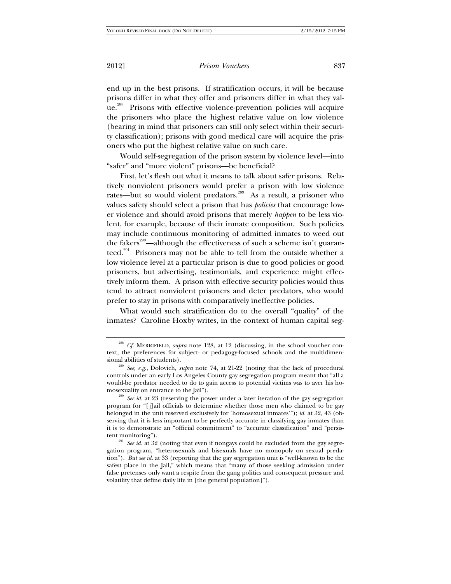end up in the best prisons. If stratification occurs, it will be because prisons differ in what they offer and prisoners differ in what they value.<sup>288</sup> Prisons with effective violence-prevention policies will acquire the prisoners who place the highest relative value on low violence (bearing in mind that prisoners can still only select within their security classification); prisons with good medical care will acquire the prisoners who put the highest relative value on such care.

Would self-segregation of the prison system by violence level—into "safer" and "more violent" prisons—be beneficial?

First, let's flesh out what it means to talk about safer prisons. Relatively nonviolent prisoners would prefer a prison with low violence rates—but so would violent predators.<sup>289</sup> As a result, a prisoner who values safety should select a prison that has *policies* that encourage lower violence and should avoid prisons that merely *happen* to be less violent, for example, because of their inmate composition. Such policies may include continuous monitoring of admitted inmates to weed out the fakers<sup>290</sup>—although the effectiveness of such a scheme isn't guaranteed.<sup>291</sup> Prisoners may not be able to tell from the outside whether a low violence level at a particular prison is due to good policies or good prisoners, but advertising, testimonials, and experience might effectively inform them. A prison with effective security policies would thus tend to attract nonviolent prisoners and deter predators, who would prefer to stay in prisons with comparatively ineffective policies.

What would such stratification do to the overall "quality" of the inmates? Caroline Hoxby writes, in the context of human capital seg-

<sup>&</sup>lt;sup>288</sup> *Cf.* MERRIFIELD, *supra* note 128, at 12 (discussing, in the school voucher context, the preferences for subject- or pedagogy-focused schools and the multidimensional abilities of students). 289 *See, e.g.*, Dolovich, *supra* note 74, at 21-22 (noting that the lack of procedural

controls under an early Los Angeles County gay segregation program meant that "all a would-be predator needed to do to gain access to potential victims was to aver his ho-<br>mosexuality on entrance to the [ail").

<sup>&</sup>lt;sup>290</sup> See *id.* at 23 (reserving the power under a later iteration of the gay segregation program for "[j]ail officials to determine whether those men who claimed to be gay belonged in the unit reserved exclusively for 'homosexual inmates'"); *id.* at 32, 43 (observing that it is less important to be perfectly accurate in classifying gay inmates than it is to demonstrate an "official commitment" to "accurate classification" and "persistent monitoring").<br><sup>291</sup> *See id.* at 32 (noting that even if nongays could be excluded from the gay segre-

gation program, "heterosexuals and bisexuals have no monopoly on sexual predation"). *But see id.* at 33 (reporting that the gay segregation unit is "well-known to be the safest place in the Jail," which means that "many of those seeking admission under false pretenses only want a respite from the gang politics and consequent pressure and volatility that define daily life in [the general population]").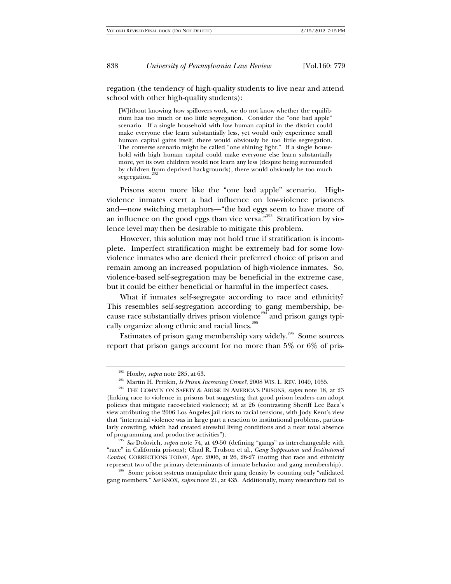regation (the tendency of high-quality students to live near and attend school with other high-quality students):

[W]ithout knowing how spillovers work, we do not know whether the equilibrium has too much or too little segregation. Consider the "one bad apple" scenario. If a single household with low human capital in the district could make everyone else learn substantially less, yet would only experience small human capital gains itself, there would obviously be too little segregation. The converse scenario might be called "one shining light." If a single household with high human capital could make everyone else learn substantially more, yet its own children would not learn any less (despite being surrounded by children from deprived backgrounds), there would obviously be too much segregation.

Prisons seem more like the "one bad apple" scenario. Highviolence inmates exert a bad influence on low-violence prisoners and—now switching metaphors—"the bad eggs seem to have more of an influence on the good eggs than vice versa."<sup>293</sup> Stratification by violence level may then be desirable to mitigate this problem.

However, this solution may not hold true if stratification is incomplete. Imperfect stratification might be extremely bad for some lowviolence inmates who are denied their preferred choice of prison and remain among an increased population of high-violence inmates. So, violence-based self-segregation may be beneficial in the extreme case, but it could be either beneficial or harmful in the imperfect cases.

What if inmates self-segregate according to race and ethnicity? This resembles self-segregation according to gang membership, because race substantially drives prison violence<sup>294</sup> and prison gangs typically organize along ethnic and racial lines.<sup>295</sup>

Estimates of prison gang membership vary widely.296 Some sources report that prison gangs account for no more than 5% or 6% of pris-

"race" in California prisons); Chad R. Trulson et al., *Gang Suppression and Institutional Control*, CORRECTIONS TODAY, Apr. 2006, at 26, 26-27 (noting that race and ethnicity represent two of the primary determinants of inmate behavior and gang membership).<br><sup>296</sup> Some prison systems manipulate their gang density by counting only "validated

gang members." *See* KNOX, *supra* note 21, at 435. Additionally, many researchers fail to

<sup>&</sup>lt;sup>292</sup> Hoxby, *supra* note 285, at 63.<br><sup>293</sup> Martin H. Pritikin, *Is Prison Increasing Crime*?, 2008 WIS. L. REV. 1049, 1055.<br><sup>294</sup> THE COMM'N ON SAFETY & ABUSE IN AMERICA'S PRISONS, *supra* note 18, at 23 (linking race to violence in prisons but suggesting that good prison leaders can adopt policies that mitigate race-related violence); *id.* at 26 (contrasting Sheriff Lee Baca's view attributing the 2006 Los Angeles jail riots to racial tensions, with Jody Kent's view that "interracial violence was in large part a reaction to institutional problems, particularly crowding, which had created stressful living conditions and a near total absence of programming and productive activities"). 295 *See* Dolovich, *supra* note 74, at 49-50 (defining "gangs" as interchangeable with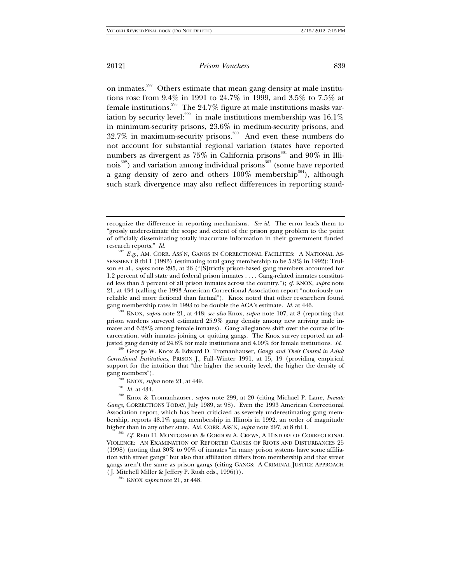on inmates.297 Others estimate that mean gang density at male institutions rose from 9.4% in 1991 to 24.7% in 1999, and 3.5% to 7.5% at female institutions.<sup>298</sup> The  $24.7\%$  figure at male institutions masks variation by security level: $^{299}$  in male institutions membership was 16.1% in minimum-security prisons, 23.6% in medium-security prisons, and 32.7% in maximum-security prisons.300 And even these numbers do not account for substantial regional variation (states have reported numbers as divergent as  $75\%$  in California prisons<sup>301</sup> and  $90\%$  in Illinois<sup>302</sup>) and variation among individual prisons<sup>303</sup> (some have reported a gang density of zero and others  $100\%$  membership<sup>304</sup>), although such stark divergence may also reflect differences in reporting stand-

prison wardens surveyed estimated 25.9% gang density among new arriving male inmates and 6.28% among female inmates). Gang allegiances shift over the course of incarceration, with inmates joining or quitting gangs. The Knox survey reported an adjusted gang density of 24.8% for male institutions and 4.09% for female institutions. *Id.*

<sup>299</sup> George W. Knox & Edward D. Tromanhauser, *Gangs and Their Control in Adult Correctional Institutions*, PRISON J., Fall–Winter 1991, at 15, 19 (providing empirical support for the intuition that "the higher the security level, the higher the density of gang members").<br><sup>300</sup> KNOX, *supra* note 21, at 449.<br><sup>301</sup> *Id.* at 434.<br><sup>302</sup> Knox & Tromanhauser, *supra* note 299, at 20 (citing Michael P. Lane, *Inmate* 

*Gangs*, CORRECTIONS TODAY, July 1989, at 98). Even the 1993 American Correctional Association report, which has been criticized as severely underestimating gang membership, reports 48.1% gang membership in Illinois in 1992, an order of magnitude higher than in any other state. AM. CORR. ASS'N, *supra* note 297, at 8 tbl.1.<br><sup>303</sup> *Cf.* REID H. MONTGOMERY & GORDON A. CREWS, A HISTORY OF CORRECTIONAL

VIOLENCE: AN EXAMINATION OF REPORTED CAUSES OF RIOTS AND DISTURBANCES 25 (1998) (noting that 80% to 90% of inmates "in many prison systems have some affiliation with street gangs" but also that affiliation differs from membership and that street gangs aren't the same as prison gangs (citing GANGS: A CRIMINAL JUSTICE APPROACH ( J. Mitchell Miller & Jeffery P. Rush eds., 1996))). 304 KNOX *supra* note 21, at 448.

recognize the difference in reporting mechanisms. *See id.* The error leads them to "grossly underestimate the scope and extent of the prison gang problem to the point of officially disseminating totally inaccurate information in their government funded research reports." *Id.* 

<sup>297</sup> *E.g.*, AM. CORR. ASS'N, GANGS IN CORRECTIONAL FACILITIES: A NATIONAL AS-SESSMENT 8 tbl.1 (1993) (estimating total gang membership to be 5.9% in 1992); Trulson et al., *supra* note 295, at 26 ("[S]trictly prison-based gang members accounted for 1.2 percent of all state and federal prison inmates . . . . Gang-related inmates constituted less than 5 percent of all prison inmates across the country."); *cf.* KNOX, *supra* note 21, at 434 (calling the 1993 American Correctional Association report "notoriously unreliable and more fictional than factual"). Knox noted that other researchers found gang membership rates in 1993 to be double the ACA's estimate. *Id.* at 446. 298 KNOX, *supra* note 21, at 448; *see also* Knox, *supra* note 107, at 8 (reporting that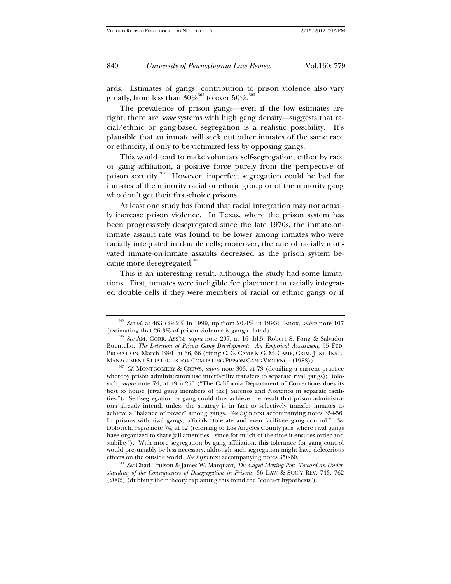ards. Estimates of gangs' contribution to prison violence also vary greatly, from less than  $30\%^{305}$  to over  $50\%^{306}$ 

The prevalence of prison gangs—even if the low estimates are right, there are *some* systems with high gang density—suggests that racial/ethnic or gang-based segregation is a realistic possibility. It's plausible that an inmate will seek out other inmates of the same race or ethnicity, if only to be victimized less by opposing gangs.

This would tend to make voluntary self-segregation, either by race or gang affiliation, a positive force purely from the perspective of prison security.<sup>307</sup> However, imperfect segregation could be bad for inmates of the minority racial or ethnic group or of the minority gang who don't get their first-choice prisons.

At least one study has found that racial integration may not actually increase prison violence. In Texas, where the prison system has been progressively desegregated since the late 1970s, the inmate-oninmate assault rate was found to be lower among inmates who were racially integrated in double cells; moreover, the rate of racially motivated inmate-on-inmate assaults decreased as the prison system became more desegregated.<sup>308</sup>

This is an interesting result, although the study had some limitations. First, inmates were ineligible for placement in racially integrated double cells if they were members of racial or ethnic gangs or if

*standing of the Consequences of Desegregation in Prisons*, 36 LAW & SOC'Y REV. 743, 762 (2002) (dubbing their theory explaining this trend the "contact hypothesis").

<sup>&</sup>lt;sup>305</sup> *See id.* at 463 (29.2% in 1999, up from 20.4% in 1993); Knox, *supra* note 107 (estimating that 26.3% of prison violence is gang-related).

<sup>&</sup>lt;sup>306</sup> See AM. CORR. ASS'N, *supra* note 297, at 16 tbl.5; Robert S. Fong & Salvador Buentello, *The Detection of Prison Gang Development: An Empirical Assessment*, 55 FED. PROBATION, March 1991, at 66, 66 (citing C. G. CAMP & G. M. CAMP, CRIM. JUST. INST., MANAGEMENT STRATEGIES FOR COMBATING PRISON GANG VIOLENCE (1988)). 307 *Cf.* MONTGOMERY & CREWS, *supra* note 303, at 73 (detailing a current practice

whereby prison administrators use interfacility transfers to separate rival gangs); Dolovich, *supra* note 74, at 49 n.250 ("The California Department of Corrections does its best to house [rival gang members of the] Surenos and Nortenos in separate facilities."). Self-segregation by gang could thus achieve the result that prison administrators already intend, unless the strategy is in fact to selectively transfer inmates to achieve a "balance of power" among gangs. *See infra* text accompanying notes 354-56. In prisons with rival gangs, officials "tolerate and even facilitate gang control." *See* Dolovich, *supra* note 74, at 52 (referring to Los Angeles County jails, where rival gangs have organized to share jail amenities, "since for much of the time it ensures order and stability"). With more segregation by gang affiliation, this tolerance for gang control would presumably be less necessary, although such segregation might have deleterious effects on the outside world. *See infra* text accompanying notes 350-60.<br><sup>308</sup> *See* Chad Trulson & James W. Marquart, *The Caged Melting Pot: Toward an Under-*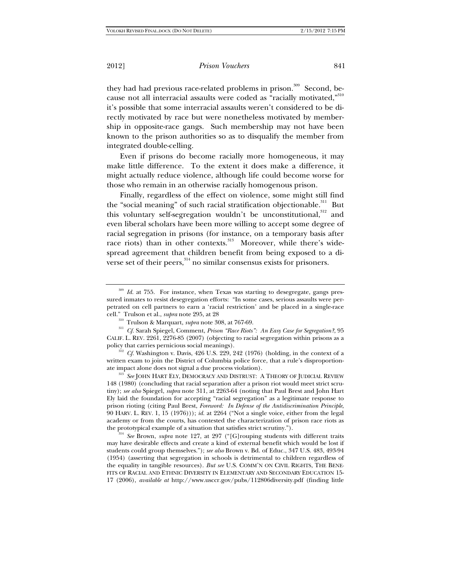they had had previous race-related problems in prison.<sup>309</sup> Second, because not all interracial assaults were coded as "racially motivated,"310 it's possible that some interracial assaults weren't considered to be directly motivated by race but were nonetheless motivated by membership in opposite-race gangs. Such membership may not have been known to the prison authorities so as to disqualify the member from integrated double-celling.

Even if prisons do become racially more homogeneous, it may make little difference. To the extent it does make a difference, it might actually reduce violence, although life could become worse for those who remain in an otherwise racially homogenous prison.

Finally, regardless of the effect on violence, some might still find the "social meaning" of such racial stratification objectionable.<sup>311</sup> But this voluntary self-segregation wouldn't be unconstitutional,<sup>312</sup> and even liberal scholars have been more willing to accept some degree of racial segregation in prisons (for instance, on a temporary basis after race riots) than in other contexts.<sup>313</sup> Moreover, while there's widespread agreement that children benefit from being exposed to a diverse set of their peers, $314$  no similar consensus exists for prisoners.

policy that carries pernicious social meanings).<br><sup>312</sup> *Cf.* Washington v. Davis, 426 U.S. 229, 242 (1976) (holding, in the context of a written exam to join the District of Columbia police force, that a rule's disproportion-<br>ate impact alone does not signal a due process violation).

<sup>313</sub> *See* JOHN HART ELY, DEMOCRACY AND DISTRUST: A THEORY OF JUDICIAL REVIEW</sup> 148 (1980) (concluding that racial separation after a prison riot would meet strict scrutiny); *see also* Spiegel, *supra* note 311, at 2263-64 (noting that Paul Brest and John Hart Ely laid the foundation for accepting "racial segregation" as a legitimate response to prison rioting (citing Paul Brest, *Foreword: In Defense of the Antidiscrimination Principle*, 90 HARV. L. REV. 1, 15 (1976))); *id.* at 2264 ("Not a single voice, either from the legal academy or from the courts, has contested the characterization of prison race riots as the prototypical example of a situation that satisfies strict scrutiny.").

<sup>314</sup> See Brown, *supra* note 127, at 297 ("[G]rouping students with different traits may have desirable effects and create a kind of external benefit which would be lost if students could group themselves."); *see also* Brown v. Bd. of Educ., 347 U.S. 483, 493-94 (1954) (asserting that segregation in schools is detrimental to children regardless of the equality in tangible resources). *But see* U.S. COMM'N ON CIVIL RIGHTS, THE BENE-FITS OF RACIAL AND ETHNIC DIVERSITY IN ELEMENTARY AND SECONDARY EDUCATION 15- 17 (2006), *available at* http://www.usccr.gov/pubs/112806diversity.pdf (finding little

<sup>309</sup> *Id.* at 755. For instance, when Texas was starting to desegregate, gangs pressured inmates to resist desegregation efforts: "In some cases, serious assaults were perpetrated on cell partners to earn a 'racial restriction' and be placed in a single-race cell." Trulson et al., *supra* note 295, at 28 310 Trulson & Marquart, *supra* note 308, at 767-69. 311 *Cf.* Sarah Spiegel, Comment, *Prison "Race Riots": An Easy Case for Segregation?*, 95

CALIF. L. REV. 2261, 2276-85 (2007) (objecting to racial segregation within prisons as a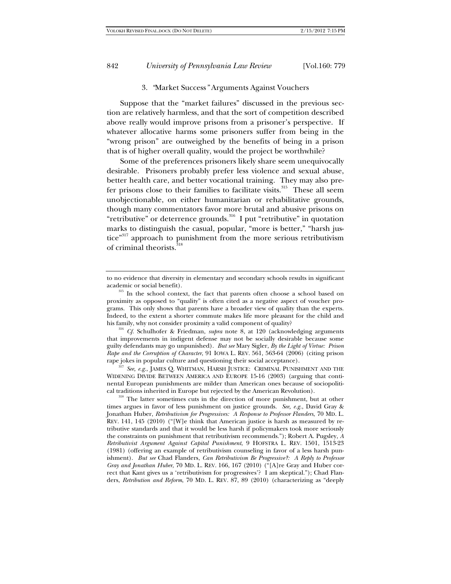### 3. *"*Market Success*"* Arguments Against Vouchers

Suppose that the "market failures" discussed in the previous section are relatively harmless, and that the sort of competition described above really would improve prisons from a prisoner's perspective. If whatever allocative harms some prisoners suffer from being in the "wrong prison" are outweighed by the benefits of being in a prison that is of higher overall quality, would the project be worthwhile?

Some of the preferences prisoners likely share seem unequivocally desirable. Prisoners probably prefer less violence and sexual abuse, better health care, and better vocational training. They may also prefer prisons close to their families to facilitate visits.<sup>315</sup> These all seem unobjectionable, on either humanitarian or rehabilitative grounds, though many commentators favor more brutal and abusive prisons on "retributive" or deterrence grounds.<sup>316</sup> I put "retributive" in quotation marks to distinguish the casual, popular, "more is better," "harsh justice"<sup>317</sup> approach to punishment from the more serious retributivism of criminal theorists.<sup>318</sup>

that improvements in indigent defense may not be socially desirable because some guilty defendants may go unpunished). *But see* Mary Sigler, *By the Light of Virtue: Prison Rape and the Corruption of Character*, 91 IOWA L. REV. 561, 563-64 (2006) (citing prison rape jokes in popular culture and questioning their social acceptance).<br><sup>317</sup> *See, e.g.*, JAMES Q. WHITMAN, HARSH JUSTICE: CRIMINAL PUNISHMENT AND THE

WIDENING DIVIDE BETWEEN AMERICA AND EUROPE 15-16 (2003) (arguing that continental European punishments are milder than American ones because of sociopolitical traditions inherited in Europe but rejected by the American Revolution). 318 The latter sometimes cuts in the direction of more punishment, but at other

times argues in favor of less punishment on justice grounds. *See, e.g.*, David Gray & Jonathan Huber, *Retributivism for Progressives: A Response to Professor Flanders*, 70 MD. L. REV. 141, 145 (2010) ("[W]e think that American justice is harsh as measured by retributive standards and that it would be less harsh if policymakers took more seriously the constraints on punishment that retributivism recommends."); Robert A. Pugsley, *A Retributivist Argument Against Capital Punishment*, 9 HOFSTRA L. REV. 1501, 1513-23 (1981) (offering an example of retributivism counseling in favor of a less harsh punishment). *But see* Chad Flanders, *Can Retributivism Be Progressive?: A Reply to Professor Gray and Jonathan Huber*, 70 MD. L. REV. 166, 167 (2010) ("[A]re Gray and Huber correct that Kant gives us a 'retributivism for progressives'? I am skeptical."); Chad Flanders, *Retribution and Reform*, 70 MD. L. REV. 87, 89 (2010) (characterizing as "deeply

to no evidence that diversity in elementary and secondary schools results in significant academic or social benefit).<br><sup>315</sup> In the school context, the fact that parents often choose a school based on

proximity as opposed to "quality" is often cited as a negative aspect of voucher programs. This only shows that parents have a broader view of quality than the experts. Indeed, to the extent a shorter commute makes life more pleasant for the child and his family, why not consider proximity a valid component of quality? 316 *Cf.* Schulhofer & Friedman, *supra* note 8, at 120 (acknowledging arguments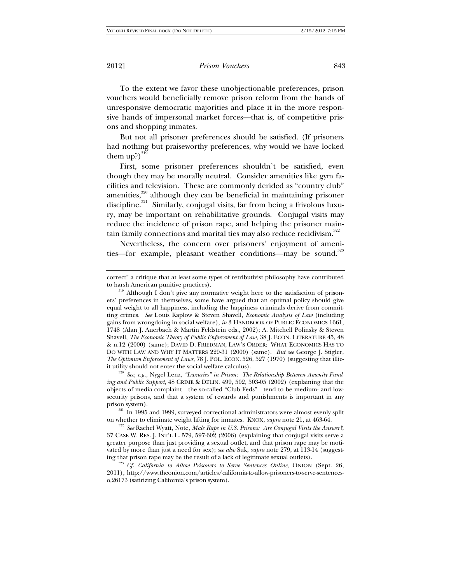To the extent we favor these unobjectionable preferences, prison vouchers would beneficially remove prison reform from the hands of unresponsive democratic majorities and place it in the more responsive hands of impersonal market forces—that is, of competitive prisons and shopping inmates.

But not all prisoner preferences should be satisfied. (If prisoners had nothing but praiseworthy preferences, why would we have locked them up?) $^{319}$ 

First, some prisoner preferences shouldn't be satisfied, even though they may be morally neutral. Consider amenities like gym facilities and television. These are commonly derided as "country club" amenities,<sup>320</sup> although they can be beneficial in maintaining prisoner discipline.<sup>321</sup> Similarly, conjugal visits, far from being a frivolous luxury, may be important on rehabilitative grounds. Conjugal visits may reduce the incidence of prison rape, and helping the prisoner maintain family connections and marital ties may also reduce recidivism.<sup>322</sup>

Nevertheless, the concern over prisoners' enjoyment of amenities—for example, pleasant weather conditions—may be sound.<sup>323</sup>

correct" a critique that at least some types of retributivist philosophy have contributed

to harsh American punitive practices).<br><sup>319</sup> Although I don't give any normative weight here to the satisfaction of prisoners' preferences in themselves, some have argued that an optimal policy should give equal weight to all happiness, including the happiness criminals derive from committing crimes. *See* Louis Kaplow & Steven Shavell, *Economic Analysis of Law* (including gains from wrongdoing in social welfare), *in* 3 HANDBOOK OF PUBLIC ECONOMICS 1661, 1748 (Alan J. Auerbach & Martin Feldstein eds., 2002); A. Mitchell Polinsky & Steven Shavell, *The Economic Theory of Public Enforcement of Law*, 38 J. ECON. LITERATURE 45, 48 & n.12 (2000) (same); DAVID D. FRIEDMAN, LAW'S ORDER: WHAT ECONOMICS HAS TO DO WITH LAW AND WHY IT MATTERS 229-31 (2000) (same). *But see* George J. Stigler, *The Optimum Enforcement of Laws*, 78 J. POL. ECON. 526, 527 (1970) (suggesting that illicit utility should not enter the social welfare calculus).<br><sup>320</sup> *See, e.g.*, Nygel Lenz, *"Luxuries" in Prison: The Relationship Between Amenity Fund-*

*ing and Public Support*, 48 CRIME & DELIN. 499, 502, 503-05 (2002) (explaining that the objects of media complaint*—*the so-called "Club Feds"*—*tend to be medium- and lowsecurity prisons, and that a system of rewards and punishments is important in any

prison system).<br><sup>321</sup> In 1995 and 1999, surveyed correctional administrators were almost evenly split on whether to eliminate weight lifting for inmates. KNOX, *supra* note 21, at 463-64. 322 *See* Rachel Wyatt, Note, *Male Rape in U.S. Prisons: Are Conjugal Visits the Answer?*,

<sup>37</sup> CASE W. RES. J. INT'L L. 579, 597-602 (2006) (explaining that conjugal visits serve a greater purpose than just providing a sexual outlet, and that prison rape may be motivated by more than just a need for sex); *see also* Suk, *supra* note 279, at 113-14 (suggesting that prison rape may be the result of a lack of legitimate sexual outlets). 323 *Cf. California to Allow Prisoners to Serve Sentences Online*, ONION (Sept. 26,

<sup>2011),</sup> http://www.theonion.com/articles/california-to-allow-prisoners-to-serve-sentenceso,26173 (satirizing California's prison system).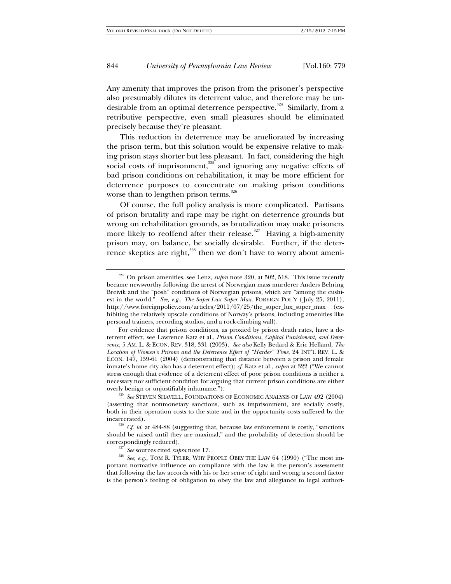Any amenity that improves the prison from the prisoner's perspective also presumably dilutes its deterrent value, and therefore may be undesirable from an optimal deterrence perspective.<sup>324</sup> Similarly, from a retributive perspective, even small pleasures should be eliminated precisely because they're pleasant.

This reduction in deterrence may be ameliorated by increasing the prison term, but this solution would be expensive relative to making prison stays shorter but less pleasant. In fact, considering the high social costs of imprisonment, $325$  and ignoring any negative effects of bad prison conditions on rehabilitation, it may be more efficient for deterrence purposes to concentrate on making prison conditions worse than to lengthen prison terms. $326$ 

Of course, the full policy analysis is more complicated. Partisans of prison brutality and rape may be right on deterrence grounds but wrong on rehabilitation grounds, as brutalization may make prisoners more likely to reoffend after their release.<sup>327</sup> Having a high-amenity prison may, on balance, be socially desirable. Further, if the deterrence skeptics are right,<sup>328</sup> then we don't have to worry about ameni-

<sup>&</sup>lt;sup>324</sup> On prison amenities, see Lenz, *supra* note 320, at 502, 518. This issue recently became newsworthy following the arrest of Norwegian mass murderer Anders Behring Breivik and the "posh" conditions of Norwegian prisons, which are "among the cushiest in the world." *See, e.g.*, *The Super-Lux Super Max*, FOREIGN POL'Y ( July 25, 2011), http://www.foreignpolicy.com/articles/2011/07/25/the\_super\_lux\_super\_max (exhibiting the relatively upscale conditions of Norway's prisons, including amenities like personal trainers, recording studios, and a rock-climbing wall).

For evidence that prison conditions, as proxied by prison death rates, have a deterrent effect, see Lawrence Katz et al., *Prison Conditions, Capital Punishment, and Deterrence*, 5 AM. L. & ECON. REV. 318, 331 (2003). *See also* Kelly Bedard & Eric Helland, *The Location of Women's Prisons and the Deterrence Effect of "Harder" Time*, 24 INT'L REV. L. & ECON. 147, 159-61 (2004) (demonstrating that distance between a prison and female inmate's home city also has a deterrent effect); *cf.* Katz et al., *supra* at 322 ("We cannot stress enough that evidence of a deterrent effect of poor prison conditions is neither a necessary nor sufficient condition for arguing that current prison conditions are either overly benign or unjustifiably inhumane."). 325 *See* STEVEN SHAVELL, FOUNDATIONS OF ECONOMIC ANALYSIS OF LAW 492 (2004)

<sup>(</sup>asserting that nonmonetary sanctions, such as imprisonment, are socially costly, both in their operation costs to the state and in the opportunity costs suffered by the

 $1326$  *Cf. id.* at 484-88 (suggesting that, because law enforcement is costly, "sanctions should be raised until they are maximal," and the probability of detection should be

<sup>%</sup> correspondingly reduced). 3<sup>327</sup> *See* sources cited *supra* note 17. 338 *See, e.g.*, TOM R. TYLER, WHY PEOPLE OBEY THE LAW 64 (1990) ("The most important normative influence on compliance with the law is the person's assessment that following the law accords with his or her sense of right and wrong; a second factor is the person's feeling of obligation to obey the law and allegiance to legal authori-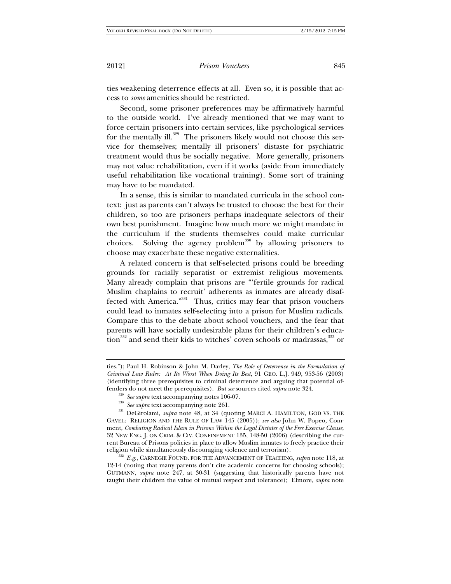ties weakening deterrence effects at all. Even so, it is possible that access to *some* amenities should be restricted.

Second, some prisoner preferences may be affirmatively harmful to the outside world. I've already mentioned that we may want to force certain prisoners into certain services, like psychological services for the mentally ill.<sup>329</sup> The prisoners likely would not choose this service for themselves; mentally ill prisoners' distaste for psychiatric treatment would thus be socially negative. More generally, prisoners may not value rehabilitation, even if it works (aside from immediately useful rehabilitation like vocational training). Some sort of training may have to be mandated.

In a sense, this is similar to mandated curricula in the school context: just as parents can't always be trusted to choose the best for their children, so too are prisoners perhaps inadequate selectors of their own best punishment. Imagine how much more we might mandate in the curriculum if the students themselves could make curricular choices. Solving the agency problem<sup>330</sup> by allowing prisoners to choose may exacerbate these negative externalities.

A related concern is that self-selected prisons could be breeding grounds for racially separatist or extremist religious movements. Many already complain that prisons are "'fertile grounds for radical Muslim chaplains to recruit' adherents as inmates are already disaffected with America."<sup>331</sup> Thus, critics may fear that prison vouchers could lead to inmates self-selecting into a prison for Muslim radicals. Compare this to the debate about school vouchers, and the fear that parents will have socially undesirable plans for their children's education<sup>332</sup> and send their kids to witches' coven schools or madrassas,<sup>333</sup> or

12-14 (noting that many parents don't cite academic concerns for choosing schools); GUTMANN, *supra* note 247, at 30-31 (suggesting that historically parents have not taught their children the value of mutual respect and tolerance); Elmore, *supra* note

ties."); Paul H. Robinson & John M. Darley, *The Role of Deterrence in the Formulation of Criminal Law Rules: At Its Worst When Doing Its Best*, 91 GEO. L.J. 949, 953-56 (2003) (identifying three prerequisites to criminal deterrence and arguing that potential of-

fenders do not meet the prerequisites). *But see* sources cited *supra* note 324.<br><sup>329</sup> See supra text accompanying notes 106-07.<br><sup>330</sup> See supra text accompanying note 261.<br><sup>331</sup> DeGirolami, *supra* note 48, at 34 (quoti GAVEL: RELIGION AND THE RULE OF LAW 145 (2005)); *see also* John W. Popeo, Comment, *Combating Radical Islam in Prisons Within the Legal Dictates of the Free Exercise Clause*, 32 NEW ENG. J. ON CRIM. & CIV. CONFINEMENT 135, 148-50 (2006) (describing the current Bureau of Prisons policies in place to allow Muslim inmates to freely practice their religion while simultaneously discouraging violence and terrorism). 332 *E.g.*, CARNEGIE FOUND. FOR THE ADVANCEMENT OF TEACHING, *supra* note 118, at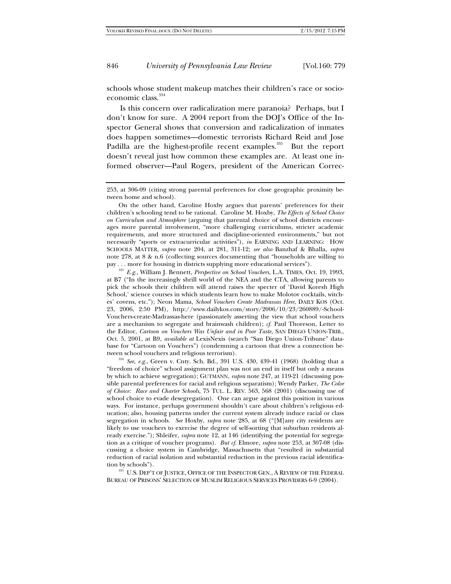schools whose student makeup matches their children's race or socioeconomic class.<sup>334</sup>

Is this concern over radicalization mere paranoia? Perhaps, but I don't know for sure. A 2004 report from the DOJ's Office of the Inspector General shows that conversion and radicalization of inmates does happen sometimes—domestic terrorists Richard Reid and Jose Padilla are the highest-profile recent examples.<sup>335</sup> But the report doesn't reveal just how common these examples are. At least one informed observer—Paul Rogers, president of the American Correc-

 On the other hand, Caroline Hoxby argues that parents' preferences for their children's schooling tend to be rational. Caroline M. Hoxby, *The Effects of School Choice on Curriculum and Atmosphere* (arguing that parental choice of school districts encourages more parental involvement, "more challenging curriculums, stricter academic requirements, and more structured and discipline-oriented environments," but not necessarily "sports or extracurricular activities"), *in* EARNING AND LEARNING: HOW SCHOOLS MATTER, *supra* note 204, at 281, 311-12; *see also* Banzhaf & Bhalla, *supra* note 278, at 8 & n.6 (collecting sources documenting that "households are willing to pay ... more for housing in districts supplying more educational services").

<sup>333</sup> E.g., William J. Bennett, *Perspective on School Vouchers*, L.A. TIMES, Oct. 19, 1993, at B7 ("In the increasingly shrill world of the NEA and the CTA, allowing parents to pick the schools their children will attend raises the specter of 'David Koresh High School,' science courses in which students learn how to make Molotov cocktails, witches' covens, etc."); Neon Mama, *School Vouchers Create Madrassas Here*, DAILY KOS (Oct. 23, 2006, 2:50 PM), http://www.dailykos.com/story/2006/10/23/260889/-School-Vouchers-create-Madrassas-here (passionately asserting the view that school vouchers are a mechanism to segregate and brainwash children); *cf.* Paul Thoreson, Letter to the Editor, *Cartoon on Vouchers Was Unfair and in Poor Taste*, SAN DIEGO UNION-TRIB., Oct. 5, 2001, at B9, *available at* LexisNexis (search "San Diego Union-Tribune" database for "Cartoon on Vouchers") (condemning a cartoon that drew a connection between school vouchers and religious terrorism).<br><sup>334</sup> *See, e.g.*, Green v. Cnty. Sch. Bd., 391 U.S. 430, 439-41 (1968) (holding that a

"freedom of choice" school assignment plan was not an end in itself but only a means by which to achieve segregation); GUTMANN, *supra* note 247, at 119-21 (discussing possible parental preferences for racial and religious separatism); Wendy Parker, *The Color of Choice: Race and Charter Schools*, 75 TUL. L. REV. 563, 568 (2001) (discussing use of school choice to evade desegregation). One can argue against this position in various ways. For instance, perhaps government shouldn't care about children's religious education; also, housing patterns under the current system already induce racial or class segregation in schools. *See* Hoxby, *supra* note 285, at 68 ("[M]any city residents are likely to use vouchers to exercise the degree of self-sorting that suburban residents already exercise."); Shleifer, *supra* note 12, at 146 (identifying the potential for segregation as a critique of voucher programs). *But cf.* Elmore, *supra* note 253, at 307-08 (discussing a choice system in Cambridge, Massachusetts that "resulted in substantial reduction of racial isolation and substantial reduction in the previous racial identifica-

tion by schools"). 335 U.S. DEP'T OF JUSTICE, OFFICE OF THE INSPECTOR GEN., A REVIEW OF THE FEDERAL BUREAU OF PRISONS' SELECTION OF MUSLIM RELIGIOUS SERVICES PROVIDERS 6-9 (2004).

<sup>253,</sup> at 306-09 (citing strong parental preferences for close geographic proximity between home and school).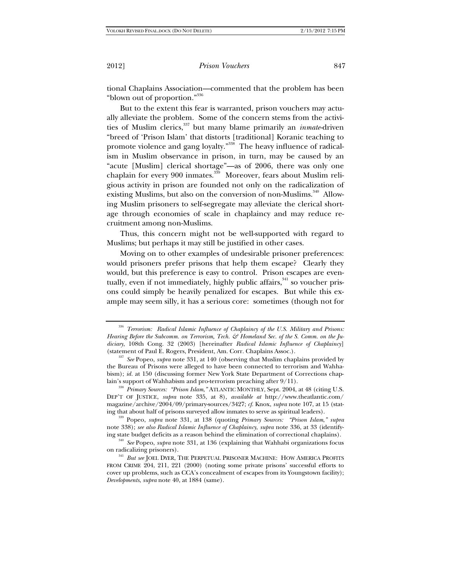tional Chaplains Association—commented that the problem has been "blown out of proportion."<sup>336</sup>

But to the extent this fear is warranted, prison vouchers may actually alleviate the problem. Some of the concern stems from the activities of Muslim clerics,337 but many blame primarily an *inmate*-driven "breed of 'Prison Islam' that distorts [traditional] Koranic teaching to promote violence and gang loyalty."<sup>338</sup> The heavy influence of radicalism in Muslim observance in prison, in turn, may be caused by an "acute [Muslim] clerical shortage"—as of 2006, there was only one chaplain for every 900 inmates.<sup>339</sup> Moreover, fears about Muslim religious activity in prison are founded not only on the radicalization of existing Muslims, but also on the conversion of non-Muslims.<sup>340</sup> Allowing Muslim prisoners to self-segregate may alleviate the clerical shortage through economies of scale in chaplaincy and may reduce recruitment among non-Muslims.

Thus, this concern might not be well-supported with regard to Muslims; but perhaps it may still be justified in other cases.

Moving on to other examples of undesirable prisoner preferences: would prisoners prefer prisons that help them escape? Clearly they would, but this preference is easy to control. Prison escapes are eventually, even if not immediately, highly public affairs,  $341$  so voucher prisons could simply be heavily penalized for escapes. But while this example may seem silly, it has a serious core: sometimes (though not for

<sup>336</sup> *Terrorism: Radical Islamic Influence of Chaplaincy of the U.S. Military and Prisons:*  Hearing Before the Subcomm. on Terrorism, Tech. & Homeland Sec. of the S. Comm. on the Ju*diciary*, 108th Cong. 32 (2003) [hereinafter *Radical Islamic Influence of Chaplaincy*]

<sup>(</sup>statement of Paul E. Rogers, President, Am. Corr. Chaplains Assoc.). 337 *See* Popeo, *supra* note 331, at 140 (observing that Muslim chaplains provided by the Bureau of Prisons were alleged to have been connected to terrorism and Wahhabism); *id.* at 150 (discussing former New York State Department of Corrections chap-

lain's support of Wahhabism and pro-terrorism preaching after 9/11).<br><sup>338</sup> *Primary Sources: "Prison Islam*," ATLANTIC MONTHLY, Sept. 2004, at 48 (citing U.S. DEP'T OF JUSTICE, *supra* note 335, at 8), *available at* http://www.theatlantic.com/ magazine/archive/2004/09/primary-sources/3427; *cf.* Knox, *supra* note 107, at 15 (stat-

ing that about half of prisons surveyed allow inmates to serve as spiritual leaders). 339 Popeo, *supra* note 331, at 138 (quoting *Primary Sources: "Prison Islam*,*" supra* note 338); *see also Radical Islamic Influence of Chaplaincy*, *supra* note 336, at 33 (identify-

ing state budget deficits as a reason behind the elimination of correctional chaplains).<br><sup>340</sup> *See* Popeo, *supra* note 331, at 136 (explaining that Wahhabi organizations focus<br>on radicalizing prisoners).

<sup>&</sup>lt;sup>341</sup> *But see* JOEL DYER, THE PERPETUAL PRISONER MACHINE: HOW AMERICA PROFITS FROM CRIME 204, 211, 221 (2000) (noting some private prisons' successful efforts to cover up problems, such as CCA's concealment of escapes from its Youngstown facility); *Developments*, *supra* note 40, at 1884 (same).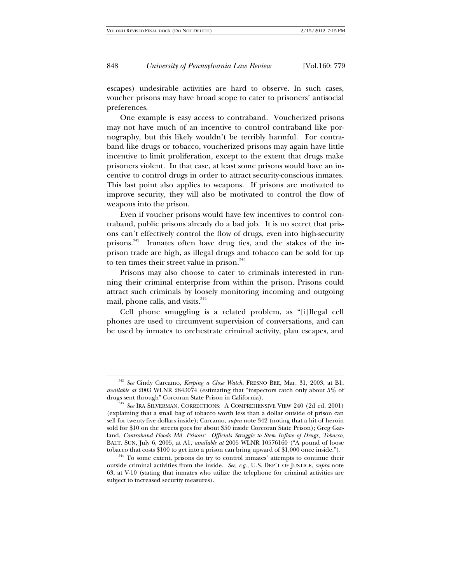escapes) undesirable activities are hard to observe. In such cases, voucher prisons may have broad scope to cater to prisoners' antisocial preferences.

One example is easy access to contraband. Voucherized prisons may not have much of an incentive to control contraband like pornography, but this likely wouldn't be terribly harmful. For contraband like drugs or tobacco, voucherized prisons may again have little incentive to limit proliferation, except to the extent that drugs make prisoners violent. In that case, at least some prisons would have an incentive to control drugs in order to attract security-conscious inmates. This last point also applies to weapons. If prisons are motivated to improve security, they will also be motivated to control the flow of weapons into the prison.

Even if voucher prisons would have few incentives to control contraband, public prisons already do a bad job. It is no secret that prisons can't effectively control the flow of drugs, even into high-security prisons.<sup>342</sup> Inmates often have drug ties, and the stakes of the inprison trade are high, as illegal drugs and tobacco can be sold for up to ten times their street value in prison. $343$ 

Prisons may also choose to cater to criminals interested in running their criminal enterprise from within the prison. Prisons could attract such criminals by loosely monitoring incoming and outgoing mail, phone calls, and visits.<sup>344</sup>

Cell phone smuggling is a related problem, as "[i]llegal cell phones are used to circumvent supervision of conversations, and can be used by inmates to orchestrate criminal activity, plan escapes, and

<sup>342</sup> *See* Cindy Carcamo, *Keeping a Close Watch*, FRESNO BEE, Mar. 31, 2003, at B1, *available at* 2003 WLNR 2843074 (estimating that "inspectors catch only about 5% of drugs sent through" Corcoran State Prison in California). 343 *See* IRA SILVERMAN, CORRECTIONS: A COMPREHENSIVE VIEW 240 (2d ed. 2001)

<sup>(</sup>explaining that a small bag of tobacco worth less than a dollar outside of prison can sell for twenty-five dollars inside); Carcamo, *supra* note 342 (noting that a hit of heroin sold for \$10 on the streets goes for about \$50 inside Corcoran State Prison); Greg Garland, *Contraband Floods Md. Prisons: Officials Struggle to Stem Inflow of Drugs, Tobacco*, BALT. SUN, July 6, 2005, at A1, *available at* 2005 WLNR 10576160 ("A pound of loose tobacco that costs \$100 to get into a prison can bring upward of \$1,000 once inside."). <sup>344</sup> To some extent, prisons do try to control inmates' attempts to continue their

outside criminal activities from the inside. *See, e.g.*, U.S. DEP'T OF JUSTICE, *supra* note 63, at V-10 (stating that inmates who utilize the telephone for criminal activities are subject to increased security measures).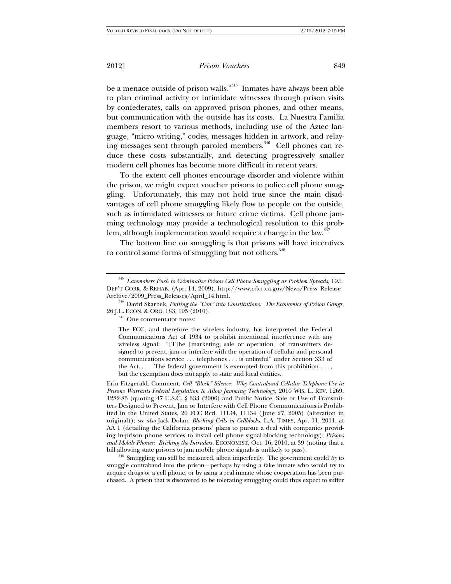be a menace outside of prison walls."345 Inmates have always been able to plan criminal activity or intimidate witnesses through prison visits by confederates, calls on approved prison phones, and other means, but communication with the outside has its costs. La Nuestra Familia members resort to various methods, including use of the Aztec language, "micro writing," codes, messages hidden in artwork, and relaying messages sent through paroled members.<sup>346</sup> Cell phones can reduce these costs substantially, and detecting progressively smaller modern cell phones has become more difficult in recent years.

To the extent cell phones encourage disorder and violence within the prison, we might expect voucher prisons to police cell phone smuggling. Unfortunately, this may not hold true since the main disadvantages of cell phone smuggling likely flow to people on the outside, such as intimidated witnesses or future crime victims. Cell phone jamming technology may provide a technological resolution to this problem, although implementation would require a change in the law.<sup>347</sup>

The bottom line on smuggling is that prisons will have incentives to control some forms of smuggling but not others.<sup>348</sup>

Erin Fitzgerald, Comment, *Cell "Block" Silence: Why Contraband Cellular Telephone Use in Prisons Warrants Federal Legislation to Allow Jamming Technology*, 2010 WIS. L. REV. 1269, 1282-83 (quoting 47 U.S.C. § 333 (2006) and Public Notice, Sale or Use of Transmitters Designed to Prevent, Jam or Interfere with Cell Phone Communications is Prohibited in the United States, 20 FCC Rcd. 11134, 11134 (June 27, 2005) (alteration in original)); *see also* Jack Dolan, *Blocking Cells in Cellblocks*, L.A. TIMES, Apr. 11, 2011, at AA 1 (detailing the California prisons' plans to pursue a deal with companies providing in-prison phone services to install cell phone signal-blocking technology); *Prisons and Mobile Phones: Bricking the Intruders*, ECONOMIST, Oct. 16, 2010, at 39 (noting that a

bill allowing state prisons to jam mobile phone signals is unlikely to pass). 348 Smuggling can still be measured, albeit imperfectly. The government could *try* to smuggle contraband into the prison*—*perhaps by using a fake inmate who would try to acquire drugs or a cell phone, or by using a real inmate whose cooperation has been purchased. A prison that is discovered to be tolerating smuggling could thus expect to suffer

<sup>345</sup> *Lawmakers Push to Criminalize Prison Cell Phone Smuggling as Problem Spreads*, CAL. DEP'T CORR. & REHAB. (Apr. 14, 2009), http://www.cdcr.ca.gov/News/Press\_Release\_

Archive/2009\_Press\_Releases/April\_14.html. 346 David Skarbek, *Putting the "Con" into Constitutions: The Economics of Prison Gangs*,

 $347$  One commentator notes:

The FCC, and therefore the wireless industry, has interpreted the Federal Communications Act of 1934 to prohibit intentional interference with any wireless signal: "[T]he [marketing, sale or operation] of transmitters designed to prevent, jam or interfere with the operation of cellular and personal communications service . . . telephones . . . is unlawful" under Section 333 of the Act.... The federal government is exempted from this prohibition  $\dots$ , but the exemption does not apply to state and local entities.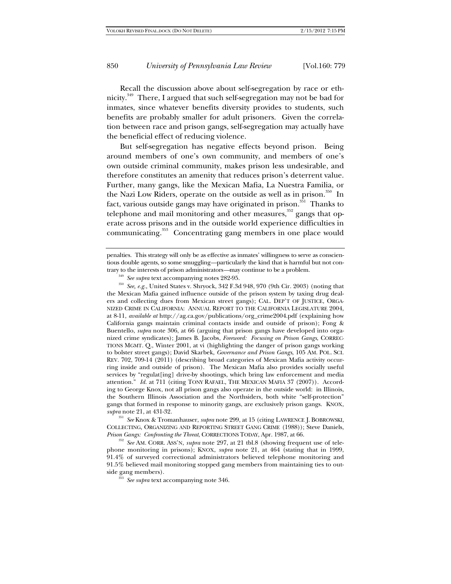Recall the discussion above about self-segregation by race or ethnicity.349 There, I argued that such self-segregation may not be bad for inmates, since whatever benefits diversity provides to students, such benefits are probably smaller for adult prisoners. Given the correlation between race and prison gangs, self-segregation may actually have the beneficial effect of reducing violence.

But self-segregation has negative effects beyond prison. Being around members of one's own community, and members of one's own outside criminal community, makes prison less undesirable, and therefore constitutes an amenity that reduces prison's deterrent value. Further, many gangs, like the Mexican Mafia, La Nuestra Familia, or the Nazi Low Riders, operate on the outside as well as in prison.<sup>350</sup> In fact, various outside gangs may have originated in prison.<sup>351</sup> Thanks to telephone and mail monitoring and other measures,  $\frac{352}{2}$  gangs that operate across prisons and in the outside world experience difficulties in communicating.<sup>353</sup> Concentrating gang members in one place would

trary to the interests of prison administrators—may continue to be a problem.<br><sup>349</sup> See supra text accompanying notes 282-95.<br><sup>350</sup> See, e.g., United States v. Shryock, 342 F.3d 948, 970 (9th Cir. 2003) (noting that the Mexican Mafia gained influence outside of the prison system by taxing drug dealers and collecting dues from Mexican street gangs); CAL. DEP'T OF JUSTICE, ORGA-NIZED CRIME IN CALIFORNIA: ANNUAL REPORT TO THE CALIFORNIA LEGISLATURE 2004, at 8-11, *available at* http://ag.ca.gov/publications/org\_crime2004.pdf (explaining how California gangs maintain criminal contacts inside and outside of prison); Fong & Buentello, *supra* note 306, at 66 (arguing that prison gangs have developed into organized crime syndicates); James B. Jacobs, *Foreword: Focusing on Prison Gangs*, CORREC-TIONS MGMT. Q., Winter 2001, at vi (highlighting the danger of prison gangs working to bolster street gangs); David Skarbek, *Governance and Prison Gangs*, 105 AM. POL. SCI. REV. 702, 709-14 (2011) (describing broad categories of Mexican Mafia activity occurring inside and outside of prison). The Mexican Mafia also provides socially useful services by "regulat[ing] drive-by shootings, which bring law enforcement and media attention." *Id.* at 711 (citing TONY RAFAEL, THE MEXICAN MAFIA 37 (2007)). According to George Knox, not all prison gangs also operate in the outside world: in Illinois, the Southern Illinois Association and the Northsiders, both white "self-protection" gangs that formed in response to minority gangs, are exclusively prison gangs. KNOX, *supra* note 21, at 431-32.

<sup>351</sup> *See* Knox & Tromanhauser, *supra* note 299, at 15 (citing LAWRENCE J. BOBROWSKI, COLLECTING, ORGANIZING AND REPORTING STREET GANG CRIME (1988)); Steve Daniels,

*Prison Gangs: Confronting the Threat*, CORRECTIONS TODAY, Apr. 1987, at 66. 352 *See* AM. CORR. ASS'N, *supra* note 297, at 21 tbl.8 (showing frequent use of telephone monitoring in prisons); KNOX, *supra* note 21, at 464 (stating that in 1999, 91.4% of surveyed correctional administrators believed telephone monitoring and 91.5% believed mail monitoring stopped gang members from maintaining ties to out-

<sup>353</sup> *See supra* text accompanying note 346.

penalties. This strategy will only be as effective as inmates' willingness to serve as conscientious double agents, so some smuggling*—*particularly the kind that is harmful but not con-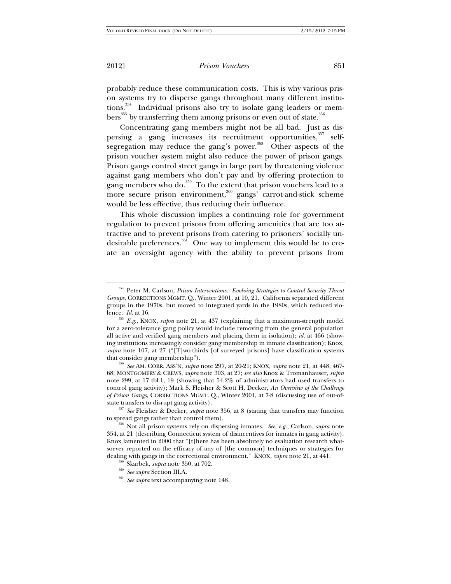probably reduce these communication costs. This is why various prison systems try to disperse gangs throughout many different institutions.<sup>354</sup> Individual prisons also try to isolate gang leaders or members<sup>355</sup> by transferring them among prisons or even out of state.<sup>356</sup>

Concentrating gang members might not be all bad. Just as dispersing a gang increases its recruitment opportunities,<sup>357</sup> selfsegregation may reduce the gang's power.<sup>358</sup> Other aspects of the prison voucher system might also reduce the power of prison gangs. Prison gangs control street gangs in large part by threatening violence against gang members who don't pay and by offering protection to gang members who do.<sup>359</sup> To the extent that prison vouchers lead to a more secure prison environment,<sup>360</sup> gangs' carrot-and-stick scheme would be less effective, thus reducing their influence.

This whole discussion implies a continuing role for government regulation to prevent prisons from offering amenities that are too attractive and to prevent prisons from catering to prisoners' socially undesirable preferences.<sup>361</sup> One way to implement this would be to create an oversight agency with the ability to prevent prisons from

that consider gang membership"). 356 *See* AM. CORR. ASS'N, *supra* note 297, at 20-21; KNOX, *supra* note 21, at 448, 467- 68; MONTGOMERY & CREWS, *supra* note 303, at 27; *see also* Knox & Tromanhauser, *supra* note 299, at 17 tbl.1, 19 (showing that 54.2% of administrators had used transfers to control gang activity); Mark S. Fleisher & Scott H. Decker, *An Overview of the Challenge of Prison Gangs*, CORRECTIONS MGMT. Q., Winter 2001, at 7-8 (discussing use of out-ofstate transfers to disrupt gang activity). 357 *See* Fleisher & Decker, *supra* note 356, at 8 (stating that transfers may function

to spread gangs rather than control them). 358 Not all prison systems rely on dispersing inmates. *See, e.g.*, Carlson, *supra* note

354, at 21 (describing Connecticut system of disincentives for inmates in gang activity). Knox lamented in 2000 that "[t]here has been absolutely no evaluation research whatsoever reported on the efficacy of any of [the common] techniques or strategies for dealing with gangs in the correctional environment." KNOX, *supra* note 21, at 441.<br><sup>359</sup> Skarbek, *supra* note 350, at 702.<br><sup>360</sup> See supra Section III.A.<br><sup>361</sup> See supra text accompanying note 148.

- 
- 

<sup>354</sup> Peter M. Carlson, *Prison Interventions: Evolving Strategies to Control Security Threat Groups*, CORRECTIONS MGMT. Q., Winter 2001, at 10, 21. California separated different groups in the 1970s, but moved to integrated yards in the 1980s, which reduced vio-<br>lence. Id. at 16.

<sup>&</sup>lt;sup>355</sup> *E.g.*, KNOX, *supra* note 21, at 437 (explaining that a maximum-strength model for a zero-tolerance gang policy would include removing from the general population all active and verified gang members and placing them in isolation); *id.* at 466 (showing institutions increasingly consider gang membership in inmate classification); Knox, *supra* note 107, at 27 ("[T]wo-thirds [of surveyed prisons] have classification systems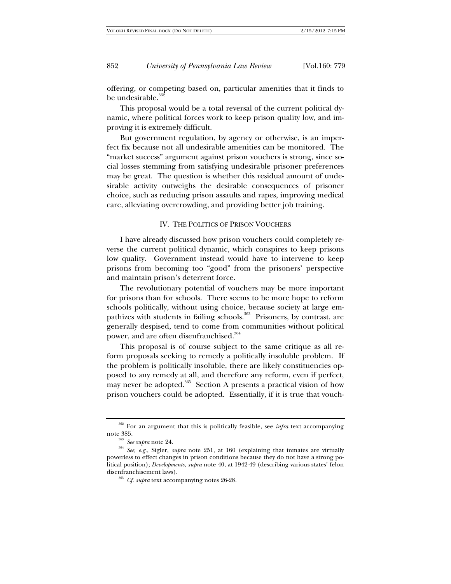offering, or competing based on, particular amenities that it finds to be undesirable.<sup>362</sup>

This proposal would be a total reversal of the current political dynamic, where political forces work to keep prison quality low, and improving it is extremely difficult.

But government regulation, by agency or otherwise, is an imperfect fix because not all undesirable amenities can be monitored. The "market success" argument against prison vouchers is strong, since social losses stemming from satisfying undesirable prisoner preferences may be great. The question is whether this residual amount of undesirable activity outweighs the desirable consequences of prisoner choice, such as reducing prison assaults and rapes, improving medical care, alleviating overcrowding, and providing better job training.

## IV. THE POLITICS OF PRISON VOUCHERS

I have already discussed how prison vouchers could completely reverse the current political dynamic, which conspires to keep prisons low quality. Government instead would have to intervene to keep prisons from becoming too "good" from the prisoners' perspective and maintain prison's deterrent force.

The revolutionary potential of vouchers may be more important for prisons than for schools. There seems to be more hope to reform schools politically, without using choice, because society at large empathizes with students in failing schools.<sup>363</sup> Prisoners, by contrast, are generally despised, tend to come from communities without political power, and are often disenfranchised.<sup>364</sup>

This proposal is of course subject to the same critique as all reform proposals seeking to remedy a politically insoluble problem. If the problem is politically insoluble, there are likely constituencies opposed to any remedy at all, and therefore any reform, even if perfect, may never be adopted. $365$  Section A presents a practical vision of how prison vouchers could be adopted. Essentially, if it is true that vouch-

<sup>362</sup> For an argument that this is politically feasible, see *infra* text accompanying

note 385. 363 *See supra* note 24. 364 *See, e.g.*, Sigler, *supra* note 251, at 160 (explaining that inmates are virtually powerless to effect changes in prison conditions because they do not have a strong political position); *Developments*, *supra* note 40, at 1942-49 (describing various states' felon

<sup>&</sup>lt;sup>365</sup> *Cf. supra* text accompanying notes 26-28.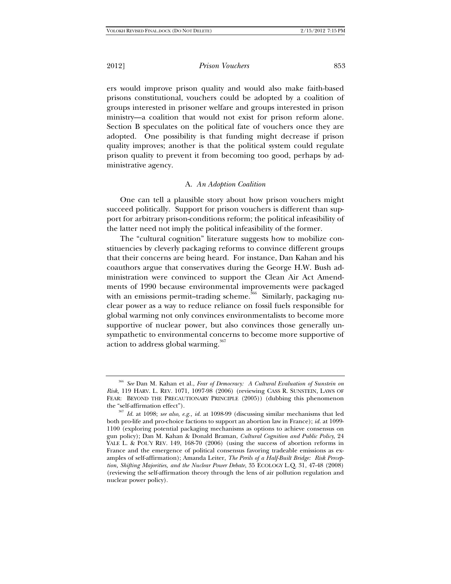ers would improve prison quality and would also make faith-based prisons constitutional, vouchers could be adopted by a coalition of groups interested in prisoner welfare and groups interested in prison ministry—a coalition that would not exist for prison reform alone. Section B speculates on the political fate of vouchers once they are adopted. One possibility is that funding might decrease if prison quality improves; another is that the political system could regulate prison quality to prevent it from becoming too good, perhaps by administrative agency.

## A. *An Adoption Coalition*

One can tell a plausible story about how prison vouchers might succeed politically. Support for prison vouchers is different than support for arbitrary prison-conditions reform; the political infeasibility of the latter need not imply the political infeasibility of the former.

The "cultural cognition" literature suggests how to mobilize constituencies by cleverly packaging reforms to convince different groups that their concerns are being heard. For instance, Dan Kahan and his coauthors argue that conservatives during the George H.W. Bush administration were convinced to support the Clean Air Act Amendments of 1990 because environmental improvements were packaged with an emissions permit-trading scheme.<sup>366</sup> Similarly, packaging nuclear power as a way to reduce reliance on fossil fuels responsible for global warming not only convinces environmentalists to become more supportive of nuclear power, but also convinces those generally unsympathetic to environmental concerns to become more supportive of action to address global warming.<sup>367</sup>

<sup>366</sup> *See* Dan M. Kahan et al., *Fear of Democracy: A Cultural Evaluation of Sunstein on Risk*, 119 HARV. L. REV. 1071, 1097-98 (2006) (reviewing CASS R. SUNSTEIN, LAWS OF FEAR: BEYOND THE PRECAUTIONARY PRINCIPLE (2005)) (dubbing this phenomenon the "self-affirmation effect").

<sup>&</sup>lt;sup>367</sup> Id. at 1098; see also, e.g., id. at 1098-99 (discussing similar mechanisms that led both pro-life and pro-choice factions to support an abortion law in France); *id.* at 1099- 1100 (exploring potential packaging mechanisms as options to achieve consensus on gun policy); Dan M. Kahan & Donald Braman, *Cultural Cognition and Public Policy*, 24 YALE L. & POL'Y REV. 149, 168-70 (2006) (using the success of abortion reforms in France and the emergence of political consensus favoring tradeable emissions as examples of self-affirmation); Amanda Leiter, *The Perils of a Half-Built Bridge: Risk Perception, Shifting Majorities, and the Nuclear Power Debate*, 35 ECOLOGY L.Q. 31, 47-48 (2008) (reviewing the self-affirmation theory through the lens of air pollution regulation and nuclear power policy).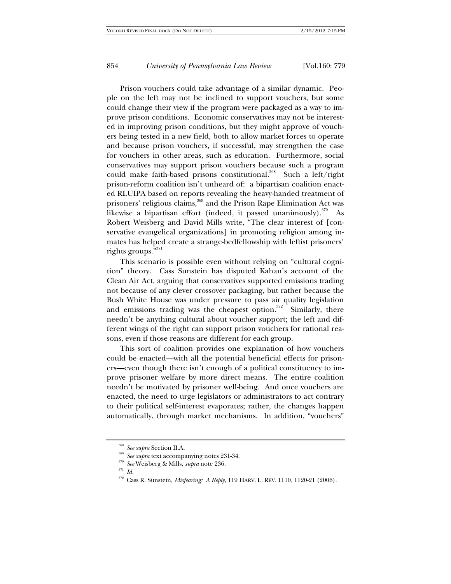Prison vouchers could take advantage of a similar dynamic. People on the left may not be inclined to support vouchers, but some could change their view if the program were packaged as a way to improve prison conditions. Economic conservatives may not be interested in improving prison conditions, but they might approve of vouchers being tested in a new field, both to allow market forces to operate and because prison vouchers, if successful, may strengthen the case for vouchers in other areas, such as education. Furthermore, social conservatives may support prison vouchers because such a program could make faith-based prisons constitutional.<sup>368</sup> Such a left/right prison-reform coalition isn't unheard of: a bipartisan coalition enacted RLUIPA based on reports revealing the heavy-handed treatment of prisoners' religious claims,<sup>369</sup> and the Prison Rape Elimination Act was likewise a bipartisan effort (indeed, it passed unanimously).<sup>370</sup> As Robert Weisberg and David Mills write, "The clear interest of [conservative evangelical organizations] in promoting religion among inmates has helped create a strange-bedfellowship with leftist prisoners' rights groups."<sup>371</sup>

This scenario is possible even without relying on "cultural cognition" theory. Cass Sunstein has disputed Kahan's account of the Clean Air Act, arguing that conservatives supported emissions trading not because of any clever crossover packaging, but rather because the Bush White House was under pressure to pass air quality legislation and emissions trading was the cheapest option. $372$  Similarly, there needn't be anything cultural about voucher support; the left and different wings of the right can support prison vouchers for rational reasons, even if those reasons are different for each group.

This sort of coalition provides one explanation of how vouchers could be enacted—with all the potential beneficial effects for prisoners—even though there isn't enough of a political constituency to improve prisoner welfare by more direct means. The entire coalition needn't be motivated by prisoner well-being. And once vouchers are enacted, the need to urge legislators or administrators to act contrary to their political self-interest evaporates; rather, the changes happen automatically, through market mechanisms. In addition, "vouchers"

<sup>368</sup> *See supra* Section II.A. 369 *See supra* text accompanying notes 231-34. 370 *See* Weisberg & Mills, *supra* note 236.

 $371$  *Id.* 

<sup>372</sup> Cass R. Sunstein, *Misfearing: A Reply*, 119 HARV. L. REV. 1110, 1120-21 (2006).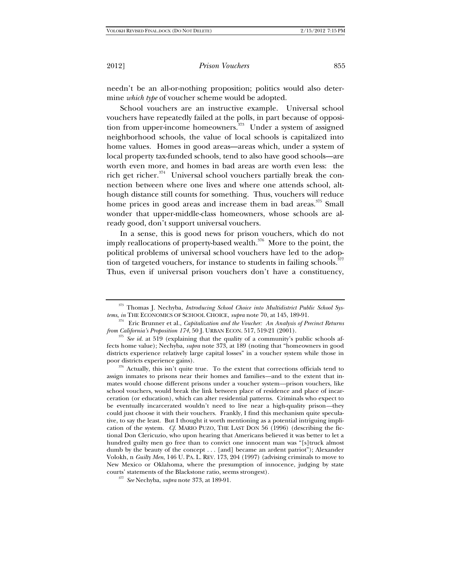needn't be an all-or-nothing proposition; politics would also determine *which type* of voucher scheme would be adopted.

School vouchers are an instructive example. Universal school vouchers have repeatedly failed at the polls, in part because of opposition from upper-income homeowners. $373$  Under a system of assigned neighborhood schools, the value of local schools is capitalized into home values. Homes in good areas—areas which, under a system of local property tax-funded schools, tend to also have good schools—are worth even more, and homes in bad areas are worth even less: the rich get richer. $374$  Universal school vouchers partially break the connection between where one lives and where one attends school, although distance still counts for something. Thus, vouchers will reduce home prices in good areas and increase them in bad areas.<sup>375</sup> Small wonder that upper-middle-class homeowners, whose schools are already good, don't support universal vouchers.

In a sense, this is good news for prison vouchers, which do not imply reallocations of property-based wealth.<sup>376</sup> More to the point, the political problems of universal school vouchers have led to the adoption of targeted vouchers, for instance to students in failing schools.<sup>3</sup>

Thus, even if universal prison vouchers don't have a constituency,

poor districts experience gains). <sup>376</sup> Actually, this isn't quite true. To the extent that corrections officials tend to assign inmates to prisons near their homes and families*—*and to the extent that inmates would choose different prisons under a voucher system*—*prison vouchers, like school vouchers, would break the link between place of residence and place of incarceration (or education), which can alter residential patterns. Criminals who expect to be eventually incarcerated wouldn't need to live near a high-quality prison*—*they could just choose it with their vouchers. Frankly, I find this mechanism quite speculative, to say the least. But I thought it worth mentioning as a potential intriguing implication of the system. *Cf.* MARIO PUZO, THE LAST DON 56 (1996) (describing the fictional Don Clericuzio, who upon hearing that Americans believed it was better to let a hundred guilty men go free than to convict one innocent man was "[s]truck almost dumb by the beauty of the concept . . . [and] became an ardent patriot"); Alexander Volokh, n *Guilty Men*, 146 U. PA. L. REV. 173, 204 (1997) (advising criminals to move to New Mexico or Oklahoma, where the presumption of innocence, judging by state courts' statements of the Blackstone ratio, seems strongest).

<sup>&</sup>lt;sup>373</sup> Thomas J. Nechyba, *Introducing School Choice into Multidistrict Public School Systems, in* THE ECONOMICS OF SCHOOL CHOICE, *supra* note 70, at 145, 189-91.

<sup>&</sup>lt;sup>374</sup> Eric Brunner et al., *Capitalization and the Voucher: An Analysis of Precinct Returns from California's Proposition 174, 50 J. URBAN ECON. 517, 519-21 (2001).* 

<sup>&</sup>lt;sup>375</sup> See id. at 519 (explaining that the quality of a community's public schools affects home value); Nechyba, *supra* note 373, at 189 (noting that "homeowners in good districts experience relatively large capital losses" in a voucher system while those in

<sup>&</sup>lt;sup>377</sup> See Nechyba, *supra* note 373, at 189-91.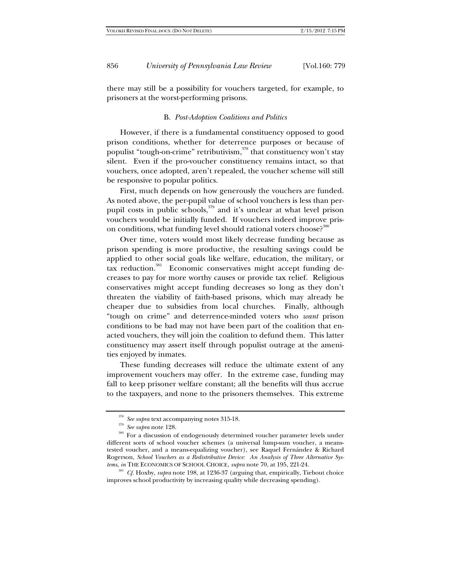there may still be a possibility for vouchers targeted, for example, to prisoners at the worst-performing prisons.

## B. *Post-Adoption Coalitions and Politics*

However, if there is a fundamental constituency opposed to good prison conditions, whether for deterrence purposes or because of populist "tough-on-crime" retributivism, $378$  that constituency won't stay silent. Even if the pro-voucher constituency remains intact, so that vouchers, once adopted, aren't repealed, the voucher scheme will still be responsive to popular politics.

First, much depends on how generously the vouchers are funded. As noted above, the per-pupil value of school vouchers is less than perpupil costs in public schools,<sup>379</sup> and it's unclear at what level prison vouchers would be initially funded. If vouchers indeed improve prison conditions, what funding level should rational voters choose?<sup>380</sup>

Over time, voters would most likely decrease funding because as prison spending is more productive, the resulting savings could be applied to other social goals like welfare, education, the military, or tax reduction.<sup>381</sup> Economic conservatives might accept funding decreases to pay for more worthy causes or provide tax relief. Religious conservatives might accept funding decreases so long as they don't threaten the viability of faith-based prisons, which may already be cheaper due to subsidies from local churches. Finally, although "tough on crime" and deterrence-minded voters who *want* prison conditions to be bad may not have been part of the coalition that enacted vouchers, they will join the coalition to defund them. This latter constituency may assert itself through populist outrage at the amenities enjoyed by inmates.

These funding decreases will reduce the ultimate extent of any improvement vouchers may offer. In the extreme case, funding may fall to keep prisoner welfare constant; all the benefits will thus accrue to the taxpayers, and none to the prisoners themselves. This extreme

<sup>&</sup>lt;sup>378</sup> *See supra* text accompanying notes 315-18.<br><sup>379</sup> *See supra* note 128.<br><sup>380</sup> For a discussion of endogenously determined voucher parameter levels under different sorts of school voucher schemes (a universal lump-sum voucher, a meanstested voucher, and a means-equalizing voucher), see Raquel Fernández & Richard Rogerson, *School Vouchers as a Redistributive Device: An Analysis of Three Alternative Systems, in* THE ECONOMICS OF SCHOOL CHOICE, *supra* note 70, at 195, 221-24.<br><sup>381</sup> *Cf.* Hoxby, *supra* note 198, at 1236-37 (arguing that, empirically, Tiebout choice

improves school productivity by increasing quality while decreasing spending).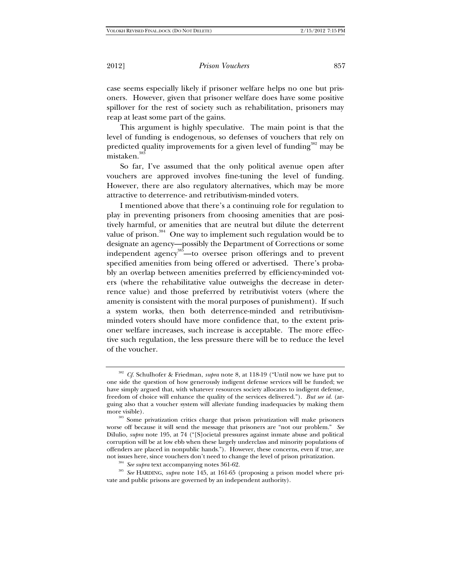case seems especially likely if prisoner welfare helps no one but prisoners. However, given that prisoner welfare does have some positive spillover for the rest of society such as rehabilitation, prisoners may reap at least some part of the gains.

This argument is highly speculative. The main point is that the level of funding is endogenous, so defenses of vouchers that rely on predicted quality improvements for a given level of funding<sup>382</sup> may be mistaken.<sup>38</sup>

So far, I've assumed that the only political avenue open after vouchers are approved involves fine-tuning the level of funding. However, there are also regulatory alternatives, which may be more attractive to deterrence- and retributivism-minded voters.

I mentioned above that there's a continuing role for regulation to play in preventing prisoners from choosing amenities that are positively harmful, or amenities that are neutral but dilute the deterrent value of prison.<sup>384</sup> One way to implement such regulation would be to designate an agency—possibly the Department of Corrections or some independent agency<sup>385</sup>—to oversee prison offerings and to prevent specified amenities from being offered or advertised. There's probably an overlap between amenities preferred by efficiency-minded voters (where the rehabilitative value outweighs the decrease in deterrence value) and those preferred by retributivist voters (where the amenity is consistent with the moral purposes of punishment). If such a system works, then both deterrence-minded and retributivismminded voters should have more confidence that, to the extent prisoner welfare increases, such increase is acceptable. The more effective such regulation, the less pressure there will be to reduce the level of the voucher.

<sup>384</sup> See supra text accompanying notes 361-62.<br><sup>385</sup> See HARDING, *supra* note 145, at 161-65 (proposing a prison model where private and public prisons are governed by an independent authority).

<sup>382</sup> *Cf.* Schulhofer & Friedman, *supra* note 8, at 118-19 ("Until now we have put to one side the question of how generously indigent defense services will be funded; we have simply argued that, with whatever resources society allocates to indigent defense, freedom of choice will enhance the quality of the services delivered."). *But see id.* (arguing also that a voucher system will alleviate funding inadequacies by making them

more visible).<br><sup>383</sup> Some privatization critics charge that prison privatization will make prisoners worse off because it will send the message that prisoners are "not our problem." *See* DiIulio, *supra* note 195, at 74 ("[S]ocietal pressures against inmate abuse and political corruption will be at low ebb when these largely underclass and minority populations of offenders are placed in nonpublic hands."). However, these concerns, even if true, are not issues here, since vouchers don't need to change the level of prison privatization.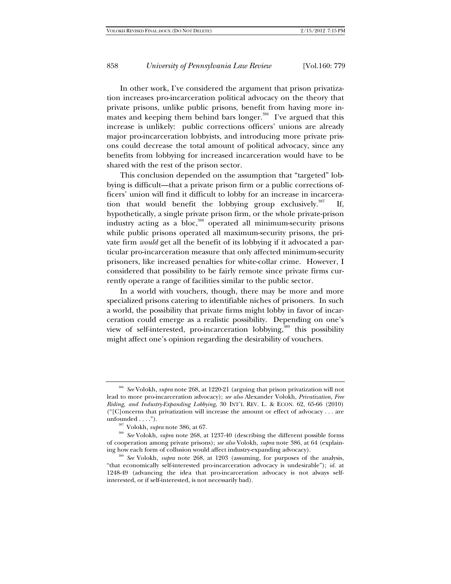In other work, I've considered the argument that prison privatization increases pro-incarceration political advocacy on the theory that private prisons, unlike public prisons, benefit from having more inmates and keeping them behind bars longer.<sup>386</sup> I've argued that this increase is unlikely: public corrections officers' unions are already major pro-incarceration lobbyists, and introducing more private prisons could decrease the total amount of political advocacy, since any benefits from lobbying for increased incarceration would have to be shared with the rest of the prison sector.

This conclusion depended on the assumption that "targeted" lobbying is difficult—that a private prison firm or a public corrections officers' union will find it difficult to lobby for an increase in incarceration that would benefit the lobbying group exclusively.<sup>387</sup> If, hypothetically, a single private prison firm, or the whole private-prison industry acting as a bloc,388 operated all minimum-security prisons while public prisons operated all maximum-security prisons, the private firm *would* get all the benefit of its lobbying if it advocated a particular pro-incarceration measure that only affected minimum-security prisoners, like increased penalties for white-collar crime. However, I considered that possibility to be fairly remote since private firms currently operate a range of facilities similar to the public sector.

In a world with vouchers, though, there may be more and more specialized prisons catering to identifiable niches of prisoners. In such a world, the possibility that private firms might lobby in favor of incarceration could emerge as a realistic possibility. Depending on one's view of self-interested, pro-incarceration lobbying,<sup>389</sup> this possibility might affect one's opinion regarding the desirability of vouchers.

<sup>386</sup> *See* Volokh, *supra* note 268, at 1220-21 (arguing that prison privatization will not lead to more pro-incarceration advocacy); *see also* Alexander Volokh, *Privatization, Free Riding, and Industry-Expanding Lobbying*, 30 INT'L REV. L. & ECON. 62, 65-66 (2010) ("[C]oncerns that privatization will increase the amount or effect of advocacy . . . are unfounded . . . .").

<sup>&</sup>lt;sup>387</sup> Volokh, *supra* note 386, at 67.<br><sup>388</sup> *See* Volokh, *supra* note 268, at 1237-40 (describing the different possible forms of cooperation among private prisons); *see also* Volokh, *supra* note 386, at 64 (explaining how each form of collusion would affect industry-expanding advocacy). 389 *See* Volokh, *supra* note 268, at 1203 (assuming, for purposes of the analysis,

<sup>&</sup>quot;that economically self-interested pro-incarceration advocacy is undesirable"); *id.* at 1248-49 (advancing the idea that pro-incarceration advocacy is not always selfinterested, or if self-interested, is not necessarily bad).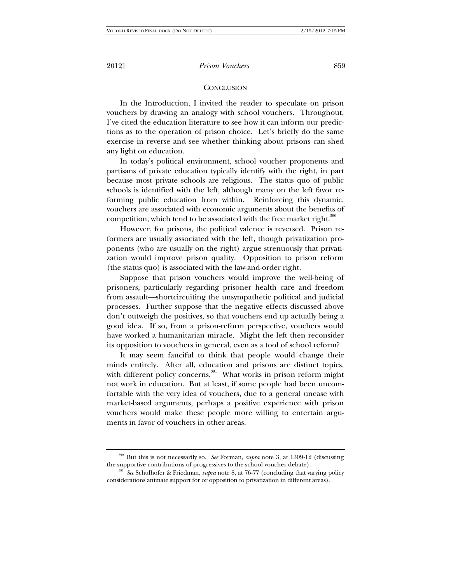## **CONCLUSION**

In the Introduction, I invited the reader to speculate on prison vouchers by drawing an analogy with school vouchers. Throughout, I've cited the education literature to see how it can inform our predictions as to the operation of prison choice. Let's briefly do the same exercise in reverse and see whether thinking about prisons can shed any light on education.

In today's political environment, school voucher proponents and partisans of private education typically identify with the right, in part because most private schools are religious. The status quo of public schools is identified with the left, although many on the left favor reforming public education from within. Reinforcing this dynamic, vouchers are associated with economic arguments about the benefits of competition, which tend to be associated with the free market right.<sup>390</sup>

However, for prisons, the political valence is reversed. Prison reformers are usually associated with the left, though privatization proponents (who are usually on the right) argue strenuously that privatization would improve prison quality. Opposition to prison reform (the status quo) is associated with the law-and-order right.

Suppose that prison vouchers would improve the well-being of prisoners, particularly regarding prisoner health care and freedom from assault—shortcircuiting the unsympathetic political and judicial processes. Further suppose that the negative effects discussed above don't outweigh the positives, so that vouchers end up actually being a good idea. If so, from a prison-reform perspective, vouchers would have worked a humanitarian miracle. Might the left then reconsider its opposition to vouchers in general, even as a tool of school reform?

It may seem fanciful to think that people would change their minds entirely. After all, education and prisons are distinct topics, with different policy concerns.<sup>391</sup> What works in prison reform might not work in education. But at least, if some people had been uncomfortable with the very idea of vouchers, due to a general unease with market-based arguments, perhaps a positive experience with prison vouchers would make these people more willing to entertain arguments in favor of vouchers in other areas.

<sup>390</sup> But this is not necessarily so. *See* Forman, *supra* note 3, at 1309-12 (discussing the supportive contributions of progressives to the school voucher debate). 391 *See* Schulhofer & Friedman, *supra* note 8, at 76-77 (concluding that varying policy

considerations animate support for or opposition to privatization in different areas).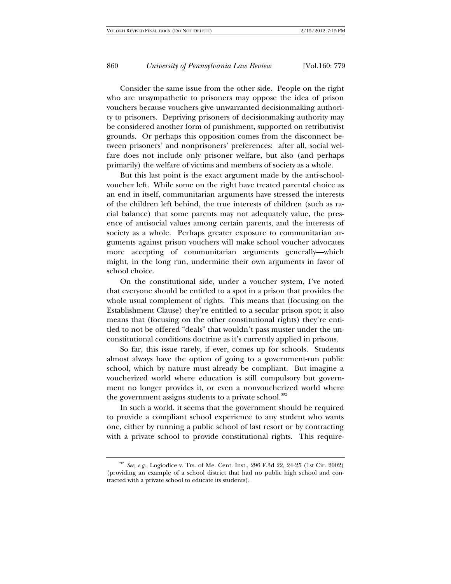Consider the same issue from the other side. People on the right who are unsympathetic to prisoners may oppose the idea of prison vouchers because vouchers give unwarranted decisionmaking authority to prisoners. Depriving prisoners of decisionmaking authority may be considered another form of punishment, supported on retributivist grounds. Or perhaps this opposition comes from the disconnect between prisoners' and nonprisoners' preferences: after all, social welfare does not include only prisoner welfare, but also (and perhaps primarily) the welfare of victims and members of society as a whole.

But this last point is the exact argument made by the anti-schoolvoucher left. While some on the right have treated parental choice as an end in itself, communitarian arguments have stressed the interests of the children left behind, the true interests of children (such as racial balance) that some parents may not adequately value, the presence of antisocial values among certain parents, and the interests of society as a whole. Perhaps greater exposure to communitarian arguments against prison vouchers will make school voucher advocates more accepting of communitarian arguments generally—which might, in the long run, undermine their own arguments in favor of school choice.

On the constitutional side, under a voucher system, I've noted that everyone should be entitled to a spot in a prison that provides the whole usual complement of rights. This means that (focusing on the Establishment Clause) they're entitled to a secular prison spot; it also means that (focusing on the other constitutional rights) they're entitled to not be offered "deals" that wouldn't pass muster under the unconstitutional conditions doctrine as it's currently applied in prisons.

So far, this issue rarely, if ever, comes up for schools. Students almost always have the option of going to a government-run public school, which by nature must already be compliant. But imagine a voucherized world where education is still compulsory but government no longer provides it, or even a nonvoucherized world where the government assigns students to a private school. $392$ 

In such a world, it seems that the government should be required to provide a compliant school experience to any student who wants one, either by running a public school of last resort or by contracting with a private school to provide constitutional rights. This require-

<sup>392</sup> *See, e.g.*, Logiodice v. Trs. of Me. Cent. Inst., 296 F.3d 22, 24-25 (1st Cir. 2002) (providing an example of a school district that had no public high school and contracted with a private school to educate its students).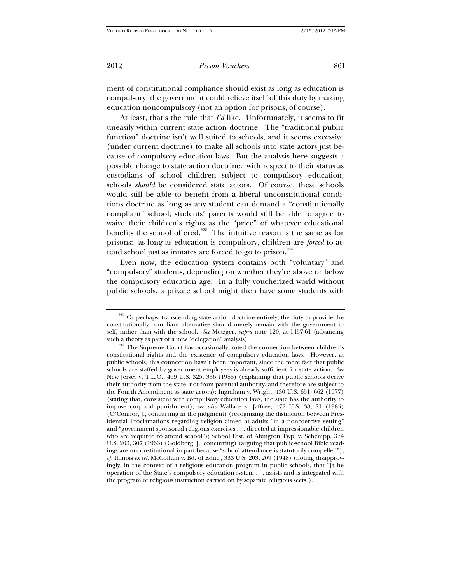ment of constitutional compliance should exist as long as education is compulsory; the government could relieve itself of this duty by making education noncompulsory (not an option for prisons, of course).

At least, that's the rule that *I'd* like. Unfortunately, it seems to fit uneasily within current state action doctrine. The "traditional public function" doctrine isn't well suited to schools, and it seems excessive (under current doctrine) to make all schools into state actors just because of compulsory education laws. But the analysis here suggests a possible change to state action doctrine: with respect to their status as custodians of school children subject to compulsory education, schools *should* be considered state actors. Of course, these schools would still be able to benefit from a liberal unconstitutional conditions doctrine as long as any student can demand a "constitutionally compliant" school; students' parents would still be able to agree to waive their children's rights as the "price" of whatever educational benefits the school offered.<sup>393</sup> The intuitive reason is the same as for prisons: as long as education is compulsory, children are *forced* to attend school just as inmates are forced to go to prison.<sup>394</sup>

Even now, the education system contains both "voluntary" and "compulsory" students, depending on whether they're above or below the compulsory education age. In a fully voucherized world without public schools, a private school might then have some students with

<sup>&</sup>lt;sup>393</sup> Or perhaps, transcending state action doctrine entirely, the duty to provide the constitutionally compliant alternative should merely remain with the government itself, rather than with the school. *See* Metzger, *supra* note 120, at 1457-61 (advancing

<sup>&</sup>lt;sup>394</sup> The Supreme Court has occasionally noted the connection between children's constitutional rights and the existence of compulsory education laws. However, at public schools, this connection hasn't been important, since the mere fact that public schools are staffed by government employees is already sufficient for state action. *See* New Jersey v. T.L.O., 469 U.S. 325, 336 (1985) (explaining that public schools derive their authority from the state, not from parental authority, and therefore are subject to the Fourth Amendment as state actors); Ingraham v. Wright, 430 U.S. 651, 662 (1977) (stating that, consistent with compulsory education laws, the state has the authority to impose corporal punishment); *see also* Wallace v. Jaffree, 472 U.S. 38, 81 (1985) (O'Connor, J., concurring in the judgment) (recognizing the distinction between Presidential Proclamations regarding religion aimed at adults "in a noncoercive setting" and "government-sponsored religious exercises . . . directed at impressionable children who are required to attend school"); School Dist. of Abington Twp. v. Schempp, 374 U.S. 203, 307 (1963) (Goldberg, J., concurring) (arguing that public-school Bible readings are unconstitutional in part because "school attendance is statutorily compelled"); *cf.* Illinois *ex rel.* McCollum v. Bd. of Educ., 333 U.S. 203, 209 (1948) (noting disapprovingly, in the context of a religious education program in public schools, that "[t]he operation of the State's compulsory education system . . . assists and is integrated with the program of religious instruction carried on by separate religious sects").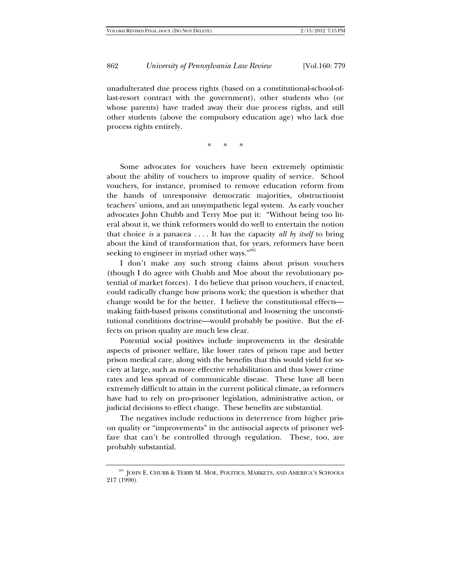unadulterated due process rights (based on a constitutional-school-oflast-resort contract with the government), other students who (or whose parents) have traded away their due process rights, and still other students (above the compulsory education age) who lack due process rights entirely.

\* \* \*

Some advocates for vouchers have been extremely optimistic about the ability of vouchers to improve quality of service. School vouchers, for instance, promised to remove education reform from the hands of unresponsive democratic majorities, obstructionist teachers' unions, and an unsympathetic legal system. As early voucher advocates John Chubb and Terry Moe put it: "Without being too literal about it, we think reformers would do well to entertain the notion that choice *is* a panacea . . . . It has the capacity *all by itself* to bring about the kind of transformation that, for years, reformers have been seeking to engineer in myriad other ways."395

I don't make any such strong claims about prison vouchers (though I do agree with Chubb and Moe about the revolutionary potential of market forces). I do believe that prison vouchers, if enacted, could radically change how prisons work; the question is whether that change would be for the better. I believe the constitutional effects making faith-based prisons constitutional and loosening the unconstitutional conditions doctrine—would probably be positive. But the effects on prison quality are much less clear.

Potential social positives include improvements in the desirable aspects of prisoner welfare, like lower rates of prison rape and better prison medical care, along with the benefits that this would yield for society at large, such as more effective rehabilitation and thus lower crime rates and less spread of communicable disease. These have all been extremely difficult to attain in the current political climate, as reformers have had to rely on pro-prisoner legislation, administrative action, or judicial decisions to effect change. These benefits are substantial.

The negatives include reductions in deterrence from higher prison quality or "improvements" in the antisocial aspects of prisoner welfare that can't be controlled through regulation. These, too, are probably substantial.

<sup>395</sup> JOHN E. CHUBB & TERRY M. MOE, POLITICS, MARKETS, AND AMERICA'S SCHOOLS 217 (1990).